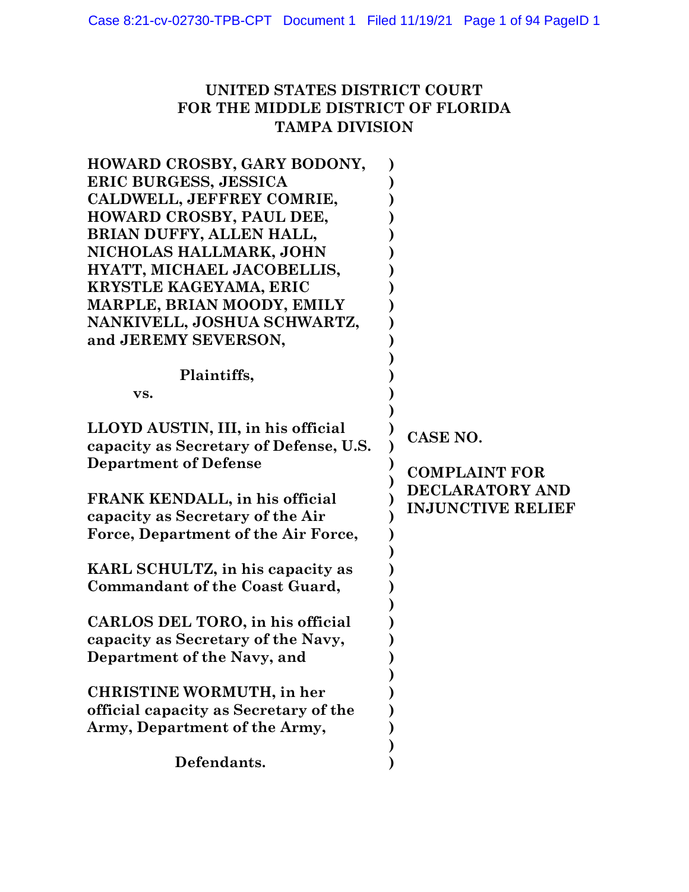## UNITED STATES DISTRICT COURT FOR THE MIDDLE DISTRICT OF FLORIDA TAMPA DIVISION

| HOWARD CROSBY, GARY BODONY,<br>ERIC BURGESS, JESSICA<br>CALDWELL, JEFFREY COMRIE,<br>HOWARD CROSBY, PAUL DEE,<br>BRIAN DUFFY, ALLEN HALL,<br>NICHOLAS HALLMARK, JOHN<br>HYATT, MICHAEL JACOBELLIS,<br>KRYSTLE KAGEYAMA, ERIC |                                             |
|------------------------------------------------------------------------------------------------------------------------------------------------------------------------------------------------------------------------------|---------------------------------------------|
| MARPLE, BRIAN MOODY, EMILY<br>NANKIVELL, JOSHUA SCHWARTZ,<br>and JEREMY SEVERSON,                                                                                                                                            |                                             |
| Plaintiffs,<br>VS.                                                                                                                                                                                                           |                                             |
| LLOYD AUSTIN, III, in his official<br>capacity as Secretary of Defense, U.S.<br><b>Department of Defense</b>                                                                                                                 | CASE NO.<br><b>COMPLAINT FOR</b>            |
| FRANK KENDALL, in his official<br>capacity as Secretary of the Air<br>Force, Department of the Air Force,                                                                                                                    | DECLARATORY AND<br><b>INJUNCTIVE RELIEF</b> |
| KARL SCHULTZ, in his capacity as<br><b>Commandant of the Coast Guard,</b>                                                                                                                                                    |                                             |
| CARLOS DEL TORO, in his official<br>capacity as Secretary of the Navy,<br>Department of the Navy, and                                                                                                                        |                                             |
| <b>CHRISTINE WORMUTH, in her</b><br>official capacity as Secretary of the<br>Army, Department of the Army,                                                                                                                   |                                             |
| Defendants.                                                                                                                                                                                                                  |                                             |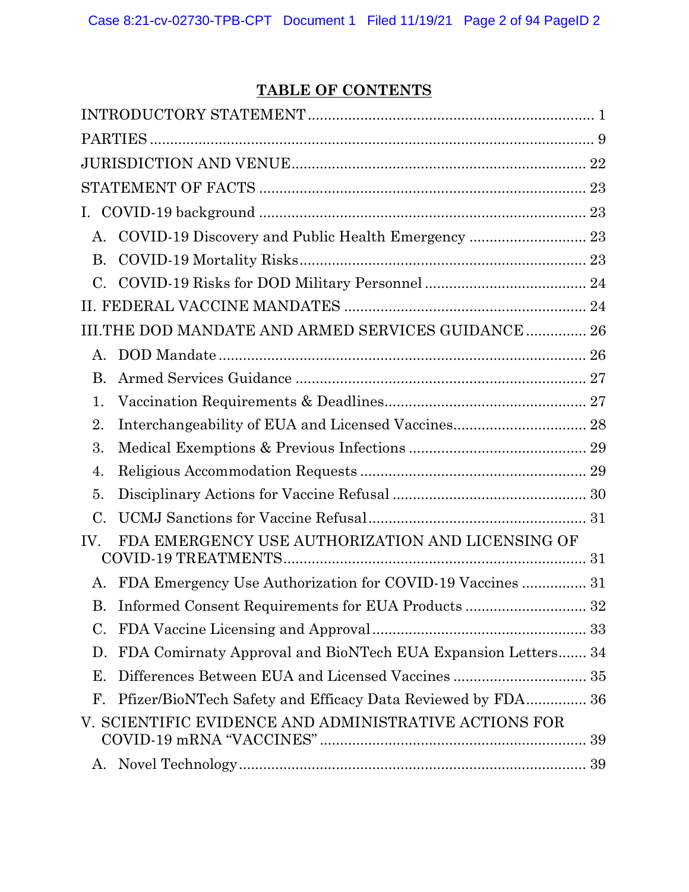## TABLE OF CONTENTS

| Ι.              |                                                              |
|-----------------|--------------------------------------------------------------|
| A.              | COVID-19 Discovery and Public Health Emergency  23           |
| <b>B.</b>       |                                                              |
| $C_{\cdot}$     |                                                              |
|                 |                                                              |
|                 | III.THE DOD MANDATE AND ARMED SERVICES GUIDANCE 26           |
| $\mathsf{A}$ .  |                                                              |
| <b>B.</b>       |                                                              |
| 1.              |                                                              |
| 2.              | Interchangeability of EUA and Licensed Vaccines 28           |
| 3.              |                                                              |
| 4.              |                                                              |
| 5.              |                                                              |
| $\mathcal{C}$ . |                                                              |
| IV.             | FDA EMERGENCY USE AUTHORIZATION AND LICENSING OF             |
| A.              |                                                              |
| В.              | Informed Consent Requirements for EUA Products  32           |
| C.              |                                                              |
| D.              | FDA Comirnaty Approval and BioNTech EUA Expansion Letters 34 |
| Е.              | Differences Between EUA and Licensed Vaccines  35            |
| F.              | Pfizer/BioNTech Safety and Efficacy Data Reviewed by FDA 36  |
|                 | V. SCIENTIFIC EVIDENCE AND ADMINISTRATIVE ACTIONS FOR        |
| Α.              |                                                              |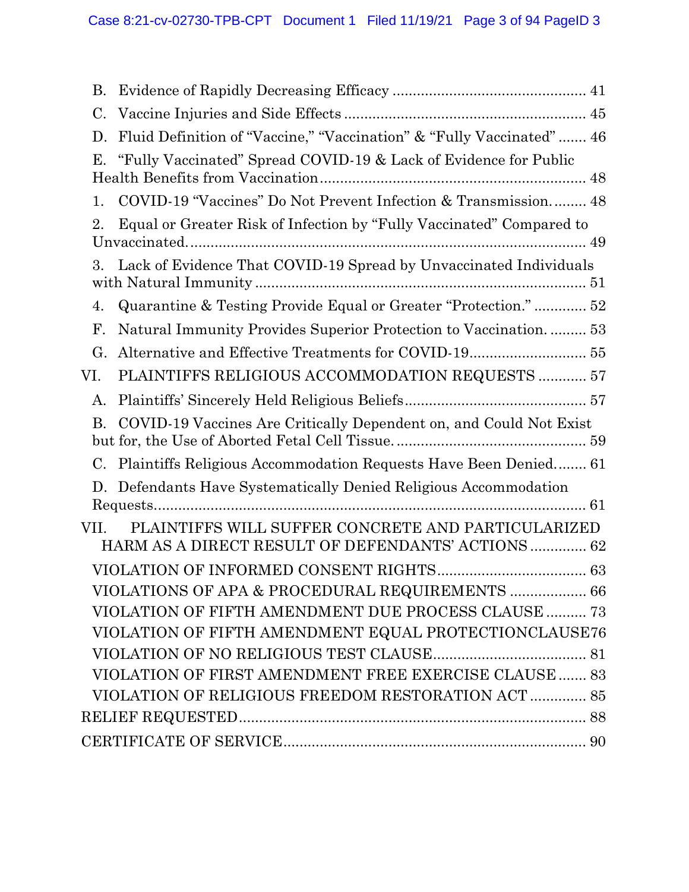| B.          |                                                                                                          |
|-------------|----------------------------------------------------------------------------------------------------------|
| $C_{\cdot}$ |                                                                                                          |
| D.          | Fluid Definition of "Vaccine," "Vaccination" & "Fully Vaccinated"  46                                    |
| Е.          | "Fully Vaccinated" Spread COVID-19 & Lack of Evidence for Public                                         |
| 1.          | COVID-19 "Vaccines" Do Not Prevent Infection & Transmission 48                                           |
| 2.          | Equal or Greater Risk of Infection by "Fully Vaccinated" Compared to                                     |
| 3.          | Lack of Evidence That COVID-19 Spread by Unvaccinated Individuals                                        |
| 4.          | Quarantine & Testing Provide Equal or Greater "Protection." 52                                           |
| F.          | Natural Immunity Provides Superior Protection to Vaccination 53                                          |
| G.          |                                                                                                          |
| VI.         | PLAINTIFFS RELIGIOUS ACCOMMODATION REQUESTS  57                                                          |
| A.          |                                                                                                          |
| B.          | COVID-19 Vaccines Are Critically Dependent on, and Could Not Exist                                       |
|             | C. Plaintiffs Religious Accommodation Requests Have Been Denied 61                                       |
| D.          | Defendants Have Systematically Denied Religious Accommodation                                            |
| VII.        | PLAINTIFFS WILL SUFFER CONCRETE AND PARTICULARIZED<br>HARM AS A DIRECT RESULT OF DEFENDANTS' ACTIONS  62 |
|             |                                                                                                          |
|             | VIOLATIONS OF APA & PROCEDURAL REQUIREMENTS  66                                                          |
|             | VIOLATION OF FIFTH AMENDMENT DUE PROCESS CLAUSE  73                                                      |
|             | VIOLATION OF FIFTH AMENDMENT EQUAL PROTECTIONCLAUSE76                                                    |
|             |                                                                                                          |
|             | VIOLATION OF FIRST AMENDMENT FREE EXERCISE CLAUSE  83                                                    |
|             | VIOLATION OF RELIGIOUS FREEDOM RESTORATION ACT  85                                                       |
|             |                                                                                                          |
|             |                                                                                                          |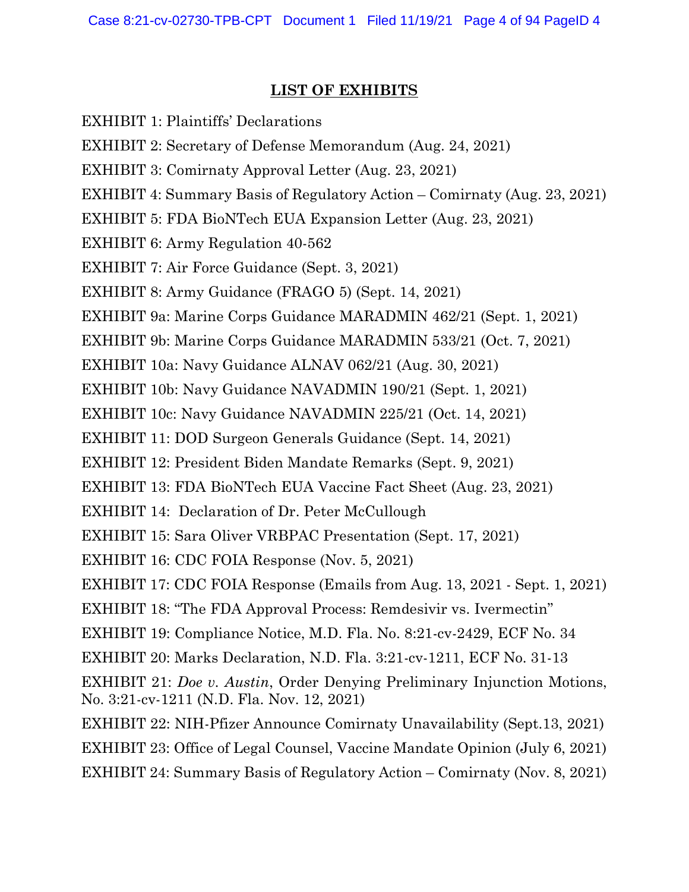## LIST OF EXHIBITS

EXHIBIT 1: Plaintiffs' Declarations EXHIBIT 2: Secretary of Defense Memorandum (Aug. 24, 2021) EXHIBIT 3: Comirnaty Approval Letter (Aug. 23, 2021) EXHIBIT 4: Summary Basis of Regulatory Action – Comirnaty (Aug. 23, 2021) EXHIBIT 5: FDA BioNTech EUA Expansion Letter (Aug. 23, 2021) EXHIBIT 6: Army Regulation 40-562 EXHIBIT 7: Air Force Guidance (Sept. 3, 2021) EXHIBIT 8: Army Guidance (FRAGO 5) (Sept. 14, 2021) EXHIBIT 9a: Marine Corps Guidance MARADMIN 462/21 (Sept. 1, 2021) EXHIBIT 9b: Marine Corps Guidance MARADMIN 533/21 (Oct. 7, 2021) EXHIBIT 10a: Navy Guidance ALNAV 062/21 (Aug. 30, 2021) EXHIBIT 10b: Navy Guidance NAVADMIN 190/21 (Sept. 1, 2021) EXHIBIT 10c: Navy Guidance NAVADMIN 225/21 (Oct. 14, 2021) EXHIBIT 11: DOD Surgeon Generals Guidance (Sept. 14, 2021) EXHIBIT 12: President Biden Mandate Remarks (Sept. 9, 2021) EXHIBIT 13: FDA BioNTech EUA Vaccine Fact Sheet (Aug. 23, 2021) EXHIBIT 14: Declaration of Dr. Peter McCullough EXHIBIT 15: Sara Oliver VRBPAC Presentation (Sept. 17, 2021) EXHIBIT 16: CDC FOIA Response (Nov. 5, 2021) EXHIBIT 17: CDC FOIA Response (Emails from Aug. 13, 2021 - Sept. 1, 2021) EXHIBIT 18: "The FDA Approval Process: Remdesivir vs. Ivermectin" EXHIBIT 19: Compliance Notice, M.D. Fla. No. 8:21-cv-2429, ECF No. 34 EXHIBIT 20: Marks Declaration, N.D. Fla. 3:21-cv-1211, ECF No. 31-13 EXHIBIT 21: Doe v. Austin, Order Denying Preliminary Injunction Motions, No. 3:21-cv-1211 (N.D. Fla. Nov. 12, 2021) EXHIBIT 22: NIH-Pfizer Announce Comirnaty Unavailability (Sept.13, 2021) EXHIBIT 23: Office of Legal Counsel, Vaccine Mandate Opinion (July 6, 2021) EXHIBIT 24: Summary Basis of Regulatory Action – Comirnaty (Nov. 8, 2021)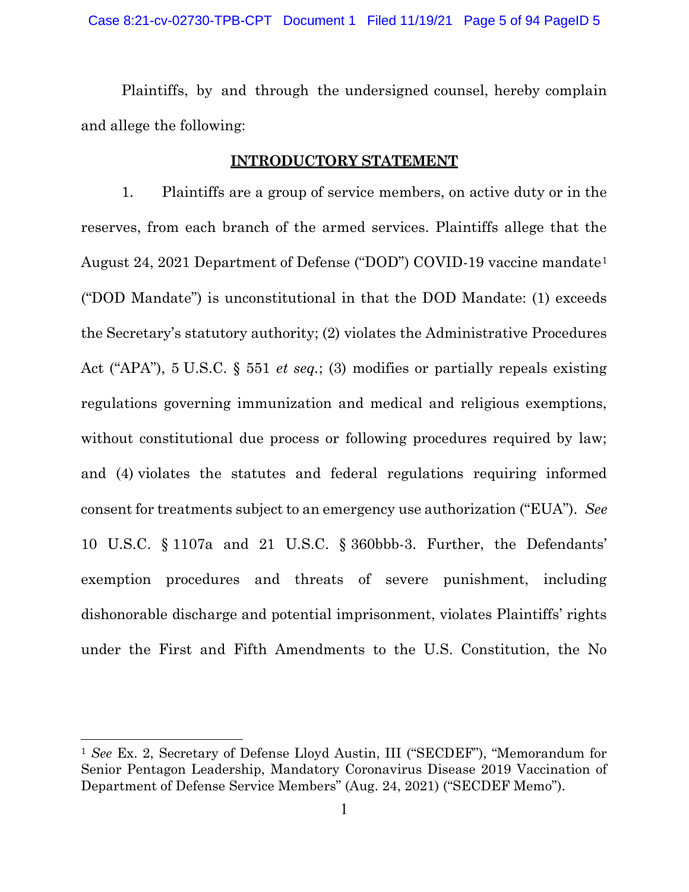Plaintiffs, by and through the undersigned counsel, hereby complain and allege the following:

#### INTRODUCTORY STATEMENT

1. Plaintiffs are a group of service members, on active duty or in the reserves, from each branch of the armed services. Plaintiffs allege that the August 24, 2021 Department of Defense ("DOD") COVID-19 vaccine mandate<sup>1</sup> ("DOD Mandate") is unconstitutional in that the DOD Mandate: (1) exceeds the Secretary's statutory authority; (2) violates the Administrative Procedures Act ("APA"), 5 U.S.C. § 551 et seq.; (3) modifies or partially repeals existing regulations governing immunization and medical and religious exemptions, without constitutional due process or following procedures required by law; and (4) violates the statutes and federal regulations requiring informed consent for treatments subject to an emergency use authorization ("EUA"). See 10 U.S.C. § 1107a and 21 U.S.C. § 360bbb-3. Further, the Defendants' exemption procedures and threats of severe punishment, including dishonorable discharge and potential imprisonment, violates Plaintiffs' rights under the First and Fifth Amendments to the U.S. Constitution, the No

<sup>1</sup> See Ex. 2, Secretary of Defense Lloyd Austin, III ("SECDEF"), "Memorandum for Senior Pentagon Leadership, Mandatory Coronavirus Disease 2019 Vaccination of Department of Defense Service Members" (Aug. 24, 2021) ("SECDEF Memo").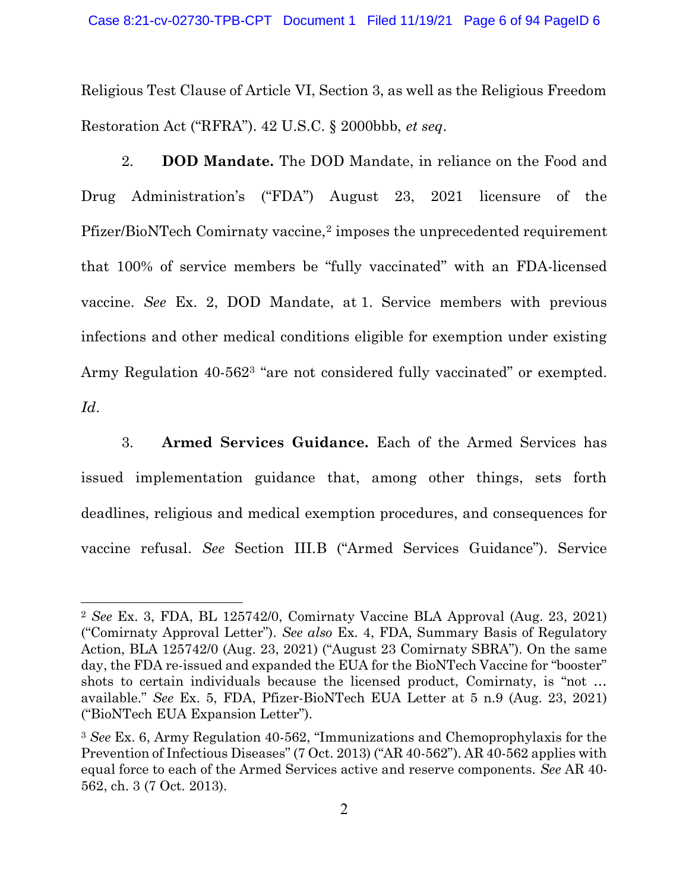Religious Test Clause of Article VI, Section 3, as well as the Religious Freedom Restoration Act ("RFRA"). 42 U.S.C. § 2000bbb, et seq.

2. DOD Mandate. The DOD Mandate, in reliance on the Food and Drug Administration's ("FDA") August 23, 2021 licensure of the Pfizer/BioNTech Comirnaty vaccine,<sup>2</sup> imposes the unprecedented requirement that 100% of service members be "fully vaccinated" with an FDA-licensed vaccine. See Ex. 2, DOD Mandate, at 1. Service members with previous infections and other medical conditions eligible for exemption under existing Army Regulation 40-5623 "are not considered fully vaccinated" or exempted. Id.

3. Armed Services Guidance. Each of the Armed Services has issued implementation guidance that, among other things, sets forth deadlines, religious and medical exemption procedures, and consequences for vaccine refusal. See Section III.B ("Armed Services Guidance"). Service

<sup>2</sup> See Ex. 3, FDA, BL 125742/0, Comirnaty Vaccine BLA Approval (Aug. 23, 2021) ("Comirnaty Approval Letter"). See also Ex. 4, FDA, Summary Basis of Regulatory Action, BLA 125742/0 (Aug. 23, 2021) ("August 23 Comirnaty SBRA"). On the same day, the FDA re-issued and expanded the EUA for the BioNTech Vaccine for "booster" shots to certain individuals because the licensed product, Comirnaty, is "not … available." See Ex. 5, FDA, Pfizer-BioNTech EUA Letter at 5 n.9 (Aug. 23, 2021) ("BioNTech EUA Expansion Letter").

<sup>3</sup> See Ex. 6, Army Regulation 40-562, "Immunizations and Chemoprophylaxis for the Prevention of Infectious Diseases" (7 Oct. 2013) ("AR 40-562"). AR 40-562 applies with equal force to each of the Armed Services active and reserve components. See AR 40- 562, ch. 3 (7 Oct. 2013).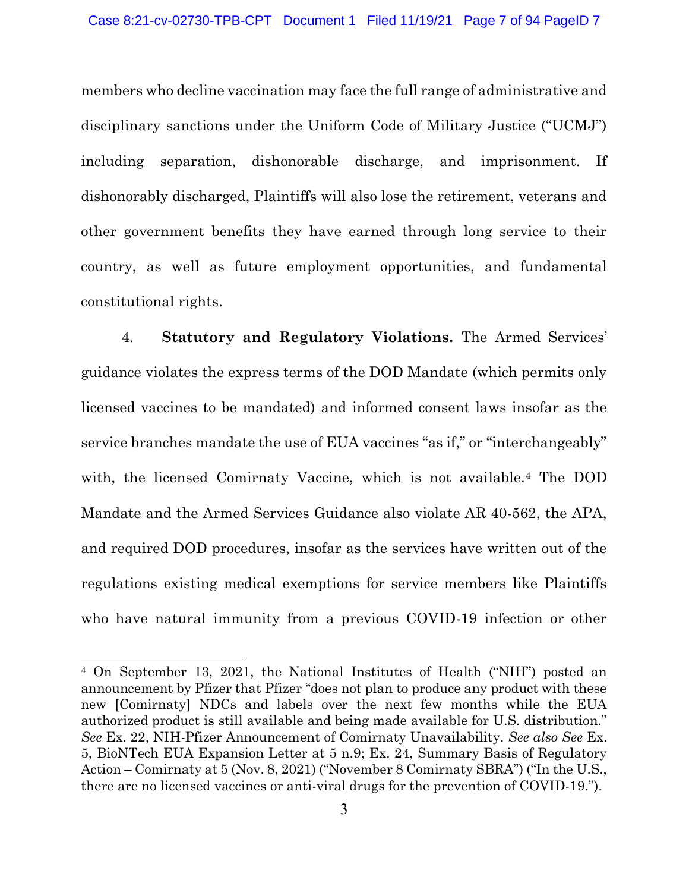members who decline vaccination may face the full range of administrative and disciplinary sanctions under the Uniform Code of Military Justice ("UCMJ") including separation, dishonorable discharge, and imprisonment. If dishonorably discharged, Plaintiffs will also lose the retirement, veterans and other government benefits they have earned through long service to their country, as well as future employment opportunities, and fundamental constitutional rights.

4. Statutory and Regulatory Violations. The Armed Services' guidance violates the express terms of the DOD Mandate (which permits only licensed vaccines to be mandated) and informed consent laws insofar as the service branches mandate the use of EUA vaccines "as if," or "interchangeably" with, the licensed Comirnaty Vaccine, which is not available.4 The DOD Mandate and the Armed Services Guidance also violate AR 40-562, the APA, and required DOD procedures, insofar as the services have written out of the regulations existing medical exemptions for service members like Plaintiffs who have natural immunity from a previous COVID-19 infection or other

<sup>4</sup> On September 13, 2021, the National Institutes of Health ("NIH") posted an announcement by Pfizer that Pfizer "does not plan to produce any product with these new [Comirnaty] NDCs and labels over the next few months while the EUA authorized product is still available and being made available for U.S. distribution." See Ex. 22, NIH-Pfizer Announcement of Comirnaty Unavailability. See also See Ex. 5, BioNTech EUA Expansion Letter at 5 n.9; Ex. 24, Summary Basis of Regulatory Action – Comirnaty at 5 (Nov. 8, 2021) ("November 8 Comirnaty SBRA") ("In the U.S., there are no licensed vaccines or anti-viral drugs for the prevention of COVID-19.").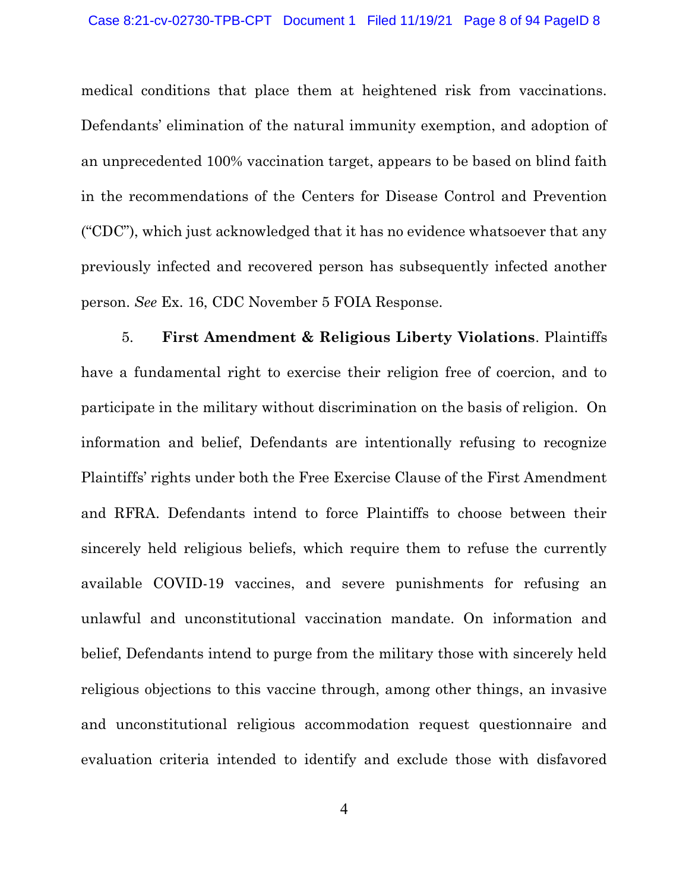medical conditions that place them at heightened risk from vaccinations. Defendants' elimination of the natural immunity exemption, and adoption of an unprecedented 100% vaccination target, appears to be based on blind faith in the recommendations of the Centers for Disease Control and Prevention ("CDC"), which just acknowledged that it has no evidence whatsoever that any previously infected and recovered person has subsequently infected another person. See Ex. 16, CDC November 5 FOIA Response.

5. First Amendment & Religious Liberty Violations. Plaintiffs have a fundamental right to exercise their religion free of coercion, and to participate in the military without discrimination on the basis of religion. On information and belief, Defendants are intentionally refusing to recognize Plaintiffs' rights under both the Free Exercise Clause of the First Amendment and RFRA. Defendants intend to force Plaintiffs to choose between their sincerely held religious beliefs, which require them to refuse the currently available COVID-19 vaccines, and severe punishments for refusing an unlawful and unconstitutional vaccination mandate. On information and belief, Defendants intend to purge from the military those with sincerely held religious objections to this vaccine through, among other things, an invasive and unconstitutional religious accommodation request questionnaire and evaluation criteria intended to identify and exclude those with disfavored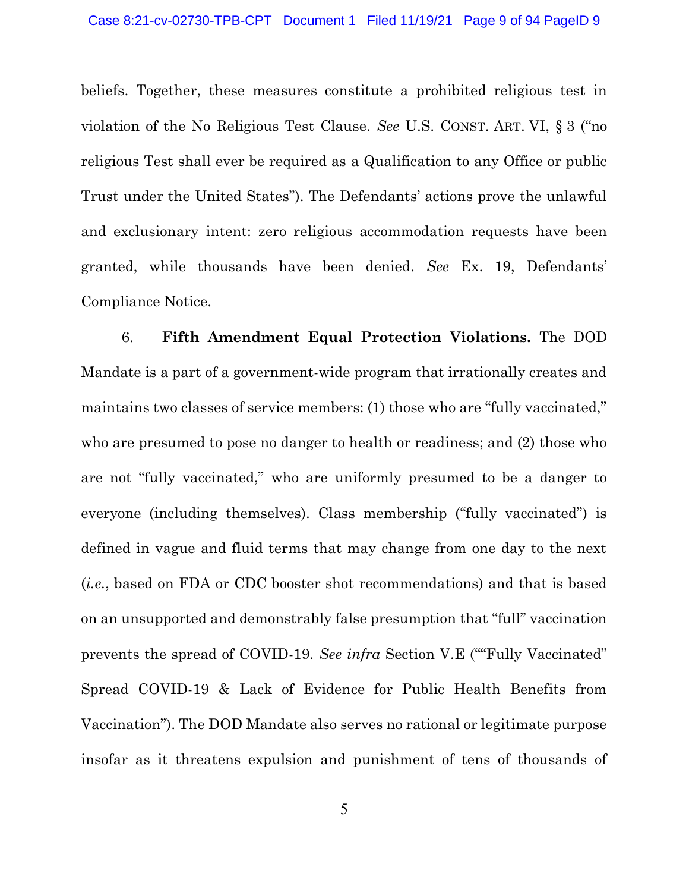beliefs. Together, these measures constitute a prohibited religious test in violation of the No Religious Test Clause. See U.S. CONST. ART. VI, § 3 ("no religious Test shall ever be required as a Qualification to any Office or public Trust under the United States"). The Defendants' actions prove the unlawful and exclusionary intent: zero religious accommodation requests have been granted, while thousands have been denied. See Ex. 19, Defendants' Compliance Notice.

6. Fifth Amendment Equal Protection Violations. The DOD Mandate is a part of a government-wide program that irrationally creates and maintains two classes of service members: (1) those who are "fully vaccinated," who are presumed to pose no danger to health or readiness; and (2) those who are not "fully vaccinated," who are uniformly presumed to be a danger to everyone (including themselves). Class membership ("fully vaccinated") is defined in vague and fluid terms that may change from one day to the next (i.e., based on FDA or CDC booster shot recommendations) and that is based on an unsupported and demonstrably false presumption that "full" vaccination prevents the spread of COVID-19. See infra Section V.E (""Fully Vaccinated" Spread COVID-19 & Lack of Evidence for Public Health Benefits from Vaccination"). The DOD Mandate also serves no rational or legitimate purpose insofar as it threatens expulsion and punishment of tens of thousands of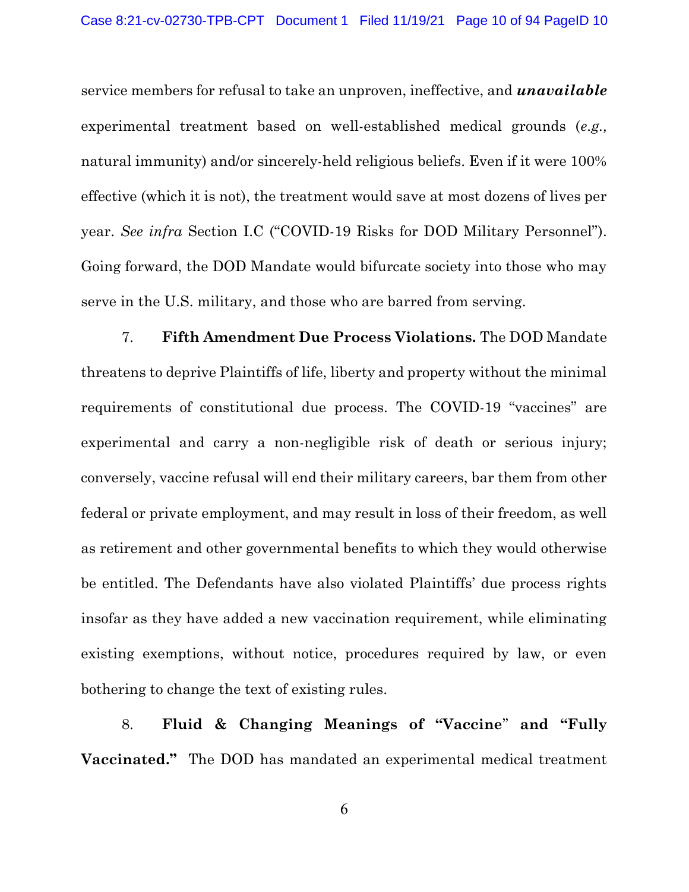service members for refusal to take an unproven, ineffective, and *unavailable* experimental treatment based on well-established medical grounds (e.g., natural immunity) and/or sincerely-held religious beliefs. Even if it were 100% effective (which it is not), the treatment would save at most dozens of lives per year. See infra Section I.C ("COVID-19 Risks for DOD Military Personnel"). Going forward, the DOD Mandate would bifurcate society into those who may serve in the U.S. military, and those who are barred from serving.

7. Fifth Amendment Due Process Violations. The DOD Mandate threatens to deprive Plaintiffs of life, liberty and property without the minimal requirements of constitutional due process. The COVID-19 "vaccines" are experimental and carry a non-negligible risk of death or serious injury; conversely, vaccine refusal will end their military careers, bar them from other federal or private employment, and may result in loss of their freedom, as well as retirement and other governmental benefits to which they would otherwise be entitled. The Defendants have also violated Plaintiffs' due process rights insofar as they have added a new vaccination requirement, while eliminating existing exemptions, without notice, procedures required by law, or even bothering to change the text of existing rules.

8. Fluid & Changing Meanings of "Vaccine" and "Fully Vaccinated." The DOD has mandated an experimental medical treatment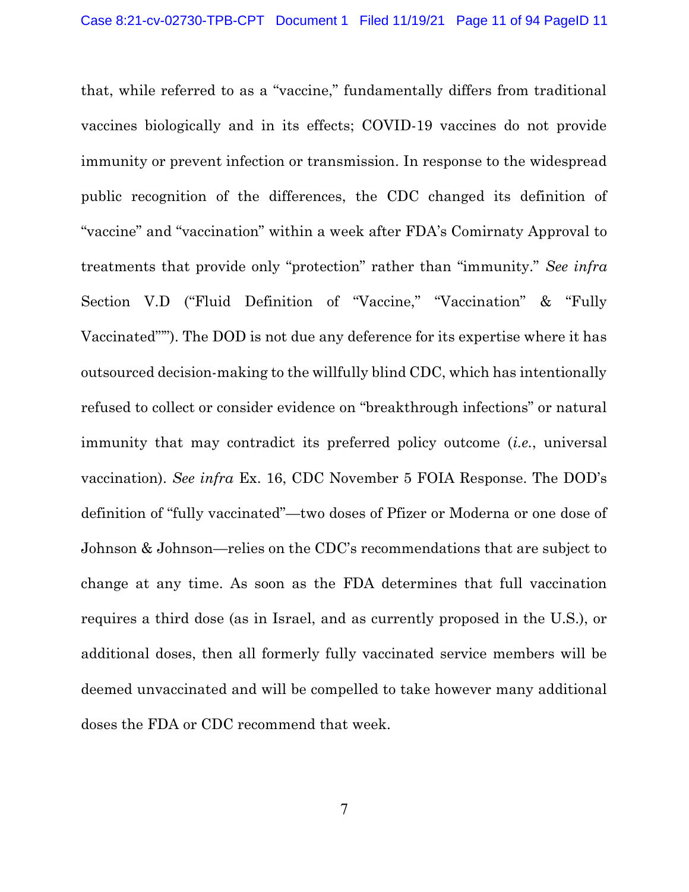that, while referred to as a "vaccine," fundamentally differs from traditional vaccines biologically and in its effects; COVID-19 vaccines do not provide immunity or prevent infection or transmission. In response to the widespread public recognition of the differences, the CDC changed its definition of "vaccine" and "vaccination" within a week after FDA's Comirnaty Approval to treatments that provide only "protection" rather than "immunity." See infra Section V.D ("Fluid Definition of "Vaccine," "Vaccination" & "Fully Vaccinated"'"). The DOD is not due any deference for its expertise where it has outsourced decision-making to the willfully blind CDC, which has intentionally refused to collect or consider evidence on "breakthrough infections" or natural immunity that may contradict its preferred policy outcome *(i.e., universal*) vaccination). See infra Ex. 16, CDC November 5 FOIA Response. The DOD's definition of "fully vaccinated"—two doses of Pfizer or Moderna or one dose of Johnson & Johnson—relies on the CDC's recommendations that are subject to change at any time. As soon as the FDA determines that full vaccination requires a third dose (as in Israel, and as currently proposed in the U.S.), or additional doses, then all formerly fully vaccinated service members will be deemed unvaccinated and will be compelled to take however many additional doses the FDA or CDC recommend that week.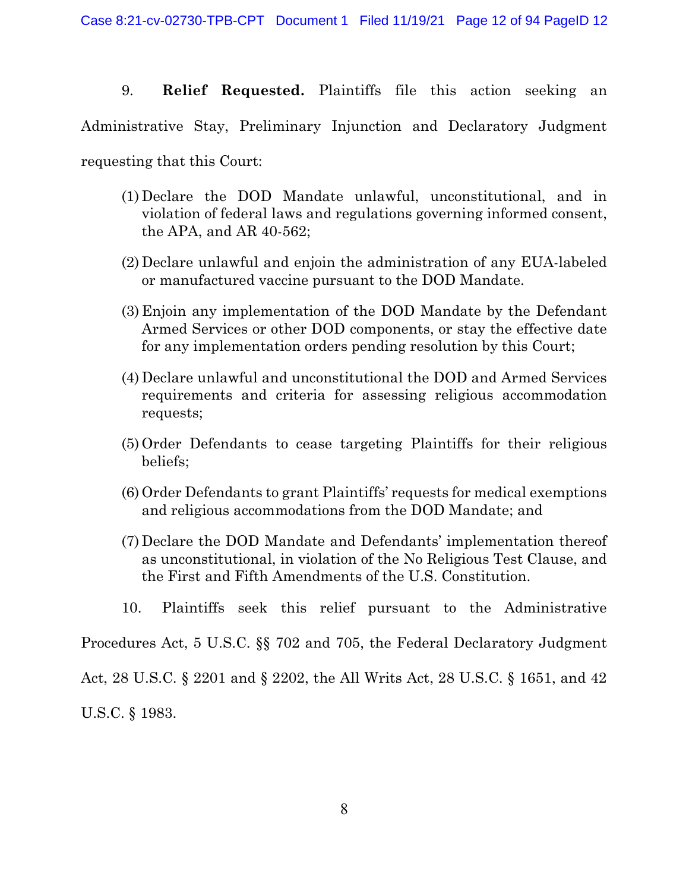9. Relief Requested. Plaintiffs file this action seeking an Administrative Stay, Preliminary Injunction and Declaratory Judgment requesting that this Court:

- (1) Declare the DOD Mandate unlawful, unconstitutional, and in violation of federal laws and regulations governing informed consent, the APA, and AR 40-562;
- (2) Declare unlawful and enjoin the administration of any EUA-labeled or manufactured vaccine pursuant to the DOD Mandate.
- (3) Enjoin any implementation of the DOD Mandate by the Defendant Armed Services or other DOD components, or stay the effective date for any implementation orders pending resolution by this Court;
- (4) Declare unlawful and unconstitutional the DOD and Armed Services requirements and criteria for assessing religious accommodation requests;
- (5) Order Defendants to cease targeting Plaintiffs for their religious beliefs;
- (6) Order Defendants to grant Plaintiffs' requests for medical exemptions and religious accommodations from the DOD Mandate; and
- (7) Declare the DOD Mandate and Defendants' implementation thereof as unconstitutional, in violation of the No Religious Test Clause, and the First and Fifth Amendments of the U.S. Constitution.
- 10. Plaintiffs seek this relief pursuant to the Administrative

Procedures Act, 5 U.S.C. §§ 702 and 705, the Federal Declaratory Judgment

Act, 28 U.S.C. § 2201 and § 2202, the All Writs Act, 28 U.S.C. § 1651, and 42 U.S.C. § 1983.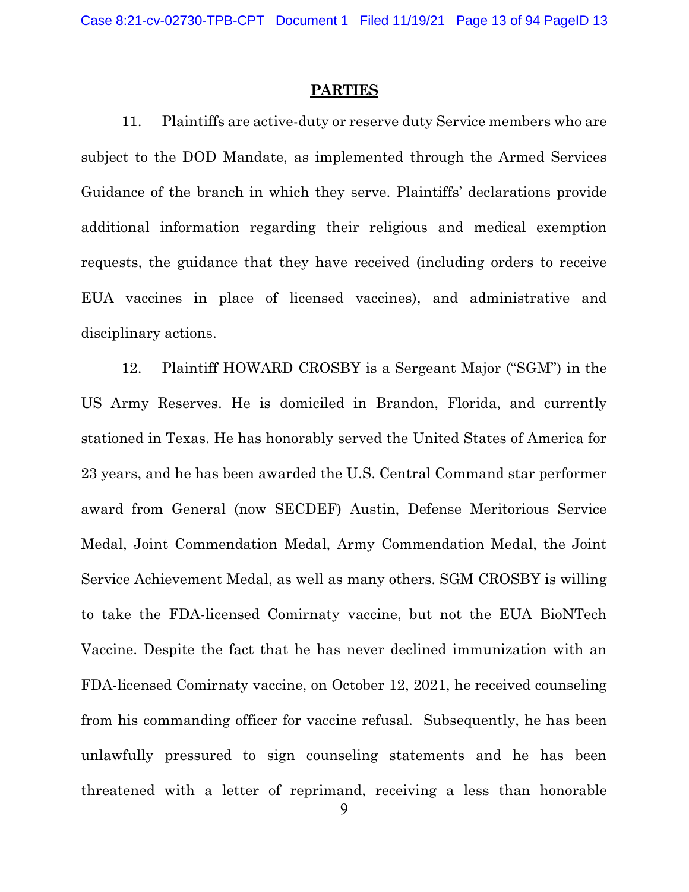#### **PARTIES**

11. Plaintiffs are active-duty or reserve duty Service members who are subject to the DOD Mandate, as implemented through the Armed Services Guidance of the branch in which they serve. Plaintiffs' declarations provide additional information regarding their religious and medical exemption requests, the guidance that they have received (including orders to receive EUA vaccines in place of licensed vaccines), and administrative and disciplinary actions.

12. Plaintiff HOWARD CROSBY is a Sergeant Major ("SGM") in the US Army Reserves. He is domiciled in Brandon, Florida, and currently stationed in Texas. He has honorably served the United States of America for 23 years, and he has been awarded the U.S. Central Command star performer award from General (now SECDEF) Austin, Defense Meritorious Service Medal, Joint Commendation Medal, Army Commendation Medal, the Joint Service Achievement Medal, as well as many others. SGM CROSBY is willing to take the FDA-licensed Comirnaty vaccine, but not the EUA BioNTech Vaccine. Despite the fact that he has never declined immunization with an FDA-licensed Comirnaty vaccine, on October 12, 2021, he received counseling from his commanding officer for vaccine refusal. Subsequently, he has been unlawfully pressured to sign counseling statements and he has been threatened with a letter of reprimand, receiving a less than honorable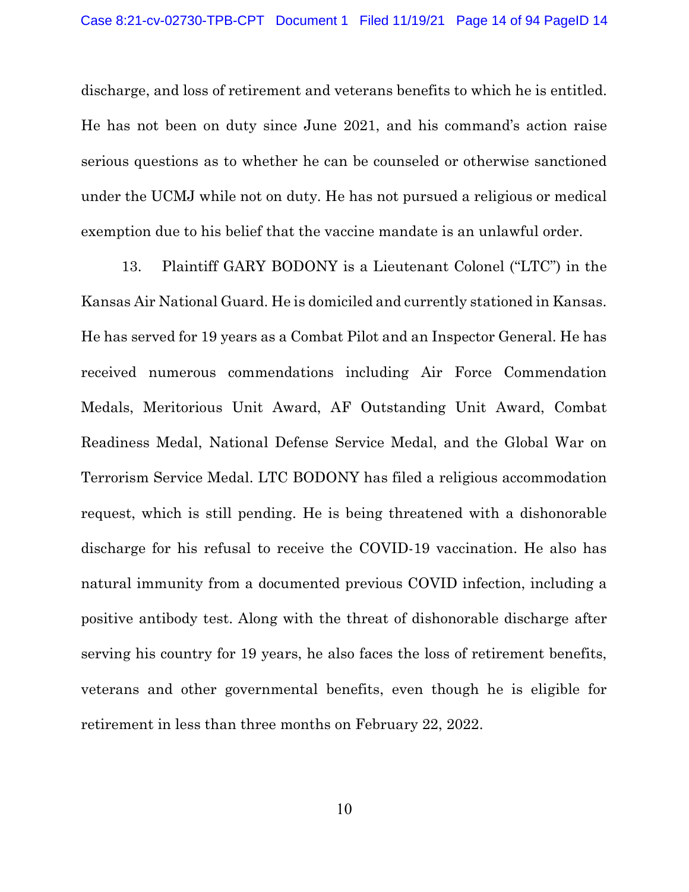discharge, and loss of retirement and veterans benefits to which he is entitled. He has not been on duty since June 2021, and his command's action raise serious questions as to whether he can be counseled or otherwise sanctioned under the UCMJ while not on duty. He has not pursued a religious or medical exemption due to his belief that the vaccine mandate is an unlawful order.

13. Plaintiff GARY BODONY is a Lieutenant Colonel ("LTC") in the Kansas Air National Guard. He is domiciled and currently stationed in Kansas. He has served for 19 years as a Combat Pilot and an Inspector General. He has received numerous commendations including Air Force Commendation Medals, Meritorious Unit Award, AF Outstanding Unit Award, Combat Readiness Medal, National Defense Service Medal, and the Global War on Terrorism Service Medal. LTC BODONY has filed a religious accommodation request, which is still pending. He is being threatened with a dishonorable discharge for his refusal to receive the COVID-19 vaccination. He also has natural immunity from a documented previous COVID infection, including a positive antibody test. Along with the threat of dishonorable discharge after serving his country for 19 years, he also faces the loss of retirement benefits, veterans and other governmental benefits, even though he is eligible for retirement in less than three months on February 22, 2022.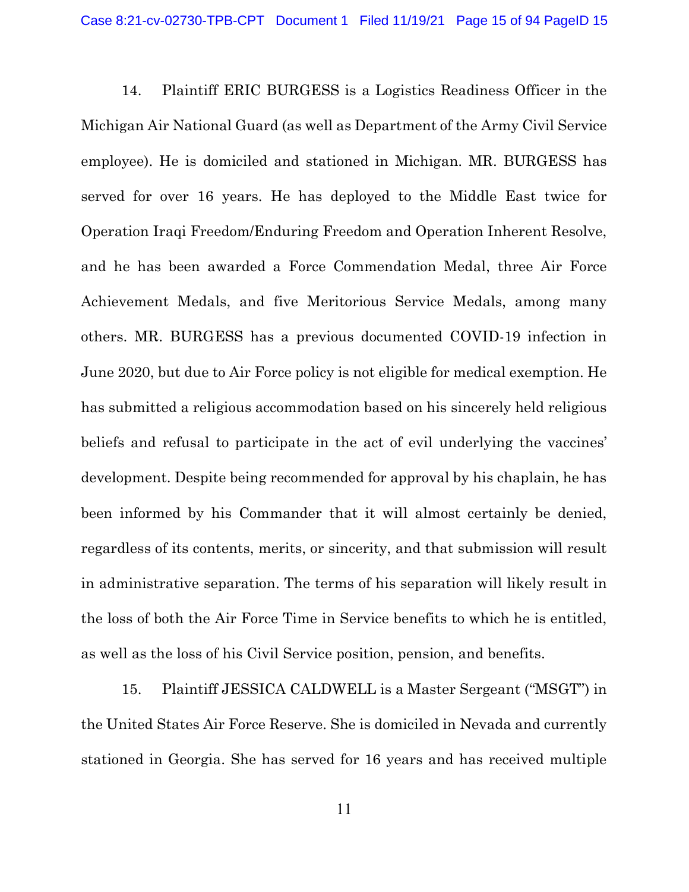14. Plaintiff ERIC BURGESS is a Logistics Readiness Officer in the Michigan Air National Guard (as well as Department of the Army Civil Service employee). He is domiciled and stationed in Michigan. MR. BURGESS has served for over 16 years. He has deployed to the Middle East twice for Operation Iraqi Freedom/Enduring Freedom and Operation Inherent Resolve, and he has been awarded a Force Commendation Medal, three Air Force Achievement Medals, and five Meritorious Service Medals, among many others. MR. BURGESS has a previous documented COVID-19 infection in June 2020, but due to Air Force policy is not eligible for medical exemption. He has submitted a religious accommodation based on his sincerely held religious beliefs and refusal to participate in the act of evil underlying the vaccines' development. Despite being recommended for approval by his chaplain, he has been informed by his Commander that it will almost certainly be denied, regardless of its contents, merits, or sincerity, and that submission will result in administrative separation. The terms of his separation will likely result in the loss of both the Air Force Time in Service benefits to which he is entitled, as well as the loss of his Civil Service position, pension, and benefits.

15. Plaintiff JESSICA CALDWELL is a Master Sergeant ("MSGT") in the United States Air Force Reserve. She is domiciled in Nevada and currently stationed in Georgia. She has served for 16 years and has received multiple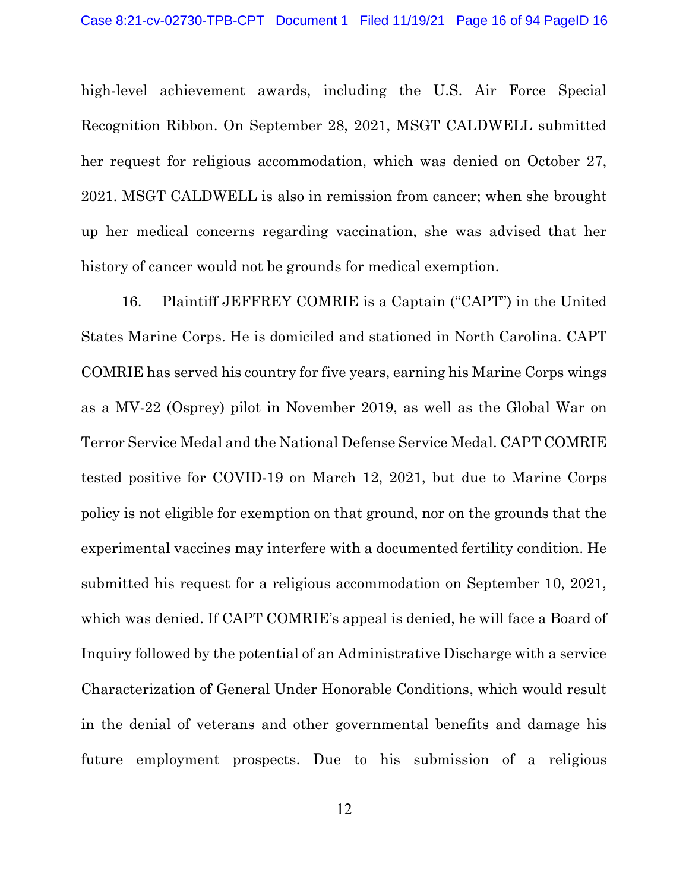high-level achievement awards, including the U.S. Air Force Special Recognition Ribbon. On September 28, 2021, MSGT CALDWELL submitted her request for religious accommodation, which was denied on October 27, 2021. MSGT CALDWELL is also in remission from cancer; when she brought up her medical concerns regarding vaccination, she was advised that her history of cancer would not be grounds for medical exemption.

16. Plaintiff JEFFREY COMRIE is a Captain ("CAPT") in the United States Marine Corps. He is domiciled and stationed in North Carolina. CAPT COMRIE has served his country for five years, earning his Marine Corps wings as a MV-22 (Osprey) pilot in November 2019, as well as the Global War on Terror Service Medal and the National Defense Service Medal. CAPT COMRIE tested positive for COVID-19 on March 12, 2021, but due to Marine Corps policy is not eligible for exemption on that ground, nor on the grounds that the experimental vaccines may interfere with a documented fertility condition. He submitted his request for a religious accommodation on September 10, 2021, which was denied. If CAPT COMRIE's appeal is denied, he will face a Board of Inquiry followed by the potential of an Administrative Discharge with a service Characterization of General Under Honorable Conditions, which would result in the denial of veterans and other governmental benefits and damage his future employment prospects. Due to his submission of a religious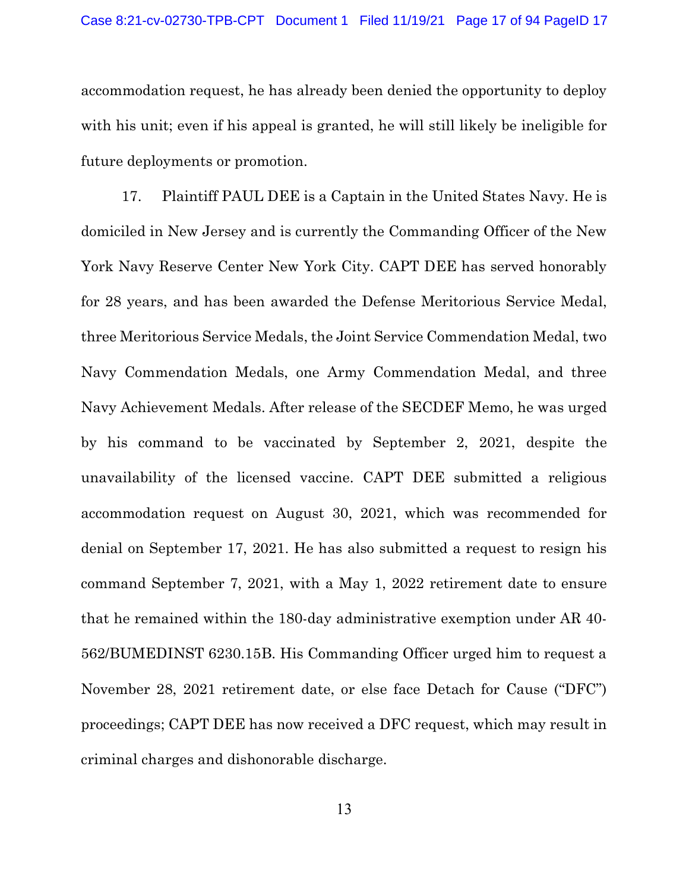accommodation request, he has already been denied the opportunity to deploy with his unit; even if his appeal is granted, he will still likely be ineligible for future deployments or promotion.

17. Plaintiff PAUL DEE is a Captain in the United States Navy. He is domiciled in New Jersey and is currently the Commanding Officer of the New York Navy Reserve Center New York City. CAPT DEE has served honorably for 28 years, and has been awarded the Defense Meritorious Service Medal, three Meritorious Service Medals, the Joint Service Commendation Medal, two Navy Commendation Medals, one Army Commendation Medal, and three Navy Achievement Medals. After release of the SECDEF Memo, he was urged by his command to be vaccinated by September 2, 2021, despite the unavailability of the licensed vaccine. CAPT DEE submitted a religious accommodation request on August 30, 2021, which was recommended for denial on September 17, 2021. He has also submitted a request to resign his command September 7, 2021, with a May 1, 2022 retirement date to ensure that he remained within the 180-day administrative exemption under AR 40- 562/BUMEDINST 6230.15B. His Commanding Officer urged him to request a November 28, 2021 retirement date, or else face Detach for Cause ("DFC") proceedings; CAPT DEE has now received a DFC request, which may result in criminal charges and dishonorable discharge.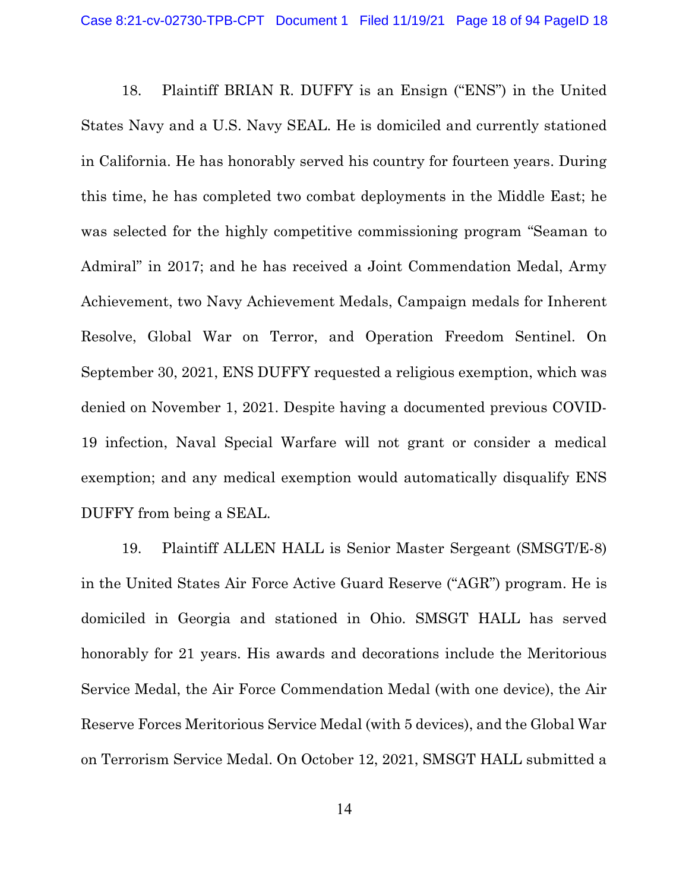18. Plaintiff BRIAN R. DUFFY is an Ensign ("ENS") in the United States Navy and a U.S. Navy SEAL. He is domiciled and currently stationed in California. He has honorably served his country for fourteen years. During this time, he has completed two combat deployments in the Middle East; he was selected for the highly competitive commissioning program "Seaman to Admiral" in 2017; and he has received a Joint Commendation Medal, Army Achievement, two Navy Achievement Medals, Campaign medals for Inherent Resolve, Global War on Terror, and Operation Freedom Sentinel. On September 30, 2021, ENS DUFFY requested a religious exemption, which was denied on November 1, 2021. Despite having a documented previous COVID-19 infection, Naval Special Warfare will not grant or consider a medical exemption; and any medical exemption would automatically disqualify ENS DUFFY from being a SEAL.

19. Plaintiff ALLEN HALL is Senior Master Sergeant (SMSGT/E-8) in the United States Air Force Active Guard Reserve ("AGR") program. He is domiciled in Georgia and stationed in Ohio. SMSGT HALL has served honorably for 21 years. His awards and decorations include the Meritorious Service Medal, the Air Force Commendation Medal (with one device), the Air Reserve Forces Meritorious Service Medal (with 5 devices), and the Global War on Terrorism Service Medal. On October 12, 2021, SMSGT HALL submitted a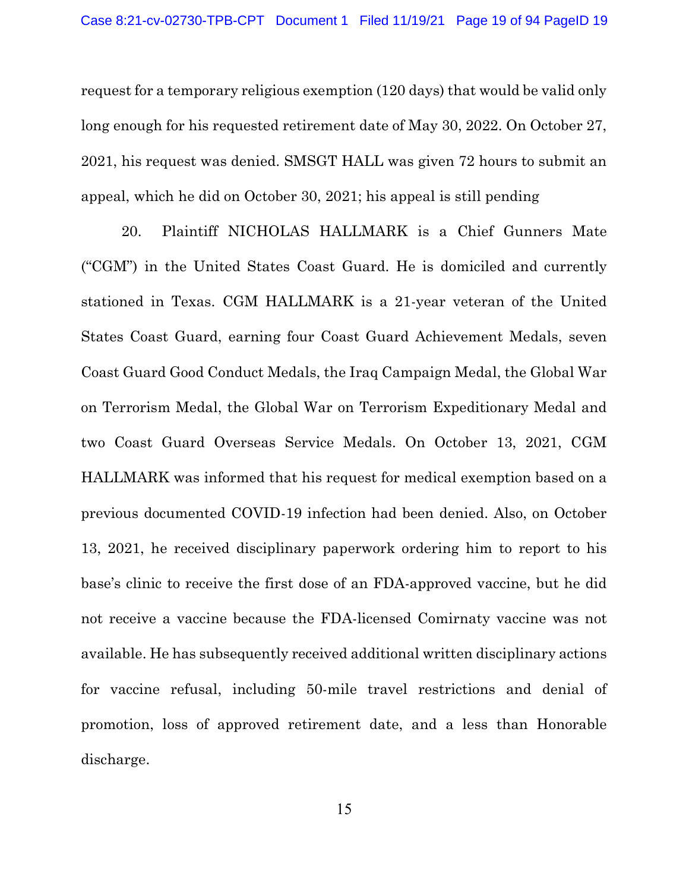request for a temporary religious exemption (120 days) that would be valid only long enough for his requested retirement date of May 30, 2022. On October 27, 2021, his request was denied. SMSGT HALL was given 72 hours to submit an appeal, which he did on October 30, 2021; his appeal is still pending

20. Plaintiff NICHOLAS HALLMARK is a Chief Gunners Mate ("CGM") in the United States Coast Guard. He is domiciled and currently stationed in Texas. CGM HALLMARK is a 21-year veteran of the United States Coast Guard, earning four Coast Guard Achievement Medals, seven Coast Guard Good Conduct Medals, the Iraq Campaign Medal, the Global War on Terrorism Medal, the Global War on Terrorism Expeditionary Medal and two Coast Guard Overseas Service Medals. On October 13, 2021, CGM HALLMARK was informed that his request for medical exemption based on a previous documented COVID-19 infection had been denied. Also, on October 13, 2021, he received disciplinary paperwork ordering him to report to his base's clinic to receive the first dose of an FDA-approved vaccine, but he did not receive a vaccine because the FDA-licensed Comirnaty vaccine was not available. He has subsequently received additional written disciplinary actions for vaccine refusal, including 50-mile travel restrictions and denial of promotion, loss of approved retirement date, and a less than Honorable discharge.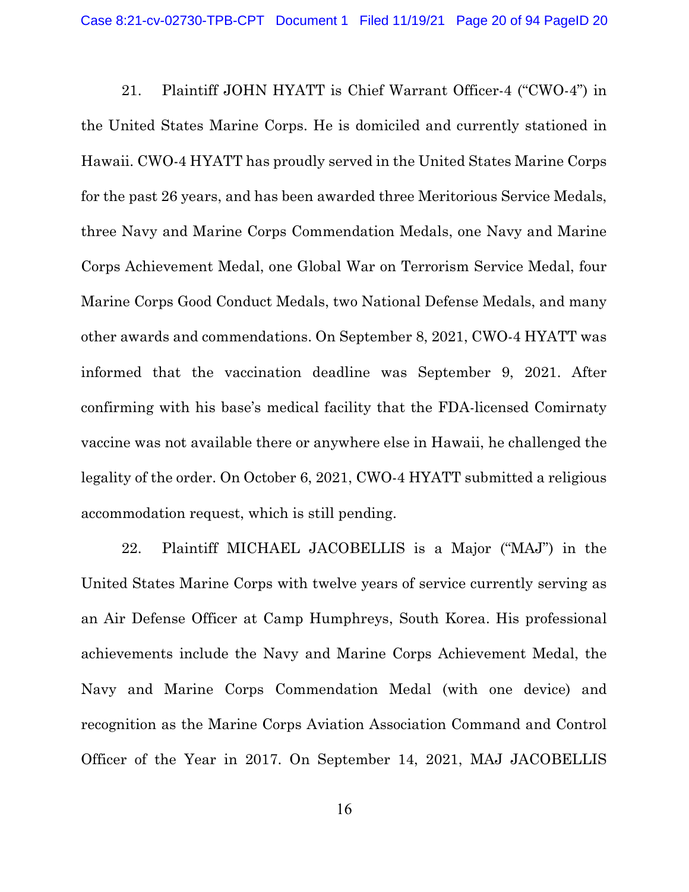21. Plaintiff JOHN HYATT is Chief Warrant Officer-4 ("CWO-4") in the United States Marine Corps. He is domiciled and currently stationed in Hawaii. CWO-4 HYATT has proudly served in the United States Marine Corps for the past 26 years, and has been awarded three Meritorious Service Medals, three Navy and Marine Corps Commendation Medals, one Navy and Marine Corps Achievement Medal, one Global War on Terrorism Service Medal, four Marine Corps Good Conduct Medals, two National Defense Medals, and many other awards and commendations. On September 8, 2021, CWO-4 HYATT was informed that the vaccination deadline was September 9, 2021. After confirming with his base's medical facility that the FDA-licensed Comirnaty vaccine was not available there or anywhere else in Hawaii, he challenged the legality of the order. On October 6, 2021, CWO-4 HYATT submitted a religious accommodation request, which is still pending.

22. Plaintiff MICHAEL JACOBELLIS is a Major ("MAJ") in the United States Marine Corps with twelve years of service currently serving as an Air Defense Officer at Camp Humphreys, South Korea. His professional achievements include the Navy and Marine Corps Achievement Medal, the Navy and Marine Corps Commendation Medal (with one device) and recognition as the Marine Corps Aviation Association Command and Control Officer of the Year in 2017. On September 14, 2021, MAJ JACOBELLIS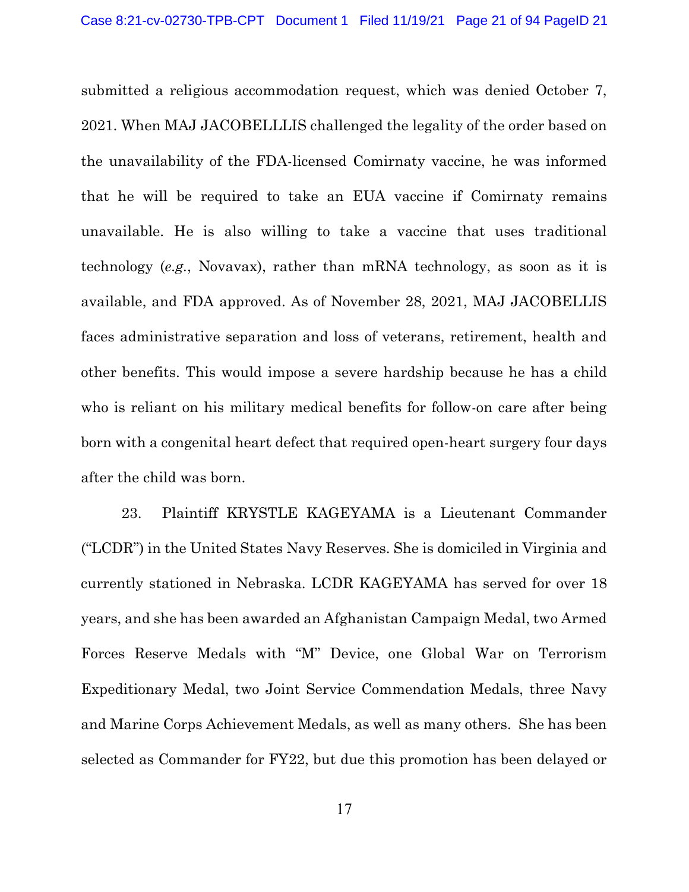submitted a religious accommodation request, which was denied October 7, 2021. When MAJ JACOBELLLIS challenged the legality of the order based on the unavailability of the FDA-licensed Comirnaty vaccine, he was informed that he will be required to take an EUA vaccine if Comirnaty remains unavailable. He is also willing to take a vaccine that uses traditional technology (e.g., Novavax), rather than mRNA technology, as soon as it is available, and FDA approved. As of November 28, 2021, MAJ JACOBELLIS faces administrative separation and loss of veterans, retirement, health and other benefits. This would impose a severe hardship because he has a child who is reliant on his military medical benefits for follow-on care after being born with a congenital heart defect that required open-heart surgery four days after the child was born.

23. Plaintiff KRYSTLE KAGEYAMA is a Lieutenant Commander ("LCDR") in the United States Navy Reserves. She is domiciled in Virginia and currently stationed in Nebraska. LCDR KAGEYAMA has served for over 18 years, and she has been awarded an Afghanistan Campaign Medal, two Armed Forces Reserve Medals with "M" Device, one Global War on Terrorism Expeditionary Medal, two Joint Service Commendation Medals, three Navy and Marine Corps Achievement Medals, as well as many others. She has been selected as Commander for FY22, but due this promotion has been delayed or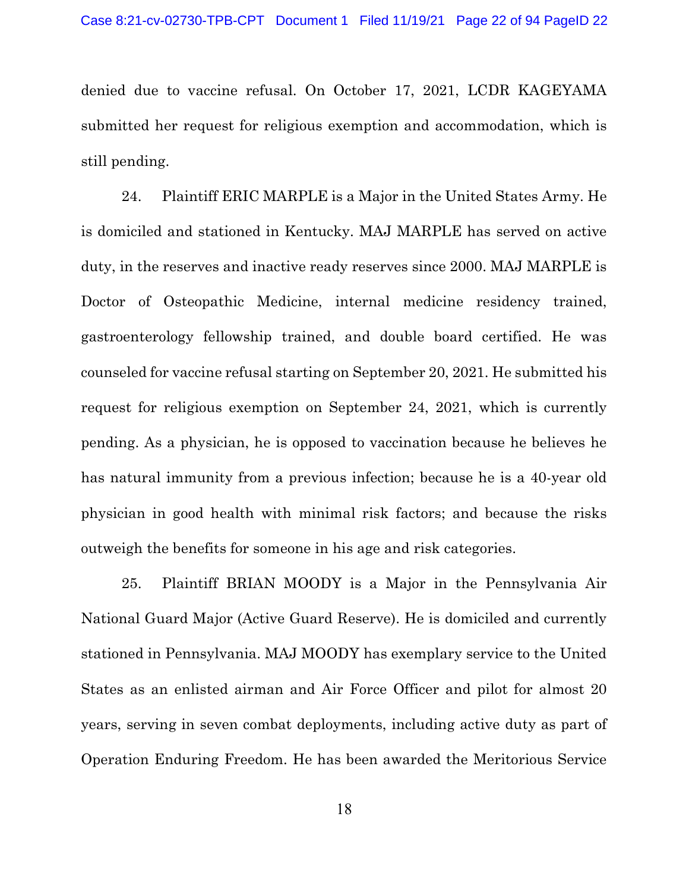denied due to vaccine refusal. On October 17, 2021, LCDR KAGEYAMA submitted her request for religious exemption and accommodation, which is still pending.

24. Plaintiff ERIC MARPLE is a Major in the United States Army. He is domiciled and stationed in Kentucky. MAJ MARPLE has served on active duty, in the reserves and inactive ready reserves since 2000. MAJ MARPLE is Doctor of Osteopathic Medicine, internal medicine residency trained, gastroenterology fellowship trained, and double board certified. He was counseled for vaccine refusal starting on September 20, 2021. He submitted his request for religious exemption on September 24, 2021, which is currently pending. As a physician, he is opposed to vaccination because he believes he has natural immunity from a previous infection; because he is a 40-year old physician in good health with minimal risk factors; and because the risks outweigh the benefits for someone in his age and risk categories.

25. Plaintiff BRIAN MOODY is a Major in the Pennsylvania Air National Guard Major (Active Guard Reserve). He is domiciled and currently stationed in Pennsylvania. MAJ MOODY has exemplary service to the United States as an enlisted airman and Air Force Officer and pilot for almost 20 years, serving in seven combat deployments, including active duty as part of Operation Enduring Freedom. He has been awarded the Meritorious Service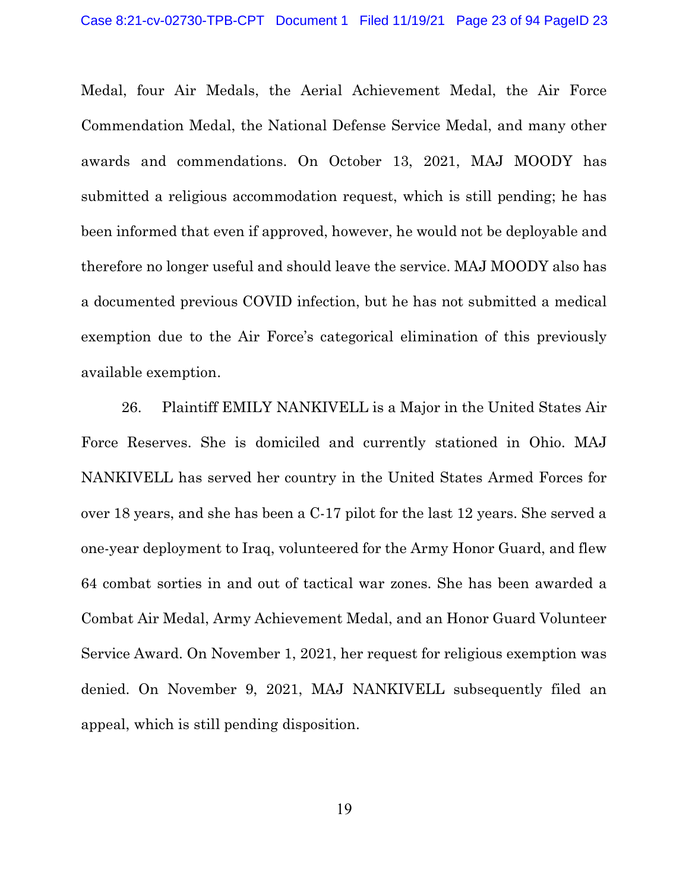Medal, four Air Medals, the Aerial Achievement Medal, the Air Force Commendation Medal, the National Defense Service Medal, and many other awards and commendations. On October 13, 2021, MAJ MOODY has submitted a religious accommodation request, which is still pending; he has been informed that even if approved, however, he would not be deployable and therefore no longer useful and should leave the service. MAJ MOODY also has a documented previous COVID infection, but he has not submitted a medical exemption due to the Air Force's categorical elimination of this previously available exemption.

26. Plaintiff EMILY NANKIVELL is a Major in the United States Air Force Reserves. She is domiciled and currently stationed in Ohio. MAJ NANKIVELL has served her country in the United States Armed Forces for over 18 years, and she has been a C-17 pilot for the last 12 years. She served a one-year deployment to Iraq, volunteered for the Army Honor Guard, and flew 64 combat sorties in and out of tactical war zones. She has been awarded a Combat Air Medal, Army Achievement Medal, and an Honor Guard Volunteer Service Award. On November 1, 2021, her request for religious exemption was denied. On November 9, 2021, MAJ NANKIVELL subsequently filed an appeal, which is still pending disposition.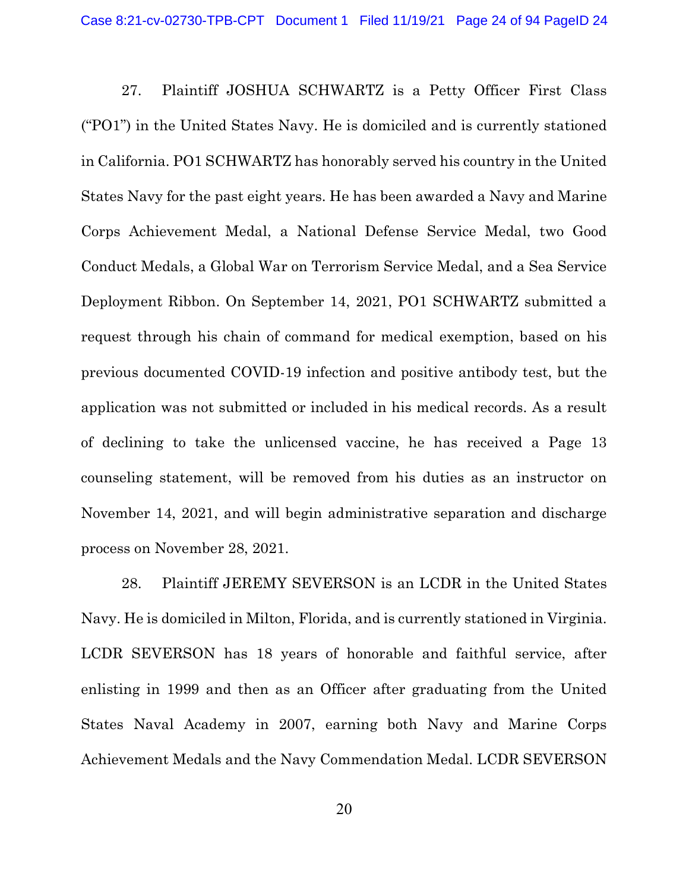27. Plaintiff JOSHUA SCHWARTZ is a Petty Officer First Class ("PO1") in the United States Navy. He is domiciled and is currently stationed in California. PO1 SCHWARTZ has honorably served his country in the United States Navy for the past eight years. He has been awarded a Navy and Marine Corps Achievement Medal, a National Defense Service Medal, two Good Conduct Medals, a Global War on Terrorism Service Medal, and a Sea Service Deployment Ribbon. On September 14, 2021, PO1 SCHWARTZ submitted a request through his chain of command for medical exemption, based on his previous documented COVID-19 infection and positive antibody test, but the application was not submitted or included in his medical records. As a result of declining to take the unlicensed vaccine, he has received a Page 13 counseling statement, will be removed from his duties as an instructor on November 14, 2021, and will begin administrative separation and discharge process on November 28, 2021.

28. Plaintiff JEREMY SEVERSON is an LCDR in the United States Navy. He is domiciled in Milton, Florida, and is currently stationed in Virginia. LCDR SEVERSON has 18 years of honorable and faithful service, after enlisting in 1999 and then as an Officer after graduating from the United States Naval Academy in 2007, earning both Navy and Marine Corps Achievement Medals and the Navy Commendation Medal. LCDR SEVERSON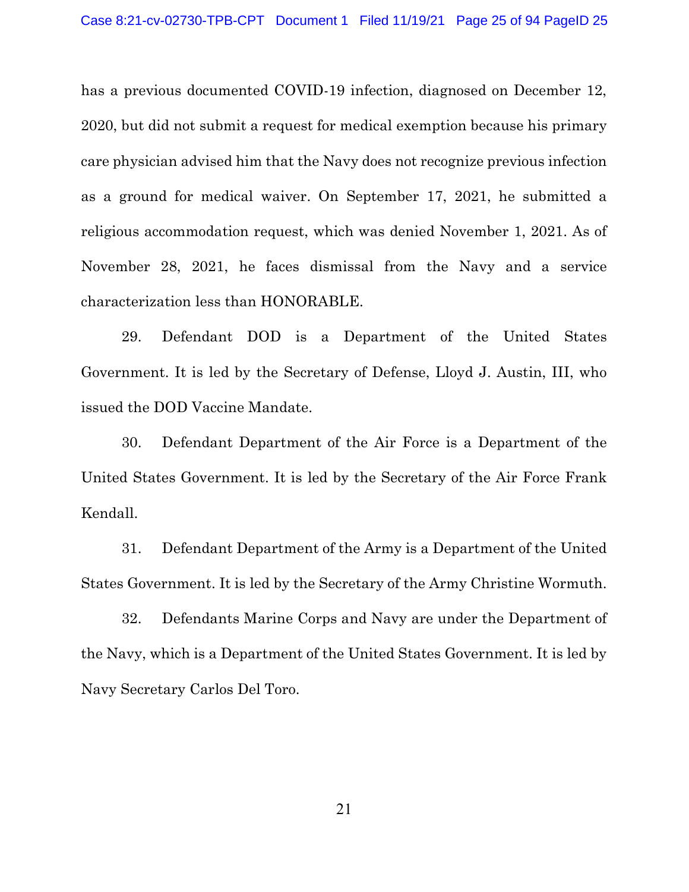has a previous documented COVID-19 infection, diagnosed on December 12, 2020, but did not submit a request for medical exemption because his primary care physician advised him that the Navy does not recognize previous infection as a ground for medical waiver. On September 17, 2021, he submitted a religious accommodation request, which was denied November 1, 2021. As of November 28, 2021, he faces dismissal from the Navy and a service characterization less than HONORABLE.

29. Defendant DOD is a Department of the United States Government. It is led by the Secretary of Defense, Lloyd J. Austin, III, who issued the DOD Vaccine Mandate.

30. Defendant Department of the Air Force is a Department of the United States Government. It is led by the Secretary of the Air Force Frank Kendall.

31. Defendant Department of the Army is a Department of the United States Government. It is led by the Secretary of the Army Christine Wormuth.

32. Defendants Marine Corps and Navy are under the Department of the Navy, which is a Department of the United States Government. It is led by Navy Secretary Carlos Del Toro.

21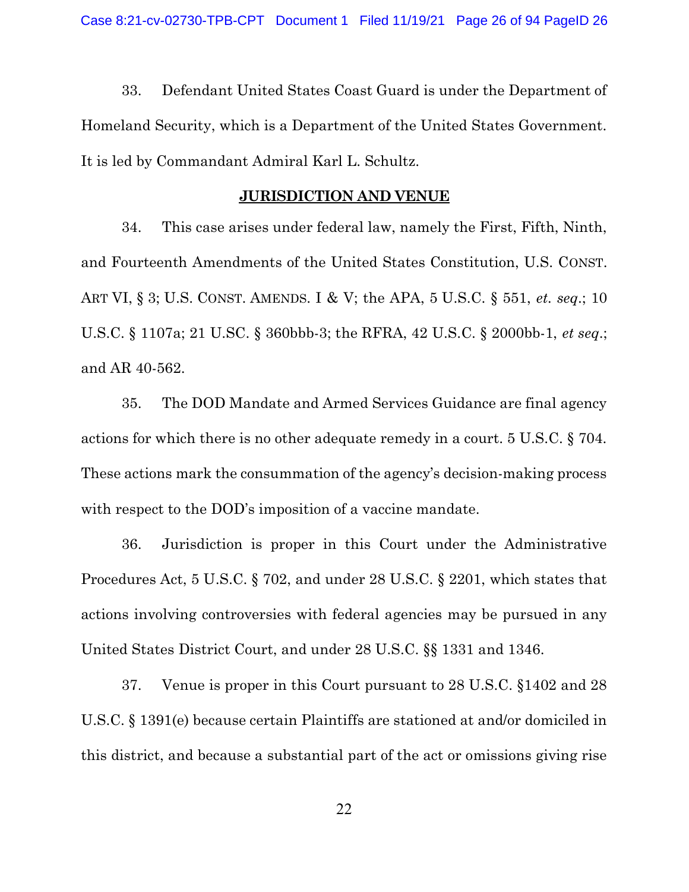33. Defendant United States Coast Guard is under the Department of Homeland Security, which is a Department of the United States Government. It is led by Commandant Admiral Karl L. Schultz.

#### JURISDICTION AND VENUE

34. This case arises under federal law, namely the First, Fifth, Ninth, and Fourteenth Amendments of the United States Constitution, U.S. CONST. ART VI, § 3; U.S. CONST. AMENDS. I & V; the APA, 5 U.S.C. § 551, *et. seq.*; 10 U.S.C. § 1107a; 21 U.SC. § 360bbb-3; the RFRA, 42 U.S.C. § 2000bb-1, et seq.; and AR 40-562.

35. The DOD Mandate and Armed Services Guidance are final agency actions for which there is no other adequate remedy in a court. 5 U.S.C. § 704. These actions mark the consummation of the agency's decision-making process with respect to the DOD's imposition of a vaccine mandate.

36. Jurisdiction is proper in this Court under the Administrative Procedures Act, 5 U.S.C. § 702, and under 28 U.S.C. § 2201, which states that actions involving controversies with federal agencies may be pursued in any United States District Court, and under 28 U.S.C. §§ 1331 and 1346.

37. Venue is proper in this Court pursuant to 28 U.S.C. §1402 and 28 U.S.C. § 1391(e) because certain Plaintiffs are stationed at and/or domiciled in this district, and because a substantial part of the act or omissions giving rise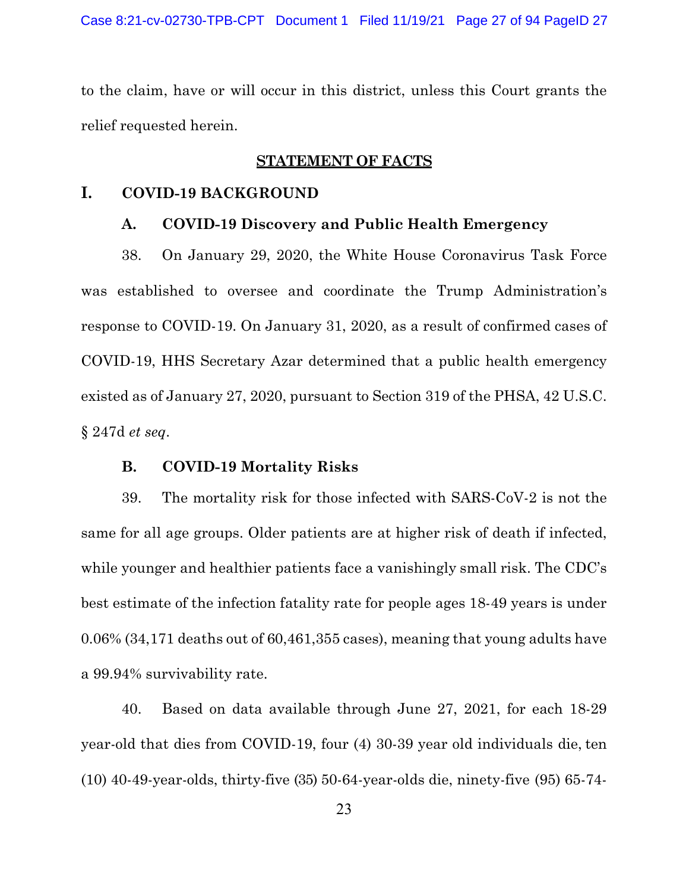to the claim, have or will occur in this district, unless this Court grants the relief requested herein.

### STATEMENT OF FACTS

## I. COVID-19 BACKGROUND

#### A. COVID-19 Discovery and Public Health Emergency

38. On January 29, 2020, the White House Coronavirus Task Force was established to oversee and coordinate the Trump Administration's response to COVID-19. On January 31, 2020, as a result of confirmed cases of COVID-19, HHS Secretary Azar determined that a public health emergency existed as of January 27, 2020, pursuant to Section 319 of the PHSA, 42 U.S.C. § 247d et seq.

## B. COVID-19 Mortality Risks

39. The mortality risk for those infected with SARS-CoV-2 is not the same for all age groups. Older patients are at higher risk of death if infected, while younger and healthier patients face a vanishingly small risk. The CDC's best estimate of the infection fatality rate for people ages 18-49 years is under 0.06% (34,171 deaths out of 60,461,355 cases), meaning that young adults have a 99.94% survivability rate.

40. Based on data available through June 27, 2021, for each 18-29 year-old that dies from COVID-19, four (4) 30-39 year old individuals die, ten (10) 40-49-year-olds, thirty-five (35) 50-64-year-olds die, ninety-five (95) 65-74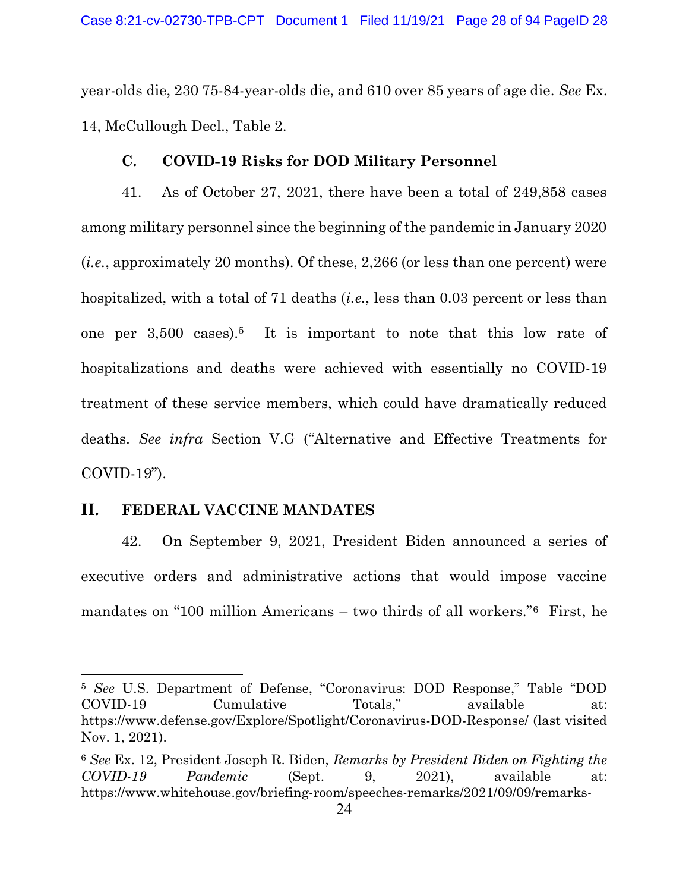year-olds die, 230 75-84-year-olds die, and 610 over 85 years of age die. See Ex. 14, McCullough Decl., Table 2.

## C. COVID-19 Risks for DOD Military Personnel

41. As of October 27, 2021, there have been a total of 249,858 cases among military personnel since the beginning of the pandemic in January 2020 (i.e., approximately 20 months). Of these, 2,266 (or less than one percent) were hospitalized, with a total of 71 deaths (*i.e.*, less than 0.03 percent or less than one per 3,500 cases).5 It is important to note that this low rate of hospitalizations and deaths were achieved with essentially no COVID-19 treatment of these service members, which could have dramatically reduced deaths. See infra Section V.G ("Alternative and Effective Treatments for COVID-19").

## II. FEDERAL VACCINE MANDATES

42. On September 9, 2021, President Biden announced a series of executive orders and administrative actions that would impose vaccine mandates on "100 million Americans – two thirds of all workers."6 First, he

<sup>5</sup> See U.S. Department of Defense, "Coronavirus: DOD Response," Table "DOD COVID-19 Cumulative Totals," available at: https://www.defense.gov/Explore/Spotlight/Coronavirus-DOD-Response/ (last visited Nov. 1, 2021).

<sup>6</sup> See Ex. 12, President Joseph R. Biden, Remarks by President Biden on Fighting the COVID-19 Pandemic (Sept. 9, 2021), available at: https://www.whitehouse.gov/briefing-room/speeches-remarks/2021/09/09/remarks-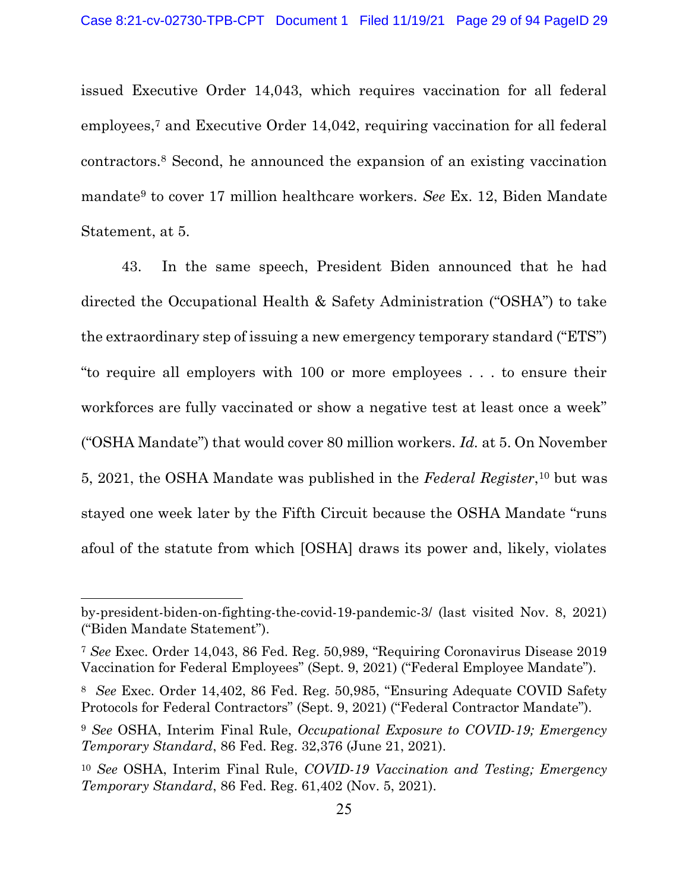issued Executive Order 14,043, which requires vaccination for all federal employees,7 and Executive Order 14,042, requiring vaccination for all federal contractors.8 Second, he announced the expansion of an existing vaccination mandate9 to cover 17 million healthcare workers. See Ex. 12, Biden Mandate Statement, at 5.

43. In the same speech, President Biden announced that he had directed the Occupational Health & Safety Administration ("OSHA") to take the extraordinary step of issuing a new emergency temporary standard ("ETS") "to require all employers with 100 or more employees . . . to ensure their workforces are fully vaccinated or show a negative test at least once a week" ("OSHA Mandate") that would cover 80 million workers. Id. at 5. On November 5, 2021, the OSHA Mandate was published in the Federal Register,<sup>10</sup> but was stayed one week later by the Fifth Circuit because the OSHA Mandate "runs afoul of the statute from which [OSHA] draws its power and, likely, violates

by-president-biden-on-fighting-the-covid-19-pandemic-3/ (last visited Nov. 8, 2021) ("Biden Mandate Statement").

<sup>7</sup> See Exec. Order 14,043, 86 Fed. Reg. 50,989, "Requiring Coronavirus Disease 2019 Vaccination for Federal Employees" (Sept. 9, 2021) ("Federal Employee Mandate").

<sup>8</sup> See Exec. Order 14,402, 86 Fed. Reg. 50,985, "Ensuring Adequate COVID Safety Protocols for Federal Contractors" (Sept. 9, 2021) ("Federal Contractor Mandate").

<sup>&</sup>lt;sup>9</sup> See OSHA, Interim Final Rule, Occupational Exposure to COVID-19; Emergency Temporary Standard, 86 Fed. Reg. 32,376 (June 21, 2021).

<sup>10</sup> See OSHA, Interim Final Rule, COVID-19 Vaccination and Testing; Emergency Temporary Standard, 86 Fed. Reg. 61,402 (Nov. 5, 2021).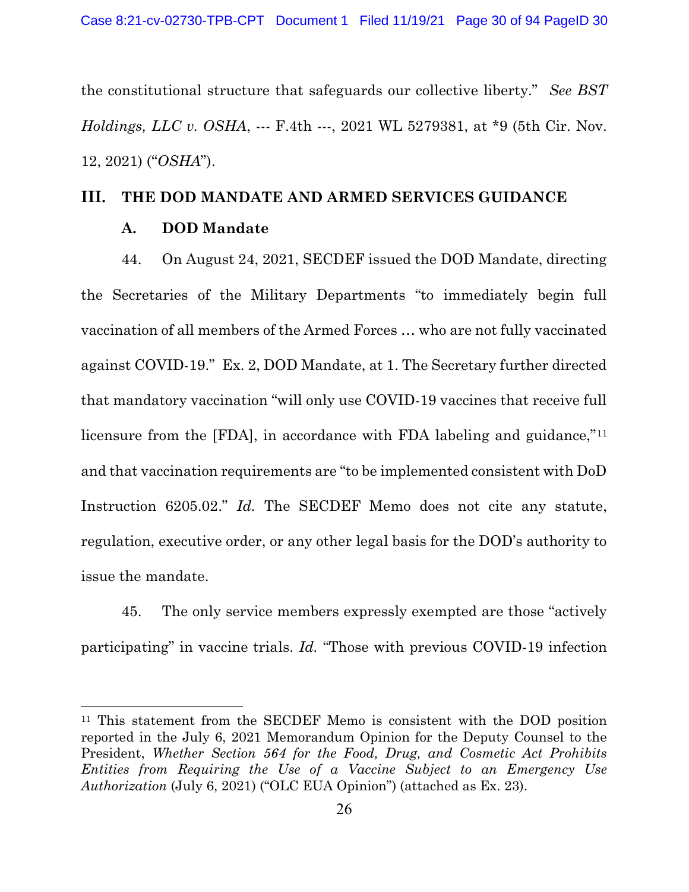the constitutional structure that safeguards our collective liberty." See BST Holdings, LLC v. OSHA, --- F.4th ---, 2021 WL 5279381, at \*9 (5th Cir. Nov. 12, 2021) ("OSHA").

# III. THE DOD MANDATE AND ARMED SERVICES GUIDANCE

## A. DOD Mandate

44. On August 24, 2021, SECDEF issued the DOD Mandate, directing the Secretaries of the Military Departments "to immediately begin full vaccination of all members of the Armed Forces … who are not fully vaccinated against COVID-19." Ex. 2, DOD Mandate, at 1. The Secretary further directed that mandatory vaccination "will only use COVID-19 vaccines that receive full licensure from the [FDA], in accordance with FDA labeling and guidance,"<sup>11</sup> and that vaccination requirements are "to be implemented consistent with DoD Instruction 6205.02." Id. The SECDEF Memo does not cite any statute, regulation, executive order, or any other legal basis for the DOD's authority to issue the mandate.

45. The only service members expressly exempted are those "actively participating" in vaccine trials. Id. "Those with previous COVID-19 infection

<sup>11</sup> This statement from the SECDEF Memo is consistent with the DOD position reported in the July 6, 2021 Memorandum Opinion for the Deputy Counsel to the President, Whether Section 564 for the Food, Drug, and Cosmetic Act Prohibits Entities from Requiring the Use of a Vaccine Subject to an Emergency Use Authorization (July 6, 2021) ("OLC EUA Opinion") (attached as Ex. 23).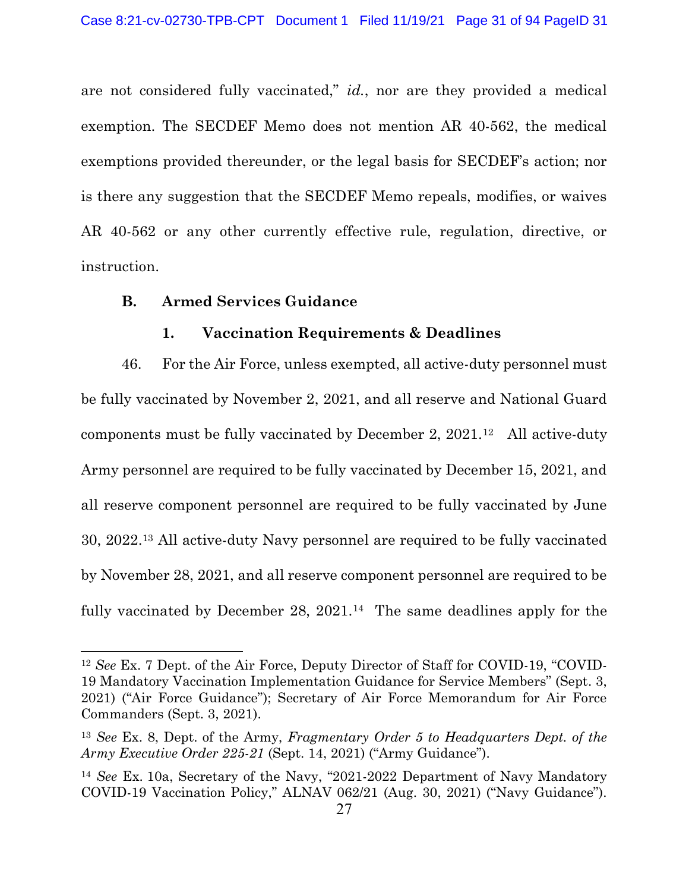are not considered fully vaccinated," *id.*, nor are they provided a medical exemption. The SECDEF Memo does not mention AR 40-562, the medical exemptions provided thereunder, or the legal basis for SECDEF's action; nor is there any suggestion that the SECDEF Memo repeals, modifies, or waives AR 40-562 or any other currently effective rule, regulation, directive, or instruction.

## B. Armed Services Guidance

## 1. Vaccination Requirements & Deadlines

46. For the Air Force, unless exempted, all active-duty personnel must be fully vaccinated by November 2, 2021, and all reserve and National Guard components must be fully vaccinated by December 2, 2021.12 All active-duty Army personnel are required to be fully vaccinated by December 15, 2021, and all reserve component personnel are required to be fully vaccinated by June 30, 2022.13 All active-duty Navy personnel are required to be fully vaccinated by November 28, 2021, and all reserve component personnel are required to be fully vaccinated by December 28,  $2021<sup>14</sup>$  The same deadlines apply for the

<sup>12</sup> See Ex. 7 Dept. of the Air Force, Deputy Director of Staff for COVID-19, "COVID-19 Mandatory Vaccination Implementation Guidance for Service Members" (Sept. 3, 2021) ("Air Force Guidance"); Secretary of Air Force Memorandum for Air Force Commanders (Sept. 3, 2021).

<sup>&</sup>lt;sup>13</sup> See Ex. 8, Dept. of the Army, Fragmentary Order 5 to Headquarters Dept. of the Army Executive Order 225-21 (Sept. 14, 2021) ("Army Guidance").

<sup>14</sup> See Ex. 10a, Secretary of the Navy, "2021-2022 Department of Navy Mandatory COVID-19 Vaccination Policy," ALNAV 062/21 (Aug. 30, 2021) ("Navy Guidance").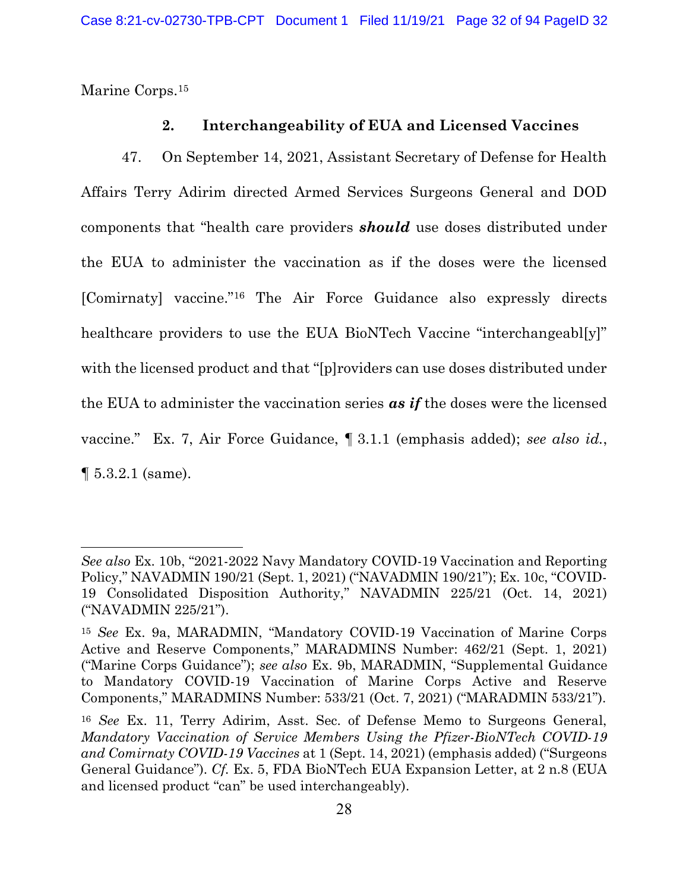Marine Corps.<sup>15</sup>

## 2. Interchangeability of EUA and Licensed Vaccines

47. On September 14, 2021, Assistant Secretary of Defense for Health Affairs Terry Adirim directed Armed Services Surgeons General and DOD components that "health care providers **should** use doses distributed under the EUA to administer the vaccination as if the doses were the licensed [Comirnaty] vaccine."16 The Air Force Guidance also expressly directs healthcare providers to use the EUA BioNTech Vaccine "interchangeabl[y]" with the licensed product and that "[p]roviders can use doses distributed under the EUA to administer the vaccination series  $\alpha s$  if the doses were the licensed vaccine." Ex. 7, Air Force Guidance, ¶ 3.1.1 (emphasis added); see also id.,  $\P 5.3.2.1$  (same).

See also Ex. 10b, "2021-2022 Navy Mandatory COVID-19 Vaccination and Reporting Policy," NAVADMIN 190/21 (Sept. 1, 2021) ("NAVADMIN 190/21"); Ex. 10c, "COVID-19 Consolidated Disposition Authority," NAVADMIN 225/21 (Oct. 14, 2021) ("NAVADMIN 225/21").

<sup>15</sup> See Ex. 9a, MARADMIN, "Mandatory COVID-19 Vaccination of Marine Corps Active and Reserve Components," MARADMINS Number: 462/21 (Sept. 1, 2021) ("Marine Corps Guidance"); see also Ex. 9b, MARADMIN, "Supplemental Guidance to Mandatory COVID-19 Vaccination of Marine Corps Active and Reserve Components," MARADMINS Number: 533/21 (Oct. 7, 2021) ("MARADMIN 533/21").

<sup>16</sup> See Ex. 11, Terry Adirim, Asst. Sec. of Defense Memo to Surgeons General, Mandatory Vaccination of Service Members Using the Pfizer-BioNTech COVID-19 and Comirnaty COVID-19 Vaccines at 1 (Sept. 14, 2021) (emphasis added) ("Surgeons General Guidance"). Cf. Ex. 5, FDA BioNTech EUA Expansion Letter, at 2 n.8 (EUA and licensed product "can" be used interchangeably).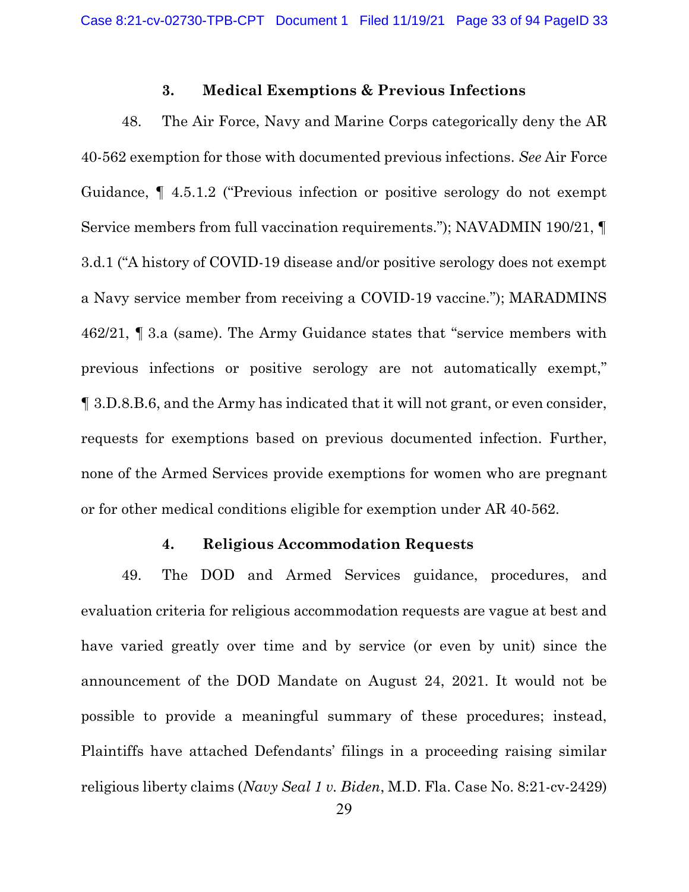#### 3. Medical Exemptions & Previous Infections

48. The Air Force, Navy and Marine Corps categorically deny the AR 40-562 exemption for those with documented previous infections. See Air Force Guidance, ¶ 4.5.1.2 ("Previous infection or positive serology do not exempt Service members from full vaccination requirements."); NAVADMIN 190/21, ¶ 3.d.1 ("A history of COVID-19 disease and/or positive serology does not exempt a Navy service member from receiving a COVID-19 vaccine."); MARADMINS 462/21, ¶ 3.a (same). The Army Guidance states that "service members with previous infections or positive serology are not automatically exempt," ¶ 3.D.8.B.6, and the Army has indicated that it will not grant, or even consider, requests for exemptions based on previous documented infection. Further, none of the Armed Services provide exemptions for women who are pregnant or for other medical conditions eligible for exemption under AR 40-562.

### 4. Religious Accommodation Requests

49. The DOD and Armed Services guidance, procedures, and evaluation criteria for religious accommodation requests are vague at best and have varied greatly over time and by service (or even by unit) since the announcement of the DOD Mandate on August 24, 2021. It would not be possible to provide a meaningful summary of these procedures; instead, Plaintiffs have attached Defendants' filings in a proceeding raising similar religious liberty claims (Navy Seal 1 v. Biden, M.D. Fla. Case No. 8:21-cv-2429)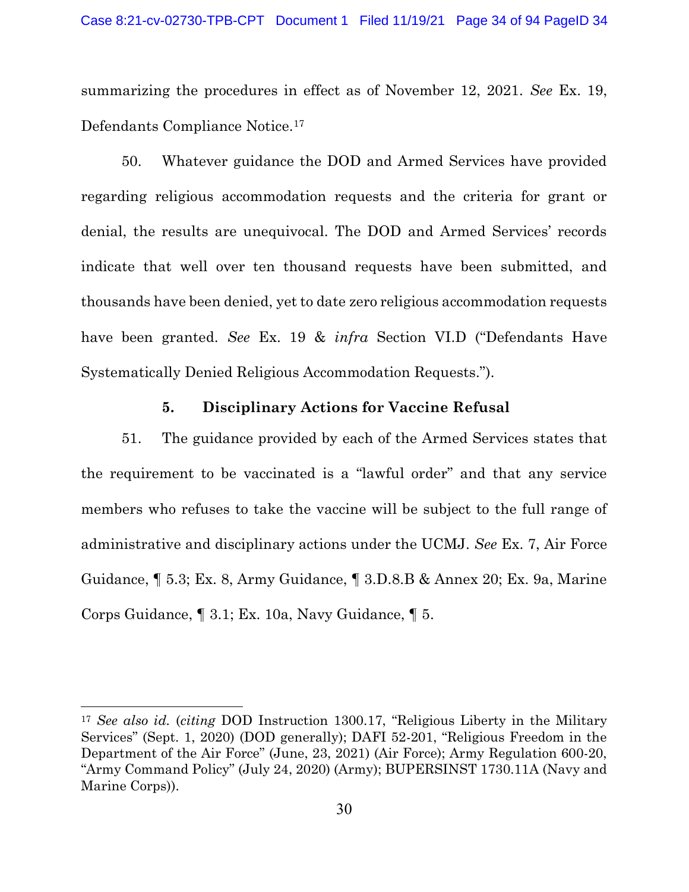summarizing the procedures in effect as of November 12, 2021. See Ex. 19, Defendants Compliance Notice.<sup>17</sup>

50. Whatever guidance the DOD and Armed Services have provided regarding religious accommodation requests and the criteria for grant or denial, the results are unequivocal. The DOD and Armed Services' records indicate that well over ten thousand requests have been submitted, and thousands have been denied, yet to date zero religious accommodation requests have been granted. See Ex. 19 & *infra* Section VI.D ("Defendants Have Systematically Denied Religious Accommodation Requests.").

## 5. Disciplinary Actions for Vaccine Refusal

51. The guidance provided by each of the Armed Services states that the requirement to be vaccinated is a "lawful order" and that any service members who refuses to take the vaccine will be subject to the full range of administrative and disciplinary actions under the UCMJ. See Ex. 7, Air Force Guidance, ¶ 5.3; Ex. 8, Army Guidance, ¶ 3.D.8.B & Annex 20; Ex. 9a, Marine Corps Guidance, ¶ 3.1; Ex. 10a, Navy Guidance, ¶ 5.

<sup>17</sup> See also id. (citing DOD Instruction 1300.17, "Religious Liberty in the Military Services" (Sept. 1, 2020) (DOD generally); DAFI 52-201, "Religious Freedom in the Department of the Air Force" (June, 23, 2021) (Air Force); Army Regulation 600-20, "Army Command Policy" (July 24, 2020) (Army); BUPERSINST 1730.11A (Navy and Marine Corps)).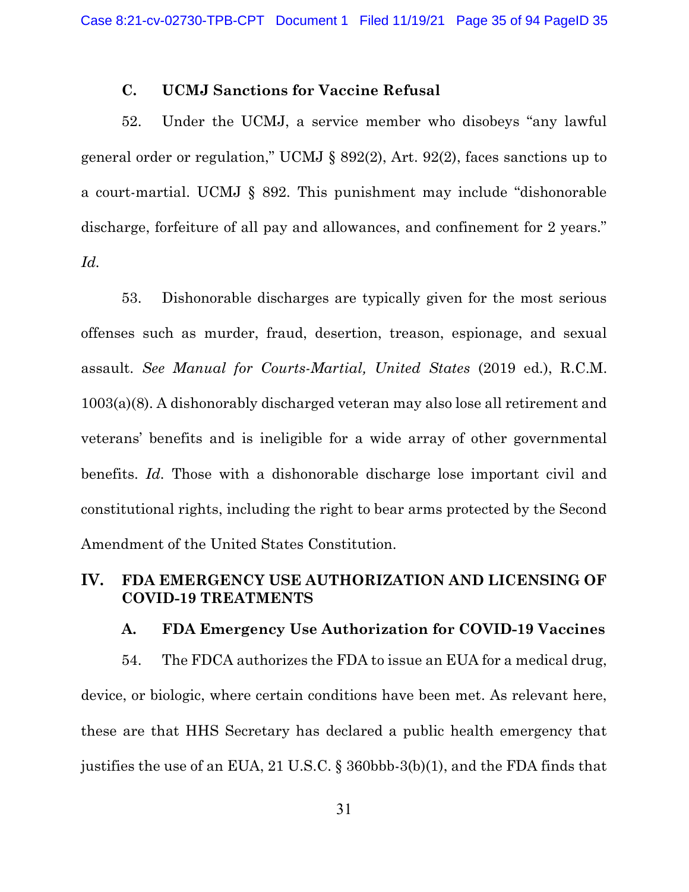## C. UCMJ Sanctions for Vaccine Refusal

52. Under the UCMJ, a service member who disobeys "any lawful general order or regulation," UCMJ § 892(2), Art. 92(2), faces sanctions up to a court-martial. UCMJ § 892. This punishment may include "dishonorable discharge, forfeiture of all pay and allowances, and confinement for 2 years." Id.

53. Dishonorable discharges are typically given for the most serious offenses such as murder, fraud, desertion, treason, espionage, and sexual assault. See Manual for Courts-Martial, United States (2019 ed.), R.C.M. 1003(a)(8). A dishonorably discharged veteran may also lose all retirement and veterans' benefits and is ineligible for a wide array of other governmental benefits. Id. Those with a dishonorable discharge lose important civil and constitutional rights, including the right to bear arms protected by the Second Amendment of the United States Constitution.

## IV. FDA EMERGENCY USE AUTHORIZATION AND LICENSING OF COVID-19 TREATMENTS

#### A. FDA Emergency Use Authorization for COVID-19 Vaccines

54. The FDCA authorizes the FDA to issue an EUA for a medical drug, device, or biologic, where certain conditions have been met. As relevant here, these are that HHS Secretary has declared a public health emergency that justifies the use of an EUA, 21 U.S.C. § 360bbb-3(b)(1), and the FDA finds that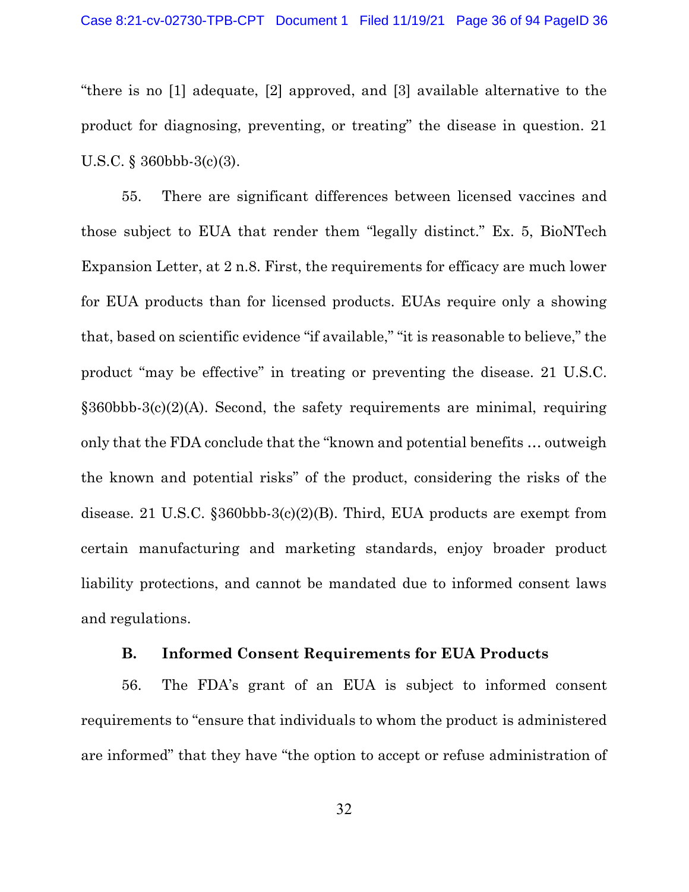"there is no [1] adequate, [2] approved, and [3] available alternative to the product for diagnosing, preventing, or treating" the disease in question. 21 U.S.C. § 360bbb-3(c)(3).

55. There are significant differences between licensed vaccines and those subject to EUA that render them "legally distinct." Ex. 5, BioNTech Expansion Letter, at 2 n.8. First, the requirements for efficacy are much lower for EUA products than for licensed products. EUAs require only a showing that, based on scientific evidence "if available," "it is reasonable to believe," the product "may be effective" in treating or preventing the disease. 21 U.S.C. §360bbb-3(c)(2)(A). Second, the safety requirements are minimal, requiring only that the FDA conclude that the "known and potential benefits … outweigh the known and potential risks" of the product, considering the risks of the disease. 21 U.S.C. §360bbb-3(c)(2)(B). Third, EUA products are exempt from certain manufacturing and marketing standards, enjoy broader product liability protections, and cannot be mandated due to informed consent laws and regulations.

## B. Informed Consent Requirements for EUA Products

56. The FDA's grant of an EUA is subject to informed consent requirements to "ensure that individuals to whom the product is administered are informed" that they have "the option to accept or refuse administration of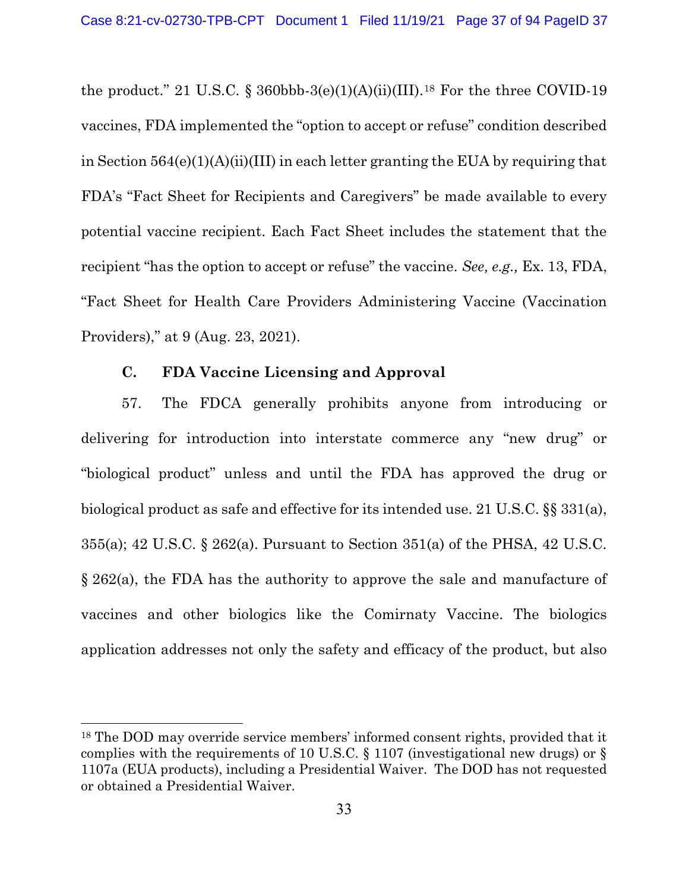the product." 21 U.S.C. § 360bbb-3(e)(1)(A)(ii)(III).<sup>18</sup> For the three COVID-19 vaccines, FDA implemented the "option to accept or refuse" condition described in Section  $564(e)(1)(A)(ii)(III)$  in each letter granting the EUA by requiring that FDA's "Fact Sheet for Recipients and Caregivers" be made available to every potential vaccine recipient. Each Fact Sheet includes the statement that the recipient "has the option to accept or refuse" the vaccine. See, e.g., Ex. 13, FDA, "Fact Sheet for Health Care Providers Administering Vaccine (Vaccination Providers)," at 9 (Aug. 23, 2021).

### C. FDA Vaccine Licensing and Approval

57. The FDCA generally prohibits anyone from introducing or delivering for introduction into interstate commerce any "new drug" or "biological product" unless and until the FDA has approved the drug or biological product as safe and effective for its intended use. 21 U.S.C. §§ 331(a), 355(a); 42 U.S.C. § 262(a). Pursuant to Section 351(a) of the PHSA, 42 U.S.C. § 262(a), the FDA has the authority to approve the sale and manufacture of vaccines and other biologics like the Comirnaty Vaccine. The biologics application addresses not only the safety and efficacy of the product, but also

<sup>18</sup> The DOD may override service members' informed consent rights, provided that it complies with the requirements of 10 U.S.C. § 1107 (investigational new drugs) or § 1107a (EUA products), including a Presidential Waiver. The DOD has not requested or obtained a Presidential Waiver.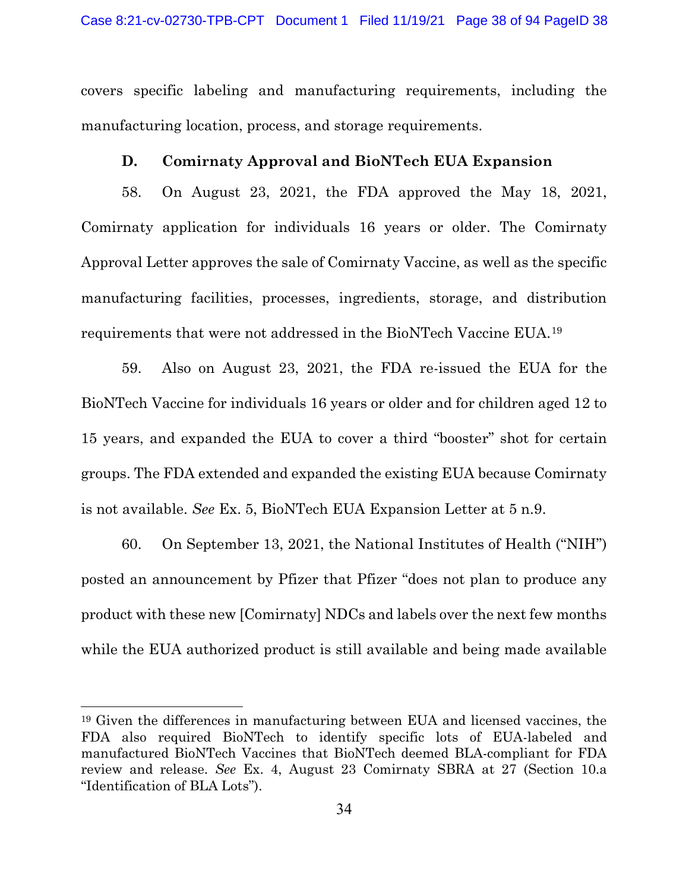covers specific labeling and manufacturing requirements, including the manufacturing location, process, and storage requirements.

#### D. Comirnaty Approval and BioNTech EUA Expansion

58. On August 23, 2021, the FDA approved the May 18, 2021, Comirnaty application for individuals 16 years or older. The Comirnaty Approval Letter approves the sale of Comirnaty Vaccine, as well as the specific manufacturing facilities, processes, ingredients, storage, and distribution requirements that were not addressed in the BioNTech Vaccine EUA.<sup>19</sup>

59. Also on August 23, 2021, the FDA re-issued the EUA for the BioNTech Vaccine for individuals 16 years or older and for children aged 12 to 15 years, and expanded the EUA to cover a third "booster" shot for certain groups. The FDA extended and expanded the existing EUA because Comirnaty is not available. See Ex. 5, BioNTech EUA Expansion Letter at 5 n.9.

60. On September 13, 2021, the National Institutes of Health ("NIH") posted an announcement by Pfizer that Pfizer "does not plan to produce any product with these new [Comirnaty] NDCs and labels over the next few months while the EUA authorized product is still available and being made available

<sup>19</sup> Given the differences in manufacturing between EUA and licensed vaccines, the FDA also required BioNTech to identify specific lots of EUA-labeled and manufactured BioNTech Vaccines that BioNTech deemed BLA-compliant for FDA review and release. See Ex. 4, August 23 Comirnaty SBRA at 27 (Section 10.a "Identification of BLA Lots").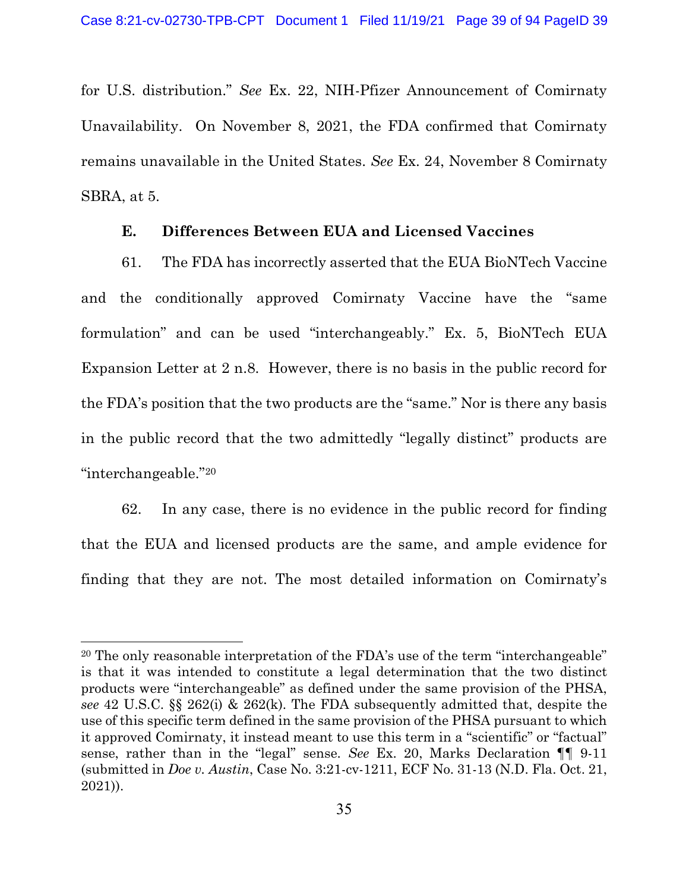for U.S. distribution." See Ex. 22, NIH-Pfizer Announcement of Comirnaty Unavailability. On November 8, 2021, the FDA confirmed that Comirnaty remains unavailable in the United States. See Ex. 24, November 8 Comirnaty SBRA, at 5.

### E. Differences Between EUA and Licensed Vaccines

61. The FDA has incorrectly asserted that the EUA BioNTech Vaccine and the conditionally approved Comirnaty Vaccine have the "same formulation" and can be used "interchangeably." Ex. 5, BioNTech EUA Expansion Letter at 2 n.8. However, there is no basis in the public record for the FDA's position that the two products are the "same." Nor is there any basis in the public record that the two admittedly "legally distinct" products are "interchangeable."<sup>20</sup>

62. In any case, there is no evidence in the public record for finding that the EUA and licensed products are the same, and ample evidence for finding that they are not. The most detailed information on Comirnaty's

<sup>&</sup>lt;sup>20</sup> The only reasonable interpretation of the FDA's use of the term "interchangeable" is that it was intended to constitute a legal determination that the two distinct products were "interchangeable" as defined under the same provision of the PHSA, see 42 U.S.C. §§ 262(i) & 262(k). The FDA subsequently admitted that, despite the use of this specific term defined in the same provision of the PHSA pursuant to which it approved Comirnaty, it instead meant to use this term in a "scientific" or "factual" sense, rather than in the "legal" sense. See Ex. 20, Marks Declaration ¶¶ 9-11 (submitted in Doe v. Austin, Case No. 3:21-cv-1211, ECF No. 31-13 (N.D. Fla. Oct. 21, 2021)).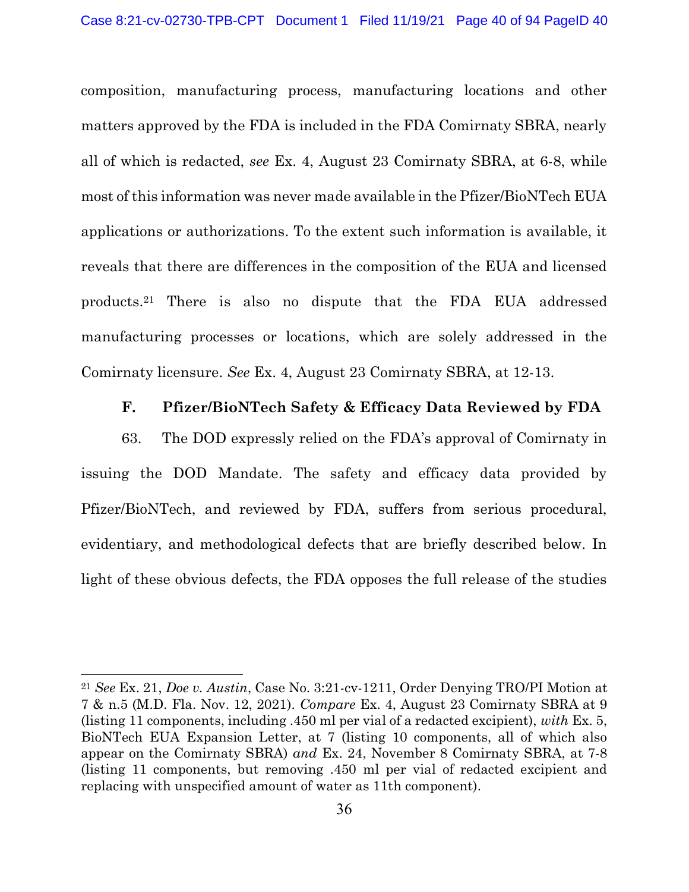composition, manufacturing process, manufacturing locations and other matters approved by the FDA is included in the FDA Comirnaty SBRA, nearly all of which is redacted, see Ex. 4, August 23 Comirnaty SBRA, at 6-8, while most of this information was never made available in the Pfizer/BioNTech EUA applications or authorizations. To the extent such information is available, it reveals that there are differences in the composition of the EUA and licensed products.21 There is also no dispute that the FDA EUA addressed manufacturing processes or locations, which are solely addressed in the Comirnaty licensure. See Ex. 4, August 23 Comirnaty SBRA, at 12-13.

#### F. Pfizer/BioNTech Safety & Efficacy Data Reviewed by FDA

63. The DOD expressly relied on the FDA's approval of Comirnaty in issuing the DOD Mandate. The safety and efficacy data provided by Pfizer/BioNTech, and reviewed by FDA, suffers from serious procedural, evidentiary, and methodological defects that are briefly described below. In light of these obvious defects, the FDA opposes the full release of the studies

<sup>&</sup>lt;sup>21</sup> See Ex. 21, *Doe v. Austin*, Case No. 3:21-cv-1211, Order Denying TRO/PI Motion at 7 & n.5 (M.D. Fla. Nov. 12, 2021). Compare Ex. 4, August 23 Comirnaty SBRA at 9 (listing 11 components, including .450 ml per vial of a redacted excipient), with Ex. 5, BioNTech EUA Expansion Letter, at 7 (listing 10 components, all of which also appear on the Comirnaty SBRA) and Ex. 24, November 8 Comirnaty SBRA, at 7-8 (listing 11 components, but removing .450 ml per vial of redacted excipient and replacing with unspecified amount of water as 11th component).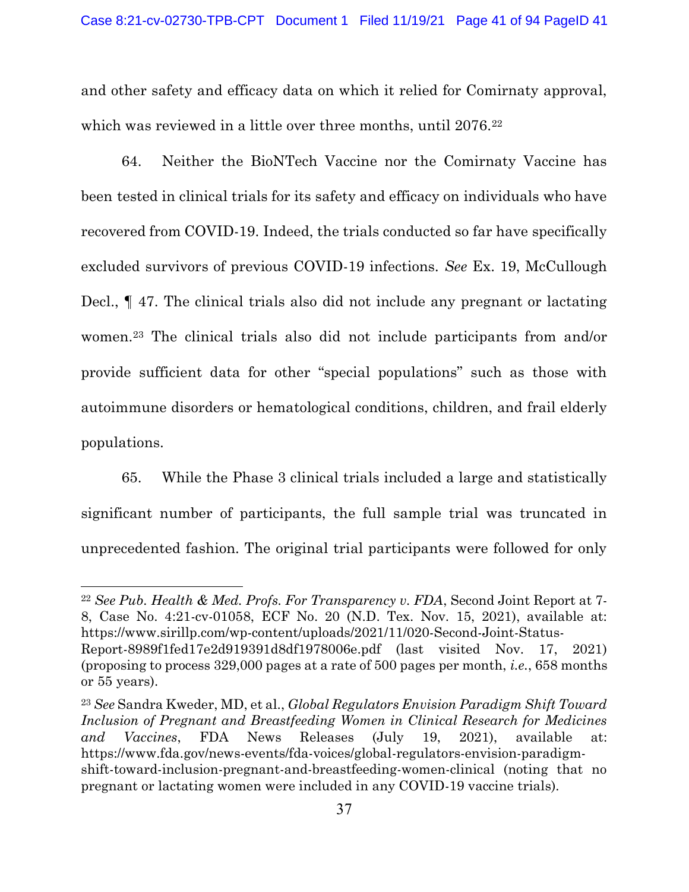and other safety and efficacy data on which it relied for Comirnaty approval, which was reviewed in a little over three months, until 2076.<sup>22</sup>

64. Neither the BioNTech Vaccine nor the Comirnaty Vaccine has been tested in clinical trials for its safety and efficacy on individuals who have recovered from COVID-19. Indeed, the trials conducted so far have specifically excluded survivors of previous COVID-19 infections. See Ex. 19, McCullough Decl., ¶ 47. The clinical trials also did not include any pregnant or lactating women.23 The clinical trials also did not include participants from and/or provide sufficient data for other "special populations" such as those with autoimmune disorders or hematological conditions, children, and frail elderly populations.

65. While the Phase 3 clinical trials included a large and statistically significant number of participants, the full sample trial was truncated in unprecedented fashion. The original trial participants were followed for only

<sup>22</sup> See Pub. Health & Med. Profs. For Transparency v. FDA, Second Joint Report at 7- 8, Case No. 4:21-cv-01058, ECF No. 20 (N.D. Tex. Nov. 15, 2021), available at: https://www.sirillp.com/wp-content/uploads/2021/11/020-Second-Joint-Status-Report-8989f1fed17e2d919391d8df1978006e.pdf (last visited Nov. 17, 2021) (proposing to process 329,000 pages at a rate of 500 pages per month, i.e., 658 months or 55 years).

<sup>&</sup>lt;sup>23</sup> See Sandra Kweder, MD, et al., *Global Regulators Envision Paradigm Shift Toward* Inclusion of Pregnant and Breastfeeding Women in Clinical Research for Medicines and Vaccines, FDA News Releases (July 19, 2021), available at: https://www.fda.gov/news-events/fda-voices/global-regulators-envision-paradigmshift-toward-inclusion-pregnant-and-breastfeeding-women-clinical (noting that no pregnant or lactating women were included in any COVID-19 vaccine trials).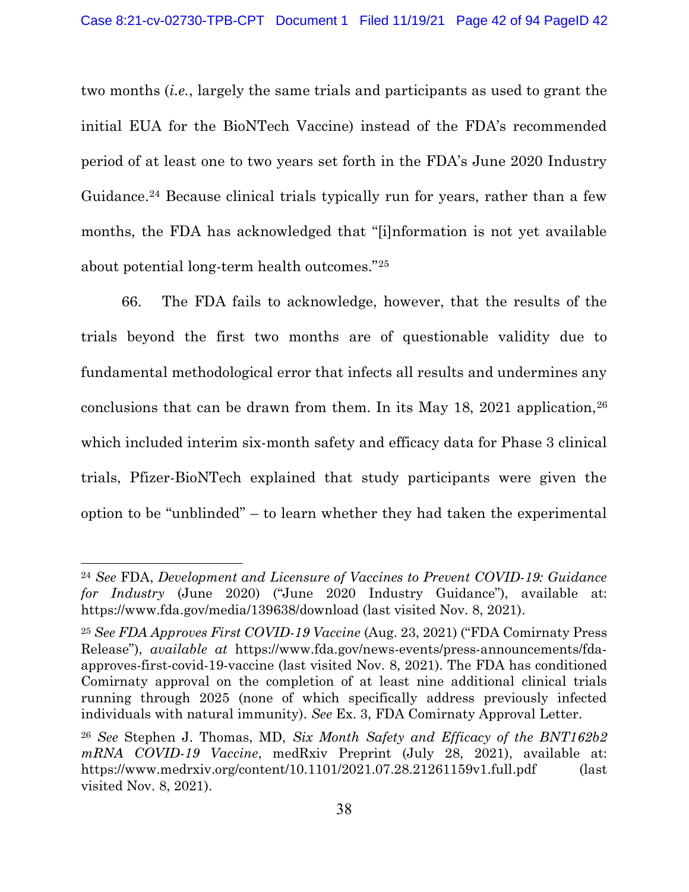two months (i.e., largely the same trials and participants as used to grant the initial EUA for the BioNTech Vaccine) instead of the FDA's recommended period of at least one to two years set forth in the FDA's June 2020 Industry Guidance.24 Because clinical trials typically run for years, rather than a few months, the FDA has acknowledged that "[i]nformation is not yet available about potential long-term health outcomes."<sup>25</sup>

66. The FDA fails to acknowledge, however, that the results of the trials beyond the first two months are of questionable validity due to fundamental methodological error that infects all results and undermines any conclusions that can be drawn from them. In its May 18, 2021 application,  $26$ which included interim six-month safety and efficacy data for Phase 3 clinical trials, Pfizer-BioNTech explained that study participants were given the option to be "unblinded" – to learn whether they had taken the experimental

<sup>24</sup> See FDA, Development and Licensure of Vaccines to Prevent COVID-19: Guidance for Industry (June 2020) ("June 2020 Industry Guidance"), available at: https://www.fda.gov/media/139638/download (last visited Nov. 8, 2021).

<sup>25</sup> See FDA Approves First COVID-19 Vaccine (Aug. 23, 2021) ("FDA Comirnaty Press Release"), available at https://www.fda.gov/news-events/press-announcements/fdaapproves-first-covid-19-vaccine (last visited Nov. 8, 2021). The FDA has conditioned Comirnaty approval on the completion of at least nine additional clinical trials running through 2025 (none of which specifically address previously infected individuals with natural immunity). See Ex. 3, FDA Comirnaty Approval Letter.

<sup>&</sup>lt;sup>26</sup> See Stephen J. Thomas, MD, Six Month Safety and Efficacy of the BNT162b2 mRNA COVID-19 Vaccine, medRxiv Preprint (July 28, 2021), available at: https://www.medrxiv.org/content/10.1101/2021.07.28.21261159v1.full.pdf (last visited Nov. 8, 2021).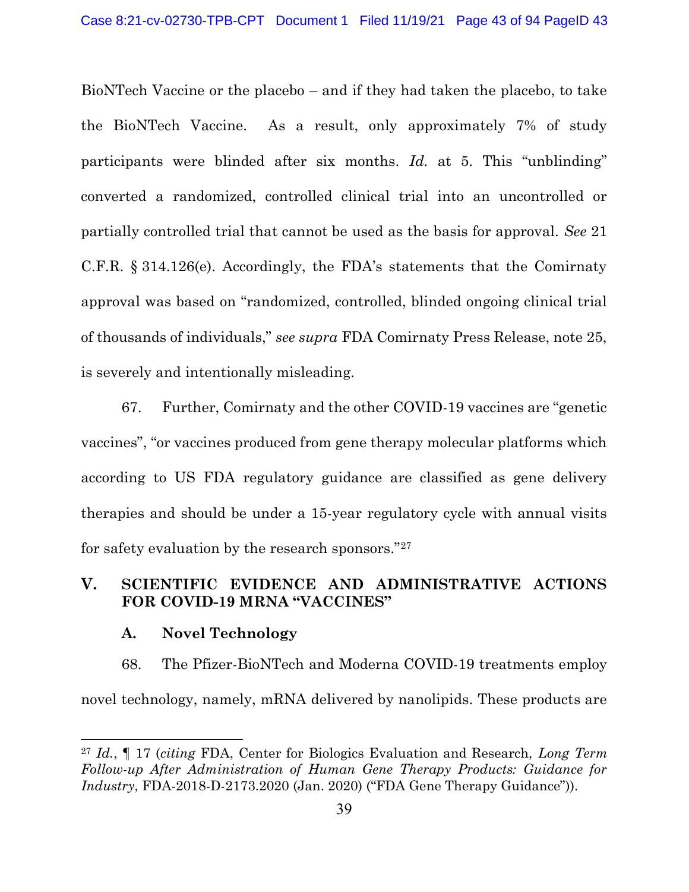BioNTech Vaccine or the placebo – and if they had taken the placebo, to take the BioNTech Vaccine. As a result, only approximately 7% of study participants were blinded after six months. Id. at 5. This "unblinding" converted a randomized, controlled clinical trial into an uncontrolled or partially controlled trial that cannot be used as the basis for approval. See 21 C.F.R. § 314.126(e). Accordingly, the FDA's statements that the Comirnaty approval was based on "randomized, controlled, blinded ongoing clinical trial of thousands of individuals," see supra FDA Comirnaty Press Release, note 25, is severely and intentionally misleading.

67. Further, Comirnaty and the other COVID-19 vaccines are "genetic vaccines", "or vaccines produced from gene therapy molecular platforms which according to US FDA regulatory guidance are classified as gene delivery therapies and should be under a 15-year regulatory cycle with annual visits for safety evaluation by the research sponsors."<sup>27</sup>

## V. SCIENTIFIC EVIDENCE AND ADMINISTRATIVE ACTIONS FOR COVID-19 MRNA "VACCINES"

#### A. Novel Technology

68. The Pfizer-BioNTech and Moderna COVID-19 treatments employ novel technology, namely, mRNA delivered by nanolipids. These products are

<sup>&</sup>lt;sup>27</sup> Id.,  $\P$  17 (citing FDA, Center for Biologics Evaluation and Research, Long Term Follow-up After Administration of Human Gene Therapy Products: Guidance for Industry, FDA-2018-D-2173.2020 (Jan. 2020) ("FDA Gene Therapy Guidance")).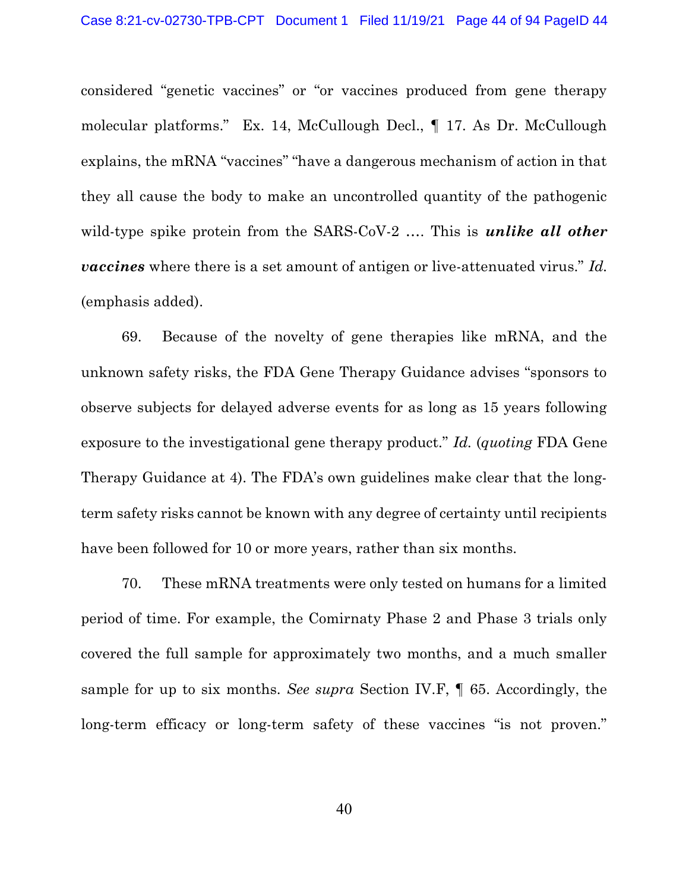considered "genetic vaccines" or "or vaccines produced from gene therapy molecular platforms." Ex. 14, McCullough Decl., ¶ 17. As Dr. McCullough explains, the mRNA "vaccines" "have a dangerous mechanism of action in that they all cause the body to make an uncontrolled quantity of the pathogenic wild-type spike protein from the SARS-CoV-2 .... This is *unlike all other* **vaccines** where there is a set amount of antigen or live-attenuated virus." Id. (emphasis added).

69. Because of the novelty of gene therapies like mRNA, and the unknown safety risks, the FDA Gene Therapy Guidance advises "sponsors to observe subjects for delayed adverse events for as long as 15 years following exposure to the investigational gene therapy product." Id. (quoting FDA Gene Therapy Guidance at 4). The FDA's own guidelines make clear that the longterm safety risks cannot be known with any degree of certainty until recipients have been followed for 10 or more years, rather than six months.

70. These mRNA treatments were only tested on humans for a limited period of time. For example, the Comirnaty Phase 2 and Phase 3 trials only covered the full sample for approximately two months, and a much smaller sample for up to six months. See supra Section IV.F, ¶ 65. Accordingly, the long-term efficacy or long-term safety of these vaccines "is not proven."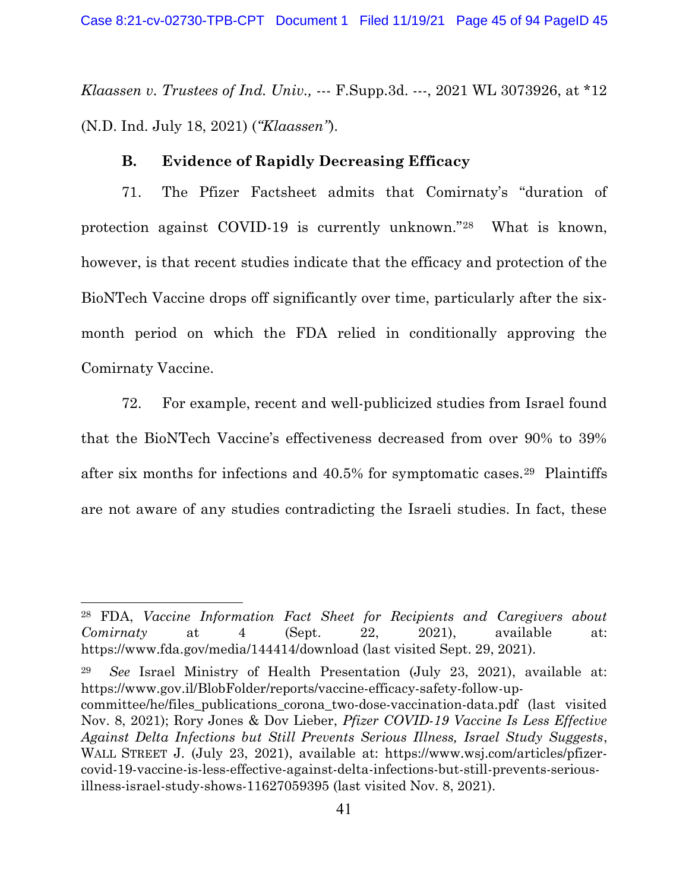Klaassen v. Trustees of Ind. Univ., --- F. Supp. 3d. ---, 2021 WL 3073926, at  $*12$ (N.D. Ind. July 18, 2021) ("Klaassen").

#### B. Evidence of Rapidly Decreasing Efficacy

71. The Pfizer Factsheet admits that Comirnaty's "duration of protection against COVID-19 is currently unknown."28 What is known, however, is that recent studies indicate that the efficacy and protection of the BioNTech Vaccine drops off significantly over time, particularly after the sixmonth period on which the FDA relied in conditionally approving the Comirnaty Vaccine.

72. For example, recent and well-publicized studies from Israel found that the BioNTech Vaccine's effectiveness decreased from over 90% to 39% after six months for infections and 40.5% for symptomatic cases.29 Plaintiffs are not aware of any studies contradicting the Israeli studies. In fact, these

<sup>29</sup> See Israel Ministry of Health Presentation (July 23, 2021), available at: https://www.gov.il/BlobFolder/reports/vaccine-efficacy-safety-follow-up-

<sup>28</sup> FDA, Vaccine Information Fact Sheet for Recipients and Caregivers about  $Comirnaty$  at 4 (Sept. 22, 2021), available at: https://www.fda.gov/media/144414/download (last visited Sept. 29, 2021).

committee/he/files\_publications\_corona\_two-dose-vaccination-data.pdf (last visited Nov. 8, 2021); Rory Jones & Dov Lieber, Pfizer COVID-19 Vaccine Is Less Effective Against Delta Infections but Still Prevents Serious Illness, Israel Study Suggests, WALL STREET J. (July 23, 2021), available at: https://www.wsj.com/articles/pfizercovid-19-vaccine-is-less-effective-against-delta-infections-but-still-prevents-seriousillness-israel-study-shows-11627059395 (last visited Nov. 8, 2021).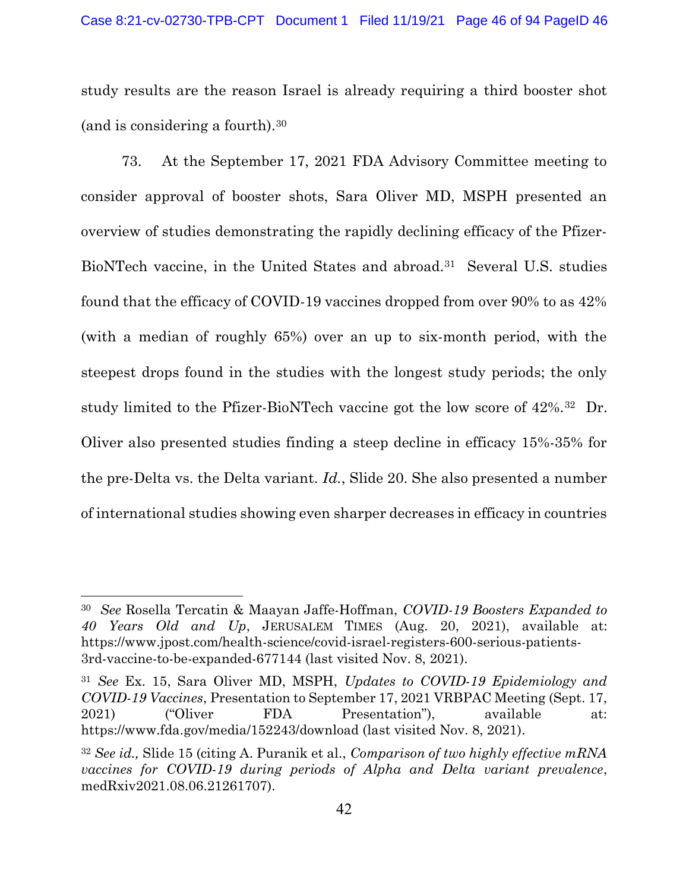study results are the reason Israel is already requiring a third booster shot (and is considering a fourth).<sup>30</sup>

73. At the September 17, 2021 FDA Advisory Committee meeting to consider approval of booster shots, Sara Oliver MD, MSPH presented an overview of studies demonstrating the rapidly declining efficacy of the Pfizer-BioNTech vaccine, in the United States and abroad.31 Several U.S. studies found that the efficacy of COVID-19 vaccines dropped from over 90% to as 42% (with a median of roughly 65%) over an up to six-month period, with the steepest drops found in the studies with the longest study periods; the only study limited to the Pfizer-BioNTech vaccine got the low score of 42%.<sup>32</sup> Dr. Oliver also presented studies finding a steep decline in efficacy 15%-35% for the pre-Delta vs. the Delta variant. Id., Slide 20. She also presented a number of international studies showing even sharper decreases in efficacy in countries

<sup>&</sup>lt;sup>30</sup> See Rosella Tercatin & Maayan Jaffe-Hoffman, COVID-19 Boosters Expanded to 40 Years Old and Up, JERUSALEM TIMES (Aug. 20, 2021), available at: https://www.jpost.com/health-science/covid-israel-registers-600-serious-patients-3rd-vaccine-to-be-expanded-677144 (last visited Nov. 8, 2021).

<sup>31</sup> See Ex. 15, Sara Oliver MD, MSPH, Updates to COVID-19 Epidemiology and COVID-19 Vaccines, Presentation to September 17, 2021 VRBPAC Meeting (Sept. 17, 2021) ("Oliver FDA Presentation"), available at: https://www.fda.gov/media/152243/download (last visited Nov. 8, 2021).

 $32$  See id., Slide 15 (citing A. Puranik et al., Comparison of two highly effective mRNA vaccines for COVID-19 during periods of Alpha and Delta variant prevalence, medRxiv2021.08.06.21261707).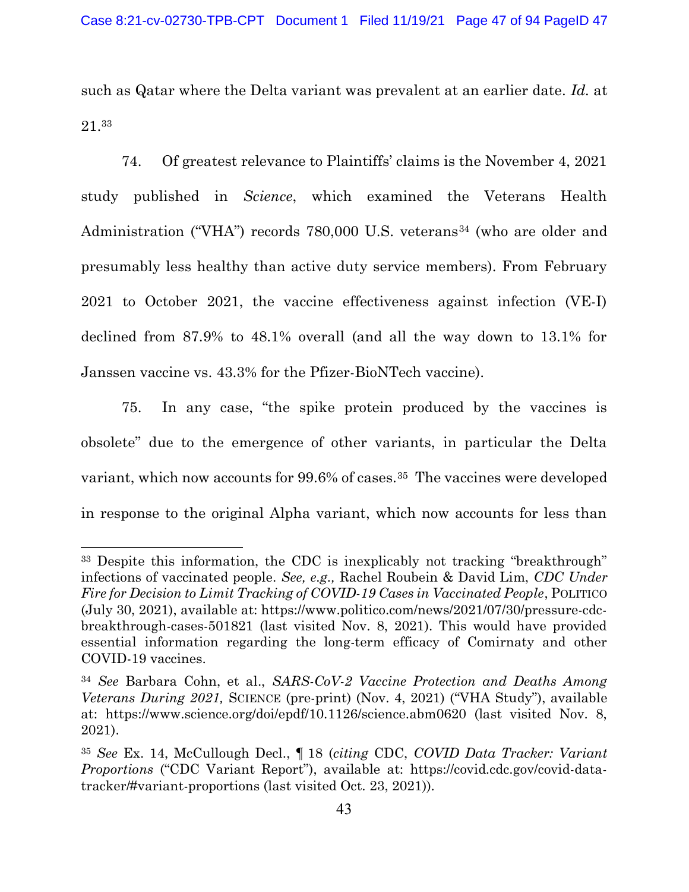such as Qatar where the Delta variant was prevalent at an earlier date. Id. at 21.<sup>33</sup>

74. Of greatest relevance to Plaintiffs' claims is the November 4, 2021 study published in Science, which examined the Veterans Health Administration ("VHA") records 780,000 U.S. veterans<sup>34</sup> (who are older and presumably less healthy than active duty service members). From February 2021 to October 2021, the vaccine effectiveness against infection (VE-I) declined from 87.9% to 48.1% overall (and all the way down to 13.1% for Janssen vaccine vs. 43.3% for the Pfizer-BioNTech vaccine).

75. In any case, "the spike protein produced by the vaccines is obsolete" due to the emergence of other variants, in particular the Delta variant, which now accounts for 99.6% of cases.35 The vaccines were developed in response to the original Alpha variant, which now accounts for less than

<sup>33</sup> Despite this information, the CDC is inexplicably not tracking "breakthrough" infections of vaccinated people. See, e.g., Rachel Roubein & David Lim, CDC Under Fire for Decision to Limit Tracking of COVID-19 Cases in Vaccinated People, POLITICO (July 30, 2021), available at: https://www.politico.com/news/2021/07/30/pressure-cdcbreakthrough-cases-501821 (last visited Nov. 8, 2021). This would have provided essential information regarding the long-term efficacy of Comirnaty and other COVID-19 vaccines.

<sup>34</sup> See Barbara Cohn, et al., SARS-CoV-2 Vaccine Protection and Deaths Among Veterans During 2021, SCIENCE (pre-print) (Nov. 4, 2021) ("VHA Study"), available at: https://www.science.org/doi/epdf/10.1126/science.abm0620 (last visited Nov. 8, 2021).

<sup>35</sup> See Ex. 14, McCullough Decl., ¶ 18 (citing CDC, COVID Data Tracker: Variant Proportions ("CDC Variant Report"), available at: https://covid.cdc.gov/covid-datatracker/#variant-proportions (last visited Oct. 23, 2021)).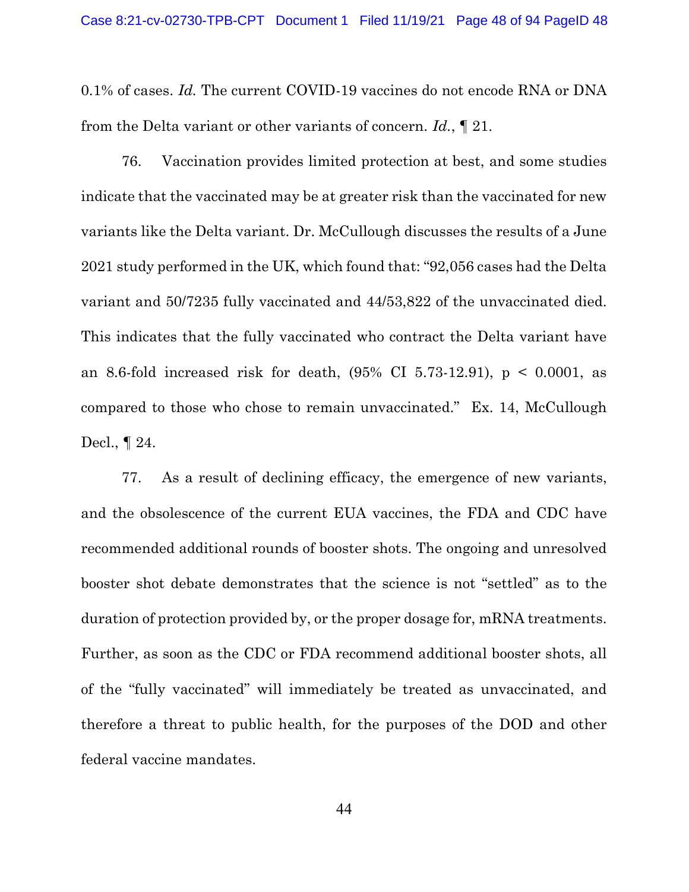0.1% of cases. Id. The current COVID-19 vaccines do not encode RNA or DNA from the Delta variant or other variants of concern. Id., ¶ 21.

76. Vaccination provides limited protection at best, and some studies indicate that the vaccinated may be at greater risk than the vaccinated for new variants like the Delta variant. Dr. McCullough discusses the results of a June 2021 study performed in the UK, which found that: "92,056 cases had the Delta variant and 50/7235 fully vaccinated and 44/53,822 of the unvaccinated died. This indicates that the fully vaccinated who contract the Delta variant have an 8.6-fold increased risk for death,  $(95\% \text{ CI } 5.73-12.91)$ ,  $p < 0.0001$ , as compared to those who chose to remain unvaccinated." Ex. 14, McCullough Decl., ¶ 24.

77. As a result of declining efficacy, the emergence of new variants, and the obsolescence of the current EUA vaccines, the FDA and CDC have recommended additional rounds of booster shots. The ongoing and unresolved booster shot debate demonstrates that the science is not "settled" as to the duration of protection provided by, or the proper dosage for, mRNA treatments. Further, as soon as the CDC or FDA recommend additional booster shots, all of the "fully vaccinated" will immediately be treated as unvaccinated, and therefore a threat to public health, for the purposes of the DOD and other federal vaccine mandates.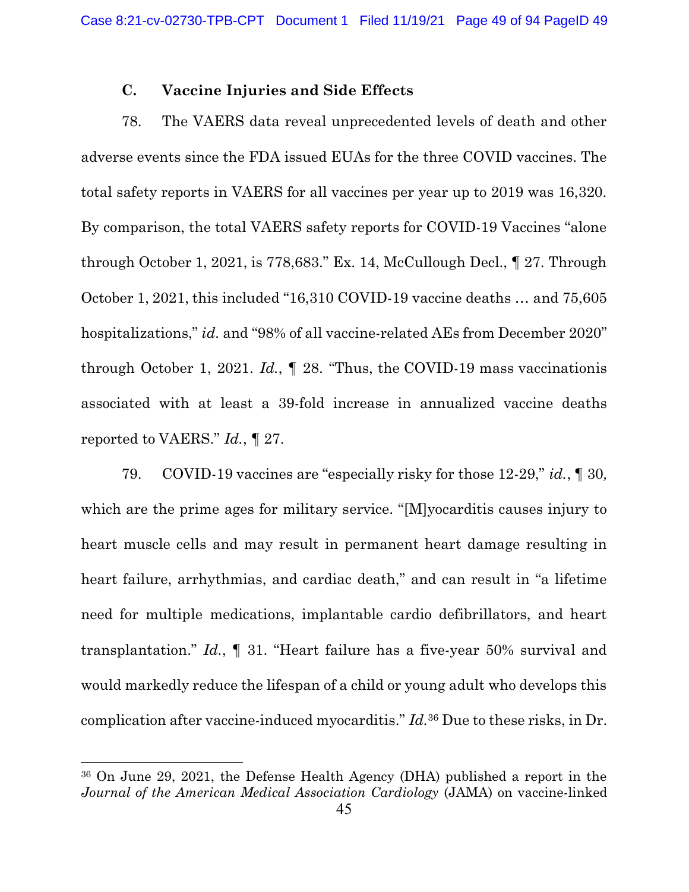## C. Vaccine Injuries and Side Effects

78. The VAERS data reveal unprecedented levels of death and other adverse events since the FDA issued EUAs for the three COVID vaccines. The total safety reports in VAERS for all vaccines per year up to 2019 was 16,320. By comparison, the total VAERS safety reports for COVID-19 Vaccines "alone through October 1, 2021, is 778,683." Ex. 14, McCullough Decl., ¶ 27. Through October 1, 2021, this included "16,310 COVID-19 vaccine deaths … and 75,605 hospitalizations," id. and "98% of all vaccine-related AEs from December 2020" through October 1, 2021. Id.,  $\parallel$  28. "Thus, the COVID-19 mass vaccination is associated with at least a 39-fold increase in annualized vaccine deaths reported to VAERS." Id., ¶ 27.

79. COVID-19 vaccines are "especially risky for those 12-29," id., ¶ 30, which are the prime ages for military service. "[M]yocarditis causes injury to heart muscle cells and may result in permanent heart damage resulting in heart failure, arrhythmias, and cardiac death," and can result in "a lifetime need for multiple medications, implantable cardio defibrillators, and heart transplantation." Id., ¶ 31. "Heart failure has a five-year 50% survival and would markedly reduce the lifespan of a child or young adult who develops this complication after vaccine-induced myocarditis." Id.<sup>36</sup> Due to these risks, in Dr.

<sup>36</sup> On June 29, 2021, the Defense Health Agency (DHA) published a report in the Journal of the American Medical Association Cardiology (JAMA) on vaccine-linked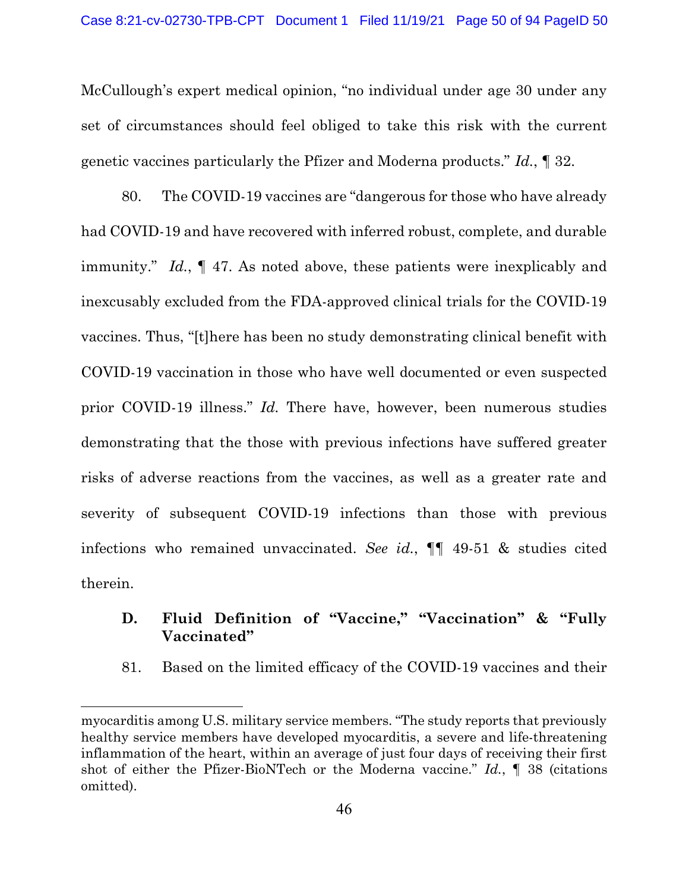McCullough's expert medical opinion, "no individual under age 30 under any set of circumstances should feel obliged to take this risk with the current genetic vaccines particularly the Pfizer and Moderna products." Id., ¶ 32.

80. The COVID-19 vaccines are "dangerous for those who have already had COVID-19 and have recovered with inferred robust, complete, and durable immunity." Id.,  $\parallel$  47. As noted above, these patients were inexplicably and inexcusably excluded from the FDA-approved clinical trials for the COVID-19 vaccines. Thus, "[t]here has been no study demonstrating clinical benefit with COVID-19 vaccination in those who have well documented or even suspected prior COVID-19 illness." Id. There have, however, been numerous studies demonstrating that the those with previous infections have suffered greater risks of adverse reactions from the vaccines, as well as a greater rate and severity of subsequent COVID-19 infections than those with previous infections who remained unvaccinated. See id.,  $\P\P$  49-51 & studies cited therein.

## D. Fluid Definition of "Vaccine," "Vaccination" & "Fully Vaccinated"

81. Based on the limited efficacy of the COVID-19 vaccines and their

myocarditis among U.S. military service members. "The study reports that previously healthy service members have developed myocarditis, a severe and life-threatening inflammation of the heart, within an average of just four days of receiving their first shot of either the Pfizer-BioNTech or the Moderna vaccine." Id.,  $\blacksquare$  38 (citations omitted).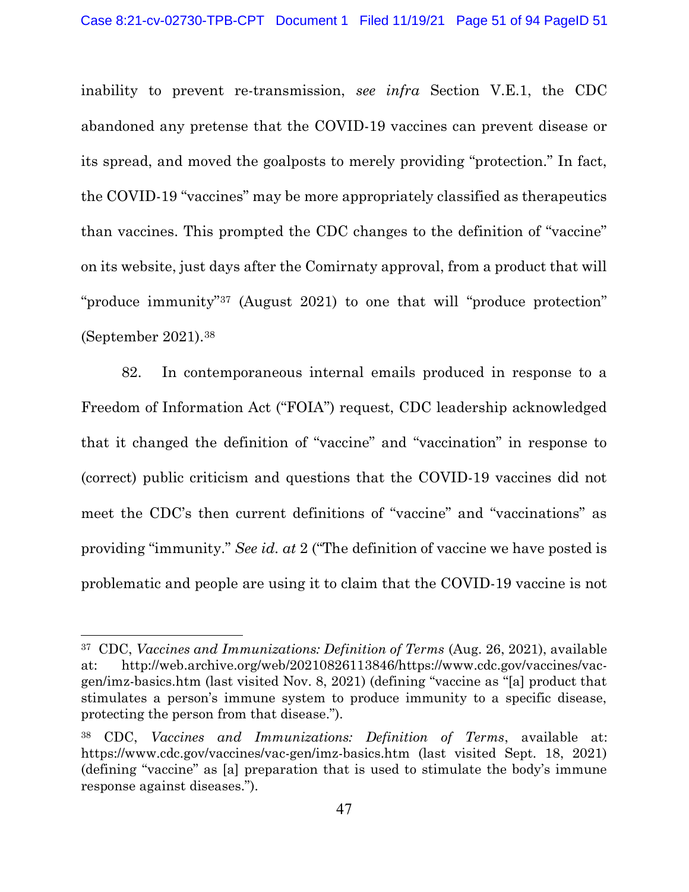inability to prevent re-transmission, see infra Section V.E.1, the CDC abandoned any pretense that the COVID-19 vaccines can prevent disease or its spread, and moved the goalposts to merely providing "protection." In fact, the COVID-19 "vaccines" may be more appropriately classified as therapeutics than vaccines. This prompted the CDC changes to the definition of "vaccine" on its website, just days after the Comirnaty approval, from a product that will "produce immunity"37 (August 2021) to one that will "produce protection" (September 2021).<sup>38</sup>

82. In contemporaneous internal emails produced in response to a Freedom of Information Act ("FOIA") request, CDC leadership acknowledged that it changed the definition of "vaccine" and "vaccination" in response to (correct) public criticism and questions that the COVID-19 vaccines did not meet the CDC's then current definitions of "vaccine" and "vaccinations" as providing "immunity." See id. at 2 ("The definition of vaccine we have posted is problematic and people are using it to claim that the COVID-19 vaccine is not

<sup>37</sup> CDC, Vaccines and Immunizations: Definition of Terms (Aug. 26, 2021), available at: http://web.archive.org/web/20210826113846/https://www.cdc.gov/vaccines/vacgen/imz-basics.htm (last visited Nov. 8, 2021) (defining "vaccine as "[a] product that stimulates a person's immune system to produce immunity to a specific disease, protecting the person from that disease.").

<sup>38</sup> CDC, Vaccines and Immunizations: Definition of Terms, available at: https://www.cdc.gov/vaccines/vac-gen/imz-basics.htm (last visited Sept. 18, 2021) (defining "vaccine" as [a] preparation that is used to stimulate the body's immune response against diseases.").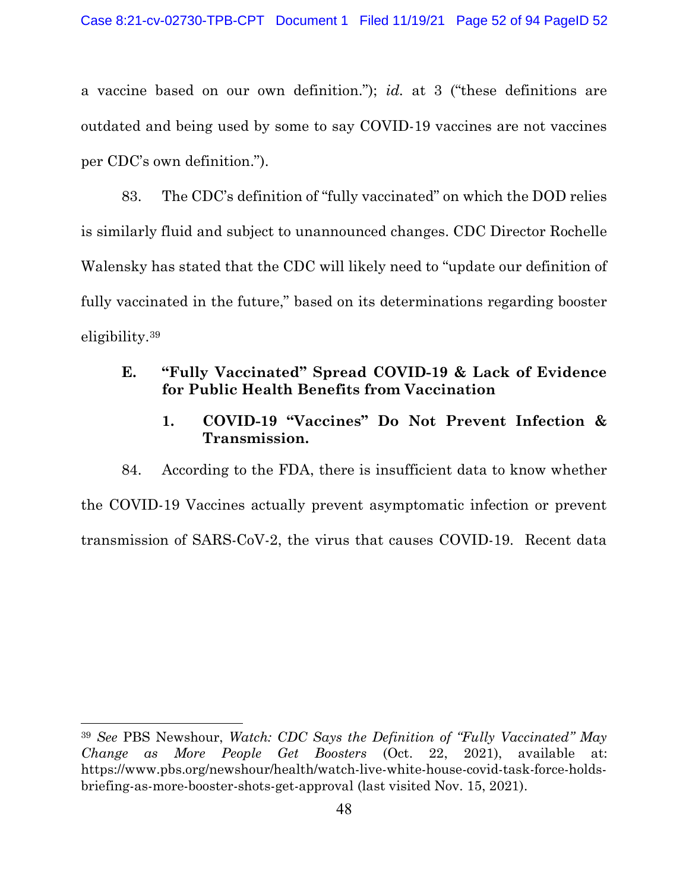a vaccine based on our own definition."); id. at 3 ("these definitions are outdated and being used by some to say COVID-19 vaccines are not vaccines per CDC's own definition.").

83. The CDC's definition of "fully vaccinated" on which the DOD relies is similarly fluid and subject to unannounced changes. CDC Director Rochelle Walensky has stated that the CDC will likely need to "update our definition of fully vaccinated in the future," based on its determinations regarding booster eligibility.<sup>39</sup>

# E. "Fully Vaccinated" Spread COVID-19 & Lack of Evidence for Public Health Benefits from Vaccination

1. COVID-19 "Vaccines" Do Not Prevent Infection & Transmission.

84. According to the FDA, there is insufficient data to know whether the COVID-19 Vaccines actually prevent asymptomatic infection or prevent transmission of SARS-CoV-2, the virus that causes COVID-19. Recent data

<sup>39</sup> See PBS Newshour, Watch: CDC Says the Definition of "Fully Vaccinated" May Change as More People Get Boosters (Oct. 22, 2021), available at: https://www.pbs.org/newshour/health/watch-live-white-house-covid-task-force-holdsbriefing-as-more-booster-shots-get-approval (last visited Nov. 15, 2021).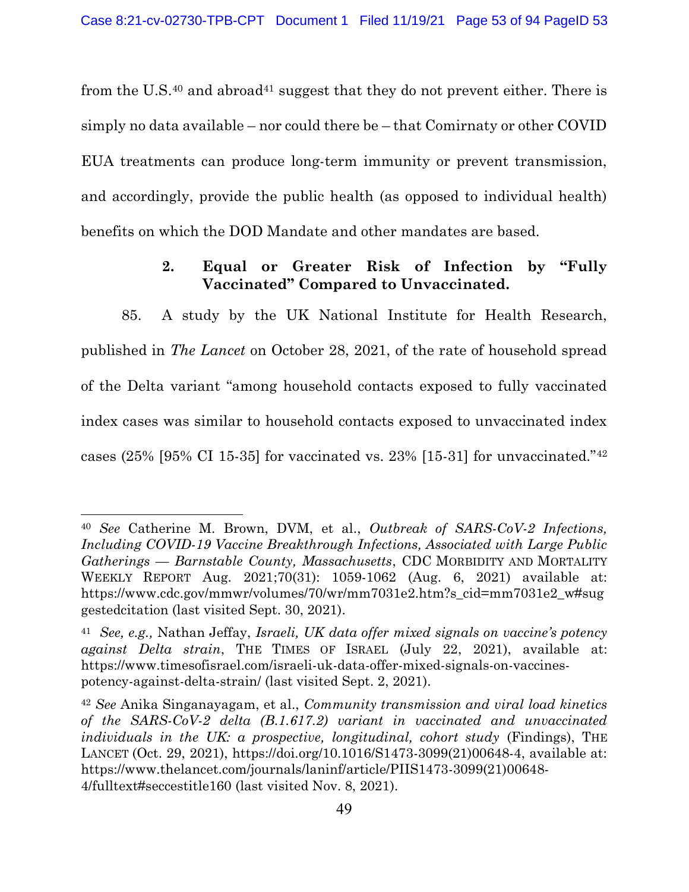from the U.S.<sup>40</sup> and abroad<sup>41</sup> suggest that they do not prevent either. There is simply no data available – nor could there be – that Comirnaty or other COVID EUA treatments can produce long-term immunity or prevent transmission, and accordingly, provide the public health (as opposed to individual health) benefits on which the DOD Mandate and other mandates are based.

# 2. Equal or Greater Risk of Infection by "Fully Vaccinated" Compared to Unvaccinated.

85. A study by the UK National Institute for Health Research, published in The Lancet on October 28, 2021, of the rate of household spread of the Delta variant "among household contacts exposed to fully vaccinated index cases was similar to household contacts exposed to unvaccinated index cases (25% [95% CI 15-35] for vaccinated vs. 23% [15-31] for unvaccinated."<sup>42</sup>

<sup>40</sup> See Catherine M. Brown, DVM, et al., Outbreak of SARS-CoV-2 Infections, Including COVID-19 Vaccine Breakthrough Infections, Associated with Large Public Gatherings — Barnstable County, Massachusetts, CDC MORBIDITY AND MORTALITY WEEKLY REPORT Aug. 2021;70(31): 1059-1062 (Aug. 6, 2021) available at: https://www.cdc.gov/mmwr/volumes/70/wr/mm7031e2.htm?s\_cid=mm7031e2\_w#sug gestedcitation (last visited Sept. 30, 2021).

<sup>&</sup>lt;sup>41</sup> See, e.g., Nathan Jeffay, Israeli, UK data offer mixed signals on vaccine's potency against Delta strain, THE TIMES OF ISRAEL (July 22, 2021), available at: https://www.timesofisrael.com/israeli-uk-data-offer-mixed-signals-on-vaccinespotency-against-delta-strain/ (last visited Sept. 2, 2021).

<sup>42</sup> See Anika Singanayagam, et al., Community transmission and viral load kinetics of the SARS-CoV-2 delta (B.1.617.2) variant in vaccinated and unvaccinated individuals in the UK: a prospective, longitudinal, cohort study (Findings), THE LANCET (Oct. 29, 2021), https://doi.org/10.1016/S1473-3099(21)00648-4, available at: https://www.thelancet.com/journals/laninf/article/PIIS1473-3099(21)00648- 4/fulltext#seccestitle160 (last visited Nov. 8, 2021).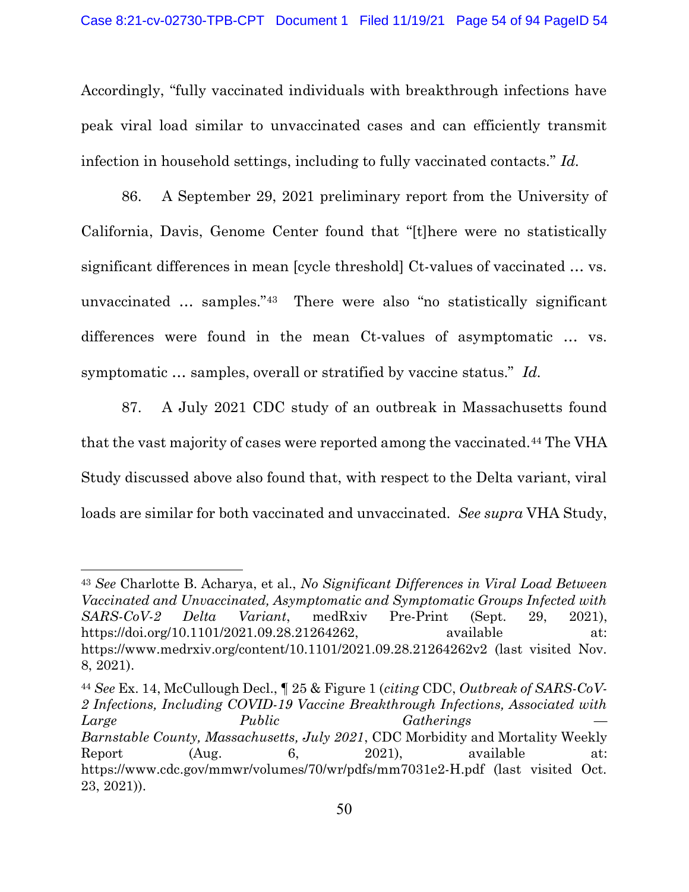Accordingly, "fully vaccinated individuals with breakthrough infections have peak viral load similar to unvaccinated cases and can efficiently transmit infection in household settings, including to fully vaccinated contacts." Id.

86. A September 29, 2021 preliminary report from the University of California, Davis, Genome Center found that "[t]here were no statistically significant differences in mean [cycle threshold] Ct-values of vaccinated … vs. unvaccinated … samples."43 There were also "no statistically significant differences were found in the mean Ct-values of asymptomatic … vs. symptomatic ... samples, overall or stratified by vaccine status." Id.

87. A July 2021 CDC study of an outbreak in Massachusetts found that the vast majority of cases were reported among the vaccinated.44 The VHA Study discussed above also found that, with respect to the Delta variant, viral loads are similar for both vaccinated and unvaccinated. See supra VHA Study,

<sup>43</sup> See Charlotte B. Acharya, et al., No Significant Differences in Viral Load Between Vaccinated and Unvaccinated, Asymptomatic and Symptomatic Groups Infected with SARS-CoV-2 Delta Variant, medRxiv Pre-Print (Sept. 29, 2021), https://doi.org/10.1101/2021.09.28.21264262, available at: https://www.medrxiv.org/content/10.1101/2021.09.28.21264262v2 (last visited Nov. 8, 2021).

<sup>44</sup> See Ex. 14, McCullough Decl., ¶ 25 & Figure 1 (citing CDC, Outbreak of SARS-CoV-2 Infections, Including COVID-19 Vaccine Breakthrough Infections, Associated with Large Public Gatherings Barnstable County, Massachusetts, July 2021, CDC Morbidity and Mortality Weekly Report (Aug. 6, 2021), available at: https://www.cdc.gov/mmwr/volumes/70/wr/pdfs/mm7031e2-H.pdf (last visited Oct. 23, 2021)).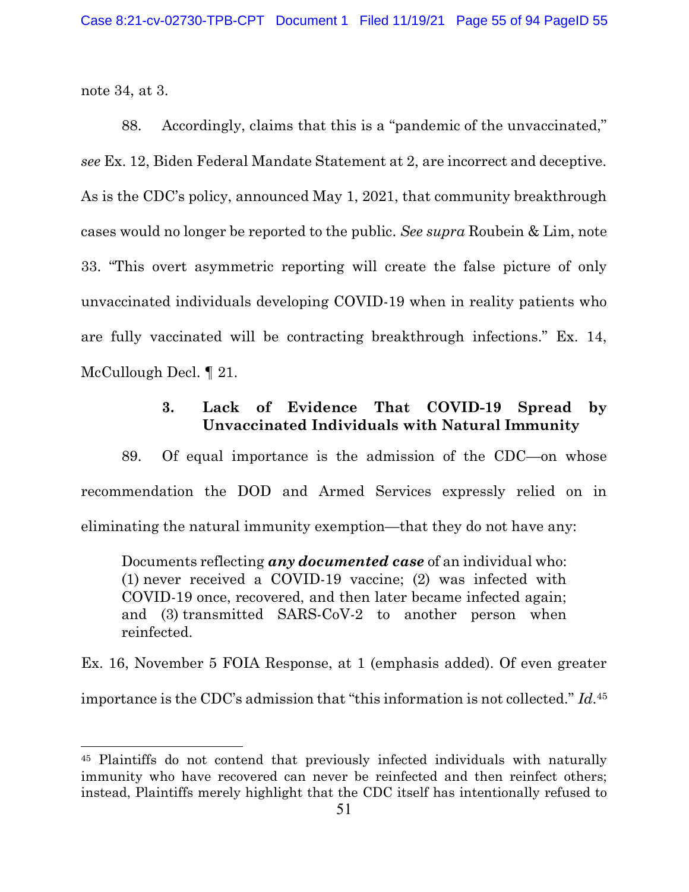note 34, at 3.

88. Accordingly, claims that this is a "pandemic of the unvaccinated," see Ex. 12, Biden Federal Mandate Statement at 2, are incorrect and deceptive. As is the CDC's policy, announced May 1, 2021, that community breakthrough cases would no longer be reported to the public. See supra Roubein & Lim, note 33. "This overt asymmetric reporting will create the false picture of only unvaccinated individuals developing COVID-19 when in reality patients who are fully vaccinated will be contracting breakthrough infections." Ex. 14, McCullough Decl. ¶ 21.

# 3. Lack of Evidence That COVID-19 Spread by Unvaccinated Individuals with Natural Immunity

89. Of equal importance is the admission of the CDC—on whose recommendation the DOD and Armed Services expressly relied on in eliminating the natural immunity exemption—that they do not have any:

Documents reflecting any documented case of an individual who: (1) never received a COVID-19 vaccine; (2) was infected with COVID-19 once, recovered, and then later became infected again; and (3) transmitted SARS-CoV-2 to another person when reinfected.

Ex. 16, November 5 FOIA Response, at 1 (emphasis added). Of even greater importance is the CDC's admission that "this information is not collected." Id.<sup>45</sup>

<sup>45</sup> Plaintiffs do not contend that previously infected individuals with naturally immunity who have recovered can never be reinfected and then reinfect others; instead, Plaintiffs merely highlight that the CDC itself has intentionally refused to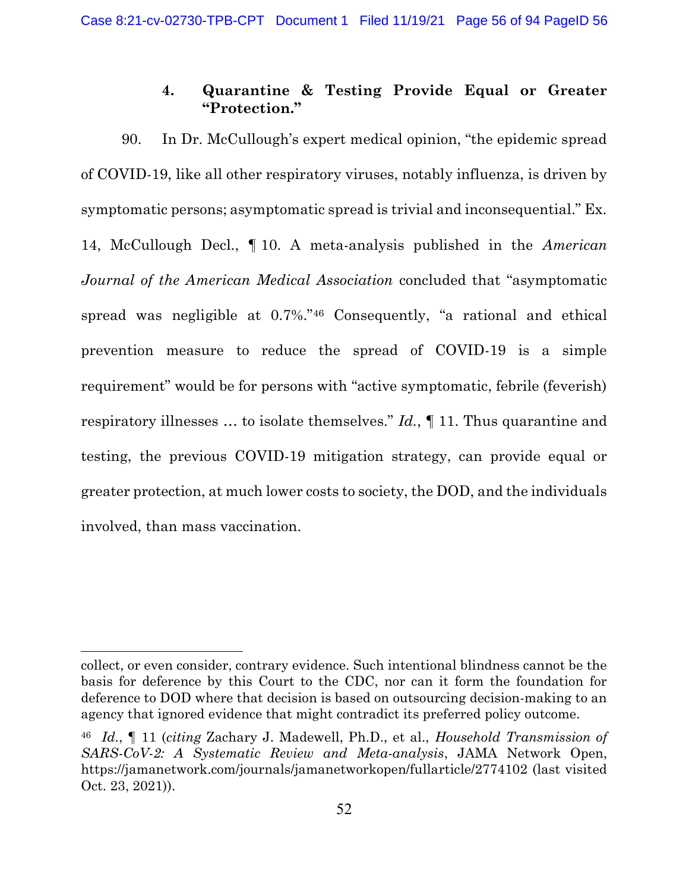## 4. Quarantine & Testing Provide Equal or Greater "Protection."

90. In Dr. McCullough's expert medical opinion, "the epidemic spread of COVID-19, like all other respiratory viruses, notably influenza, is driven by symptomatic persons; asymptomatic spread is trivial and inconsequential." Ex. 14, McCullough Decl., ¶ 10. A meta-analysis published in the American Journal of the American Medical Association concluded that "asymptomatic spread was negligible at 0.7%."46 Consequently, "a rational and ethical prevention measure to reduce the spread of COVID-19 is a simple requirement" would be for persons with "active symptomatic, febrile (feverish) respiratory illnesses … to isolate themselves." Id., ¶ 11. Thus quarantine and testing, the previous COVID-19 mitigation strategy, can provide equal or greater protection, at much lower costs to society, the DOD, and the individuals involved, than mass vaccination.

collect, or even consider, contrary evidence. Such intentional blindness cannot be the basis for deference by this Court to the CDC, nor can it form the foundation for deference to DOD where that decision is based on outsourcing decision-making to an agency that ignored evidence that might contradict its preferred policy outcome.

<sup>46</sup> Id., ¶ 11 (citing Zachary J. Madewell, Ph.D., et al., Household Transmission of SARS-CoV-2: A Systematic Review and Meta-analysis, JAMA Network Open, https://jamanetwork.com/journals/jamanetworkopen/fullarticle/2774102 (last visited Oct. 23, 2021)).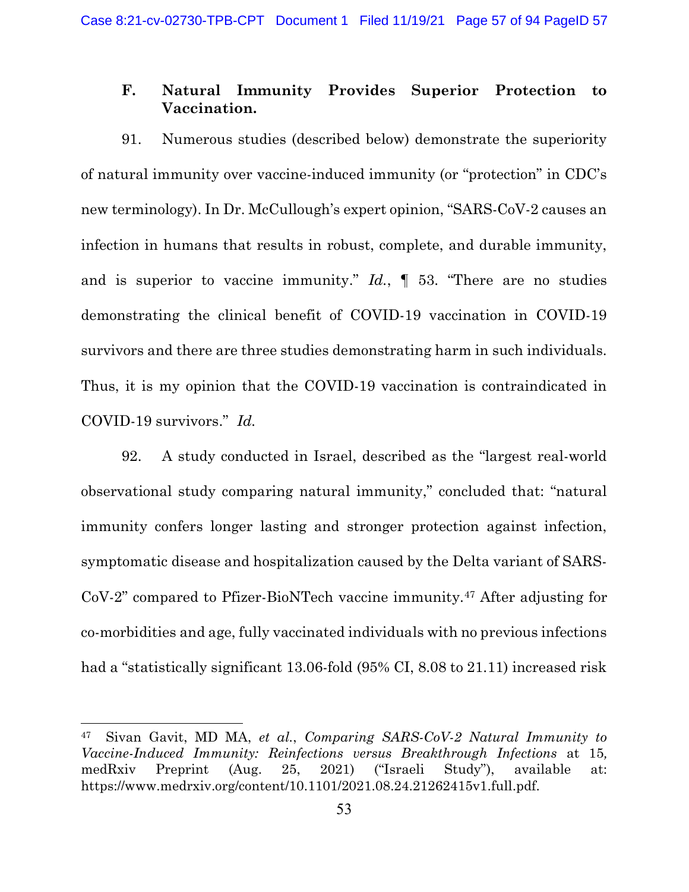### F. Natural Immunity Provides Superior Protection to Vaccination.

91. Numerous studies (described below) demonstrate the superiority of natural immunity over vaccine-induced immunity (or "protection" in CDC's new terminology). In Dr. McCullough's expert opinion, "SARS-CoV-2 causes an infection in humans that results in robust, complete, and durable immunity, and is superior to vaccine immunity."  $Id.$ ,  $\P$  53. "There are no studies demonstrating the clinical benefit of COVID-19 vaccination in COVID-19 survivors and there are three studies demonstrating harm in such individuals. Thus, it is my opinion that the COVID-19 vaccination is contraindicated in COVID-19 survivors." Id.

92. A study conducted in Israel, described as the "largest real-world observational study comparing natural immunity," concluded that: "natural immunity confers longer lasting and stronger protection against infection, symptomatic disease and hospitalization caused by the Delta variant of SARS-CoV-2" compared to Pfizer-BioNTech vaccine immunity.47 After adjusting for co-morbidities and age, fully vaccinated individuals with no previous infections had a "statistically significant 13.06-fold (95% CI, 8.08 to 21.11) increased risk

<sup>47</sup> Sivan Gavit, MD MA, et al., Comparing SARS-CoV-2 Natural Immunity to Vaccine-Induced Immunity: Reinfections versus Breakthrough Infections at 15, medRxiv Preprint (Aug. 25, 2021) ("Israeli Study"), available at: https://www.medrxiv.org/content/10.1101/2021.08.24.21262415v1.full.pdf.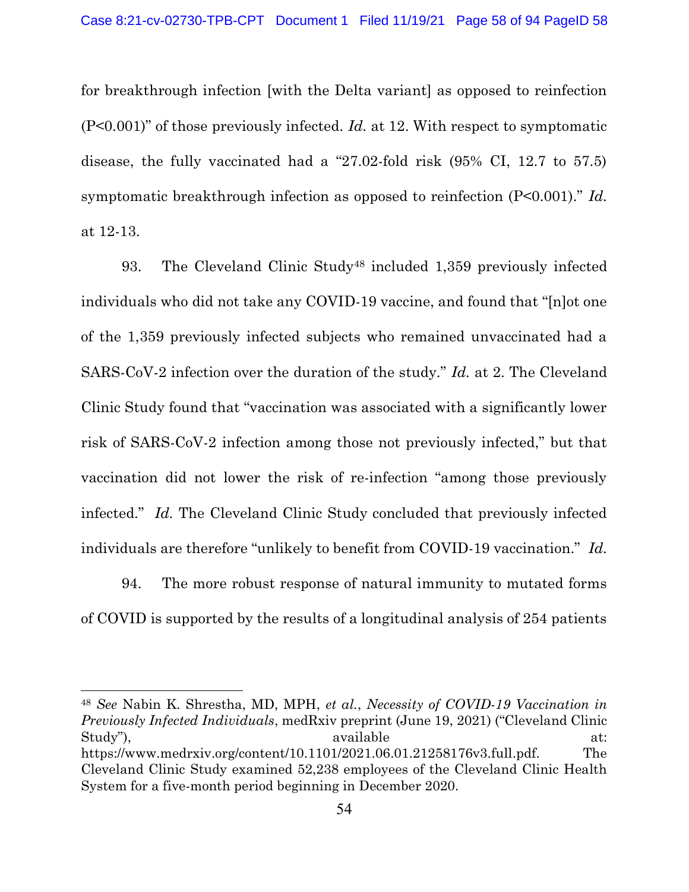for breakthrough infection [with the Delta variant] as opposed to reinfection (P<0.001)" of those previously infected. Id. at 12. With respect to symptomatic disease, the fully vaccinated had a "27.02-fold risk (95% CI, 12.7 to 57.5) symptomatic breakthrough infection as opposed to reinfection (P<0.001)." Id. at 12-13.

93. The Cleveland Clinic Study<sup>48</sup> included 1,359 previously infected individuals who did not take any COVID-19 vaccine, and found that "[n]ot one of the 1,359 previously infected subjects who remained unvaccinated had a SARS-CoV-2 infection over the duration of the study." Id. at 2. The Cleveland Clinic Study found that "vaccination was associated with a significantly lower risk of SARS-CoV-2 infection among those not previously infected," but that vaccination did not lower the risk of re-infection "among those previously infected." Id. The Cleveland Clinic Study concluded that previously infected individuals are therefore "unlikely to benefit from COVID-19 vaccination." Id.

94. The more robust response of natural immunity to mutated forms of COVID is supported by the results of a longitudinal analysis of 254 patients

<sup>48</sup> See Nabin K. Shrestha, MD, MPH, et al., Necessity of COVID-19 Vaccination in Previously Infected Individuals, medRxiv preprint (June 19, 2021) ("Cleveland Clinic Study"), available at: https://www.medrxiv.org/content/10.1101/2021.06.01.21258176v3.full.pdf. The Cleveland Clinic Study examined 52,238 employees of the Cleveland Clinic Health System for a five-month period beginning in December 2020.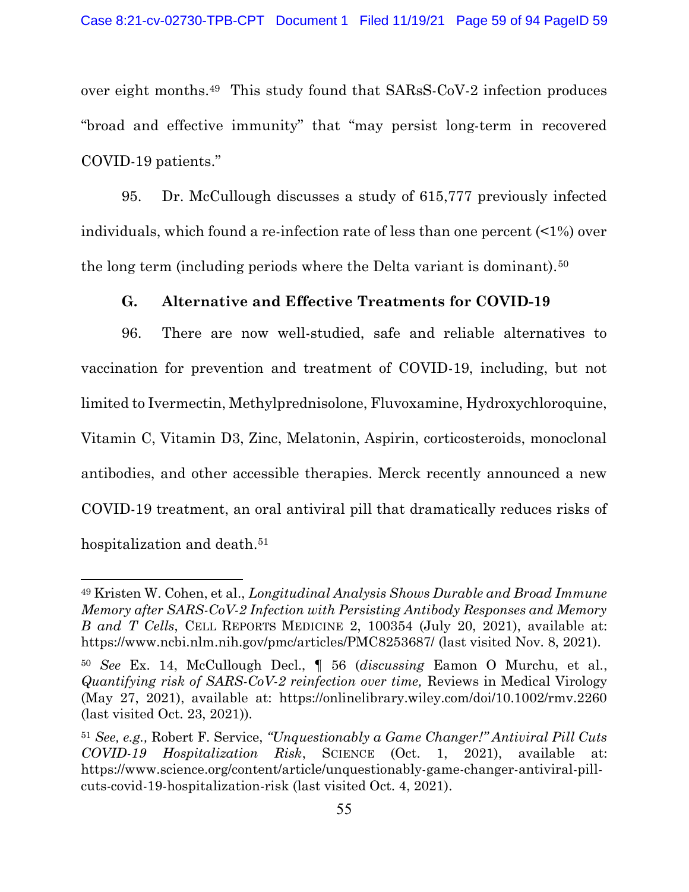over eight months.49 This study found that SARsS-CoV-2 infection produces "broad and effective immunity" that "may persist long-term in recovered COVID-19 patients."

95. Dr. McCullough discusses a study of 615,777 previously infected individuals, which found a re-infection rate of less than one percent (<1%) over the long term (including periods where the Delta variant is dominant).<sup>50</sup>

#### G. Alternative and Effective Treatments for COVID-19

96. There are now well-studied, safe and reliable alternatives to vaccination for prevention and treatment of COVID-19, including, but not limited to Ivermectin, Methylprednisolone, Fluvoxamine, Hydroxychloroquine, Vitamin C, Vitamin D3, Zinc, Melatonin, Aspirin, corticosteroids, monoclonal antibodies, and other accessible therapies. Merck recently announced a new COVID-19 treatment, an oral antiviral pill that dramatically reduces risks of hospitalization and death.<sup>51</sup>

<sup>49</sup> Kristen W. Cohen, et al., Longitudinal Analysis Shows Durable and Broad Immune Memory after SARS-CoV-2 Infection with Persisting Antibody Responses and Memory B and T Cells, CELL REPORTS MEDICINE 2, 100354 (July 20, 2021), available at: https://www.ncbi.nlm.nih.gov/pmc/articles/PMC8253687/ (last visited Nov. 8, 2021).

<sup>50</sup> See Ex. 14, McCullough Decl., ¶ 56 (discussing Eamon O Murchu, et al., Quantifying risk of SARS-CoV-2 reinfection over time, Reviews in Medical Virology (May 27, 2021), available at: https://onlinelibrary.wiley.com/doi/10.1002/rmv.2260 (last visited Oct. 23, 2021)).

<sup>51</sup> See, e.g., Robert F. Service, "Unquestionably a Game Changer!" Antiviral Pill Cuts COVID-19 Hospitalization Risk, SCIENCE (Oct. 1, 2021), available at: https://www.science.org/content/article/unquestionably-game-changer-antiviral-pillcuts-covid-19-hospitalization-risk (last visited Oct. 4, 2021).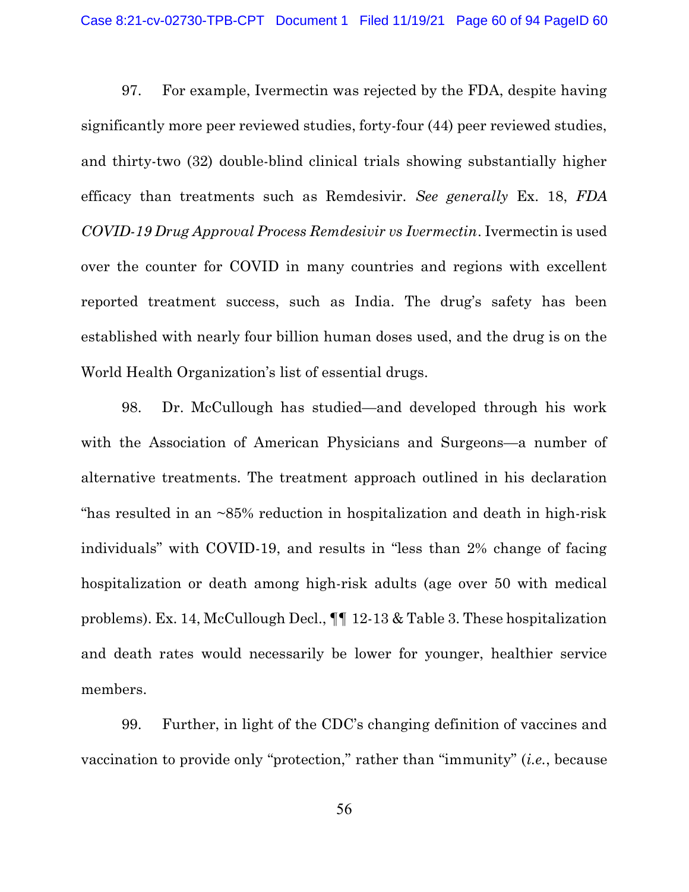97. For example, Ivermectin was rejected by the FDA, despite having significantly more peer reviewed studies, forty-four (44) peer reviewed studies, and thirty-two (32) double-blind clinical trials showing substantially higher efficacy than treatments such as Remdesivir. See generally Ex. 18, FDA COVID-19 Drug Approval Process Remdesivir vs Ivermectin. Ivermectin is used over the counter for COVID in many countries and regions with excellent reported treatment success, such as India. The drug's safety has been established with nearly four billion human doses used, and the drug is on the World Health Organization's list of essential drugs.

98. Dr. McCullough has studied—and developed through his work with the Association of American Physicians and Surgeons—a number of alternative treatments. The treatment approach outlined in his declaration "has resulted in an  $\sim 85\%$  reduction in hospitalization and death in high-risk individuals" with COVID-19, and results in "less than 2% change of facing hospitalization or death among high-risk adults (age over 50 with medical problems). Ex. 14, McCullough Decl., ¶¶ 12-13 & Table 3. These hospitalization and death rates would necessarily be lower for younger, healthier service members.

99. Further, in light of the CDC's changing definition of vaccines and vaccination to provide only "protection," rather than "immunity" (i.e., because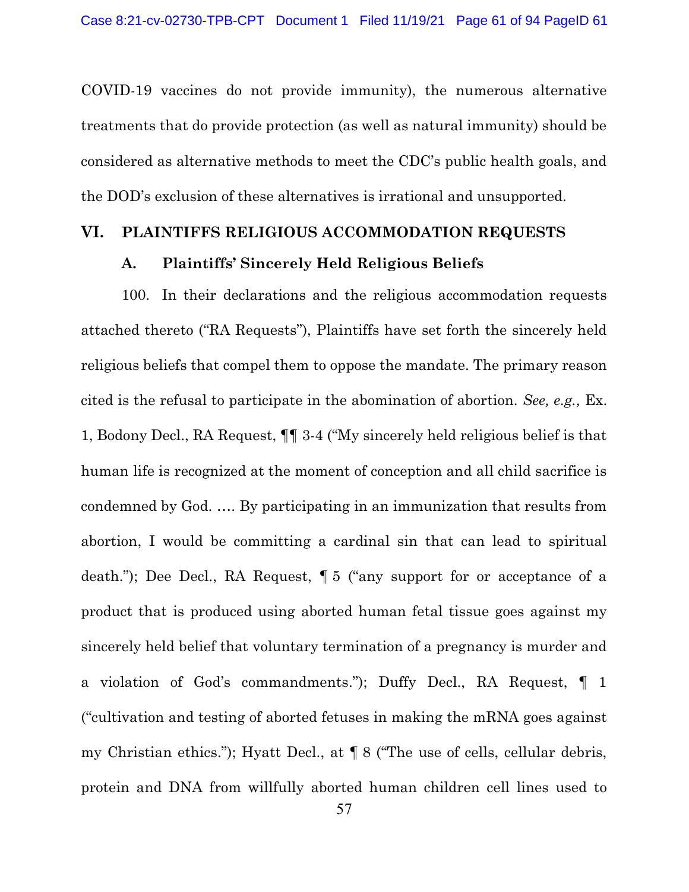COVID-19 vaccines do not provide immunity), the numerous alternative treatments that do provide protection (as well as natural immunity) should be considered as alternative methods to meet the CDC's public health goals, and the DOD's exclusion of these alternatives is irrational and unsupported.

#### VI. PLAINTIFFS RELIGIOUS ACCOMMODATION REQUESTS

#### A. Plaintiffs' Sincerely Held Religious Beliefs

100. In their declarations and the religious accommodation requests attached thereto ("RA Requests"), Plaintiffs have set forth the sincerely held religious beliefs that compel them to oppose the mandate. The primary reason cited is the refusal to participate in the abomination of abortion. See, e.g., Ex. 1, Bodony Decl., RA Request, ¶¶ 3-4 ("My sincerely held religious belief is that human life is recognized at the moment of conception and all child sacrifice is condemned by God. …. By participating in an immunization that results from abortion, I would be committing a cardinal sin that can lead to spiritual death."); Dee Decl., RA Request, ¶ 5 ("any support for or acceptance of a product that is produced using aborted human fetal tissue goes against my sincerely held belief that voluntary termination of a pregnancy is murder and a violation of God's commandments."); Duffy Decl., RA Request, ¶ 1 ("cultivation and testing of aborted fetuses in making the mRNA goes against my Christian ethics."); Hyatt Decl., at ¶ 8 ("The use of cells, cellular debris, protein and DNA from willfully aborted human children cell lines used to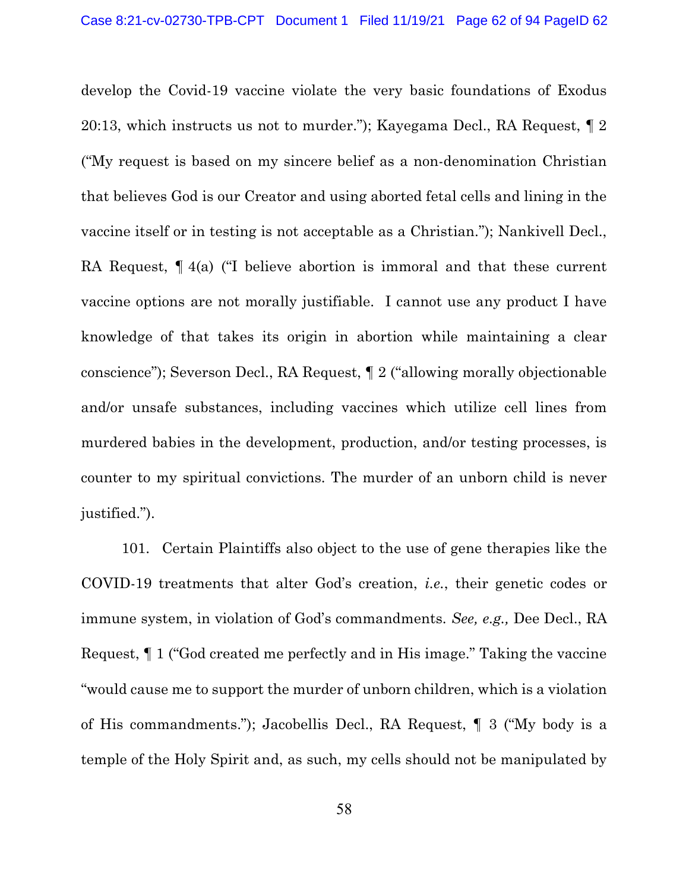develop the Covid-19 vaccine violate the very basic foundations of Exodus 20:13, which instructs us not to murder."); Kayegama Decl., RA Request, ¶ 2 ("My request is based on my sincere belief as a non-denomination Christian that believes God is our Creator and using aborted fetal cells and lining in the vaccine itself or in testing is not acceptable as a Christian."); Nankivell Decl., RA Request,  $\P$  4(a) ("I believe abortion is immoral and that these current vaccine options are not morally justifiable. I cannot use any product I have knowledge of that takes its origin in abortion while maintaining a clear conscience"); Severson Decl., RA Request, ¶ 2 ("allowing morally objectionable and/or unsafe substances, including vaccines which utilize cell lines from murdered babies in the development, production, and/or testing processes, is counter to my spiritual convictions. The murder of an unborn child is never justified.").

101. Certain Plaintiffs also object to the use of gene therapies like the COVID-19 treatments that alter God's creation, i.e., their genetic codes or immune system, in violation of God's commandments. See, e.g., Dee Decl., RA Request, ¶ 1 ("God created me perfectly and in His image." Taking the vaccine "would cause me to support the murder of unborn children, which is a violation of His commandments."); Jacobellis Decl., RA Request, ¶ 3 ("My body is a temple of the Holy Spirit and, as such, my cells should not be manipulated by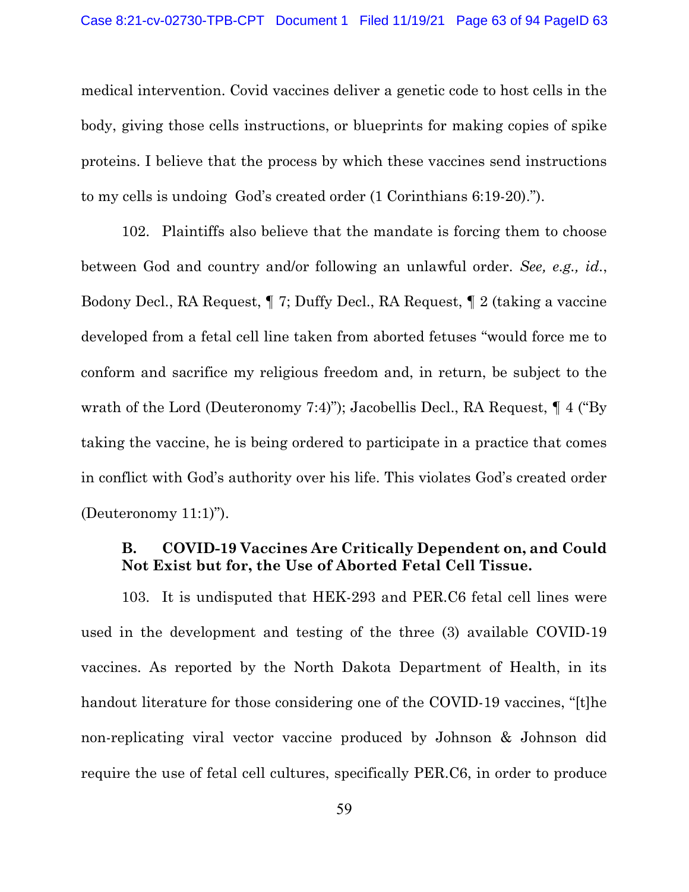medical intervention. Covid vaccines deliver a genetic code to host cells in the body, giving those cells instructions, or blueprints for making copies of spike proteins. I believe that the process by which these vaccines send instructions to my cells is undoing God's created order (1 Corinthians 6:19-20).").

102. Plaintiffs also believe that the mandate is forcing them to choose between God and country and/or following an unlawful order. See, e.g., id., Bodony Decl., RA Request, ¶ 7; Duffy Decl., RA Request, ¶ 2 (taking a vaccine developed from a fetal cell line taken from aborted fetuses "would force me to conform and sacrifice my religious freedom and, in return, be subject to the wrath of the Lord (Deuteronomy 7:4)"); Jacobellis Decl., RA Request, ¶ 4 ("By taking the vaccine, he is being ordered to participate in a practice that comes in conflict with God's authority over his life. This violates God's created order (Deuteronomy 11:1)").

## B. COVID-19 Vaccines Are Critically Dependent on, and Could Not Exist but for, the Use of Aborted Fetal Cell Tissue.

103. It is undisputed that HEK-293 and PER.C6 fetal cell lines were used in the development and testing of the three (3) available COVID-19 vaccines. As reported by the North Dakota Department of Health, in its handout literature for those considering one of the COVID-19 vaccines, "[t]he non-replicating viral vector vaccine produced by Johnson & Johnson did require the use of fetal cell cultures, specifically PER.C6, in order to produce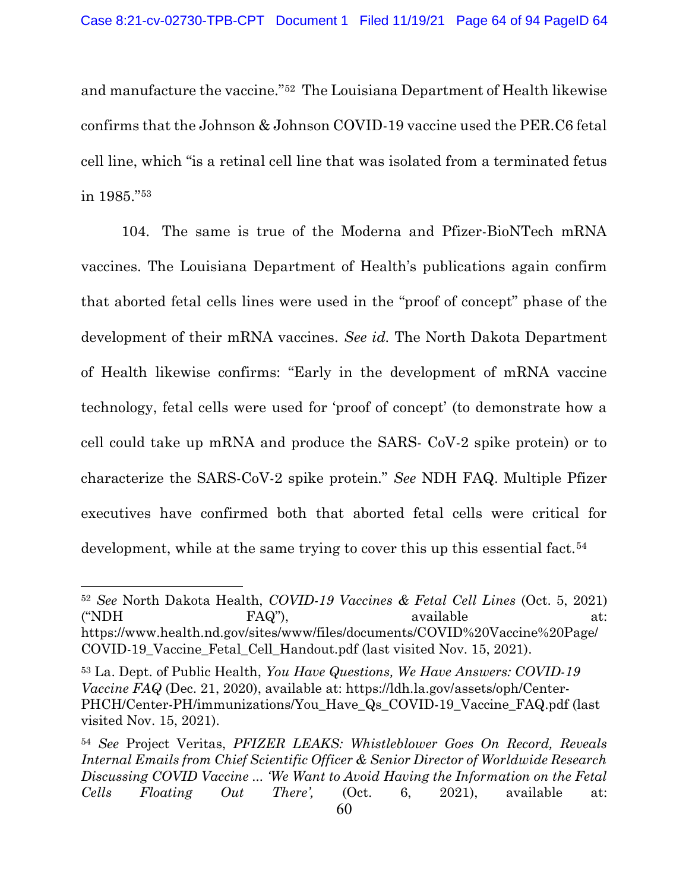and manufacture the vaccine."52 The Louisiana Department of Health likewise confirms that the Johnson & Johnson COVID-19 vaccine used the PER.C6 fetal cell line, which "is a retinal cell line that was isolated from a terminated fetus in 1985."<sup>53</sup>

104. The same is true of the Moderna and Pfizer-BioNTech mRNA vaccines. The Louisiana Department of Health's publications again confirm that aborted fetal cells lines were used in the "proof of concept" phase of the development of their mRNA vaccines. See id. The North Dakota Department of Health likewise confirms: "Early in the development of mRNA vaccine technology, fetal cells were used for 'proof of concept' (to demonstrate how a cell could take up mRNA and produce the SARS- CoV-2 spike protein) or to characterize the SARS-CoV-2 spike protein." See NDH FAQ. Multiple Pfizer executives have confirmed both that aborted fetal cells were critical for development, while at the same trying to cover this up this essential fact.<sup>54</sup>

<sup>52</sup> See North Dakota Health, COVID-19 Vaccines & Fetal Cell Lines (Oct. 5, 2021) ("NDH FAQ"), available at: https://www.health.nd.gov/sites/www/files/documents/COVID%20Vaccine%20Page/ COVID-19\_Vaccine\_Fetal\_Cell\_Handout.pdf (last visited Nov. 15, 2021).

<sup>53</sup> La. Dept. of Public Health, You Have Questions, We Have Answers: COVID-19 Vaccine FAQ (Dec. 21, 2020), available at: https://ldh.la.gov/assets/oph/Center-PHCH/Center-PH/immunizations/You\_Have\_Qs\_COVID-19\_Vaccine\_FAQ.pdf (last visited Nov. 15, 2021).

<sup>54</sup> See Project Veritas, PFIZER LEAKS: Whistleblower Goes On Record, Reveals Internal Emails from Chief Scientific Officer & Senior Director of Worldwide Research Discussing COVID Vaccine ... 'We Want to Avoid Having the Information on the Fetal Cells Floating Out There', (Oct. 6, 2021), available at: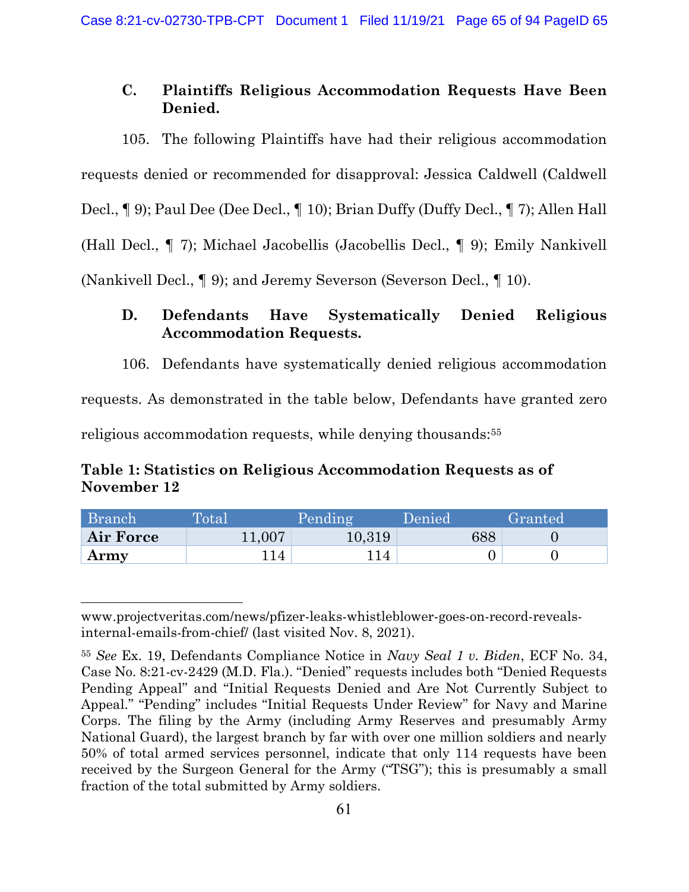# C. Plaintiffs Religious Accommodation Requests Have Been Denied.

105. The following Plaintiffs have had their religious accommodation requests denied or recommended for disapproval: Jessica Caldwell (Caldwell Decl., ¶ 9); Paul Dee (Dee Decl., ¶ 10); Brian Duffy (Duffy Decl., ¶ 7); Allen Hall (Hall Decl., ¶ 7); Michael Jacobellis (Jacobellis Decl., ¶ 9); Emily Nankivell (Nankivell Decl., ¶ 9); and Jeremy Severson (Severson Decl., ¶ 10).

# D. Defendants Have Systematically Denied Religious Accommodation Requests.

106. Defendants have systematically denied religious accommodation

requests. As demonstrated in the table below, Defendants have granted zero

religious accommodation requests, while denying thousands:<sup>55</sup>

# Table 1: Statistics on Religious Accommodation Requests as of November 12

| Branch    | Total  | Pending | Denied | Granted |
|-----------|--------|---------|--------|---------|
| Air Force | 11,007 | 10,319  | 688    |         |
| Army      | l 14   |         |        |         |

www.projectveritas.com/news/pfizer-leaks-whistleblower-goes-on-record-revealsinternal-emails-from-chief/ (last visited Nov. 8, 2021).

<sup>55</sup> See Ex. 19, Defendants Compliance Notice in Navy Seal 1 v. Biden, ECF No. 34, Case No. 8:21-cv-2429 (M.D. Fla.). "Denied" requests includes both "Denied Requests Pending Appeal" and "Initial Requests Denied and Are Not Currently Subject to Appeal." "Pending" includes "Initial Requests Under Review" for Navy and Marine Corps. The filing by the Army (including Army Reserves and presumably Army National Guard), the largest branch by far with over one million soldiers and nearly 50% of total armed services personnel, indicate that only 114 requests have been received by the Surgeon General for the Army ("TSG"); this is presumably a small fraction of the total submitted by Army soldiers.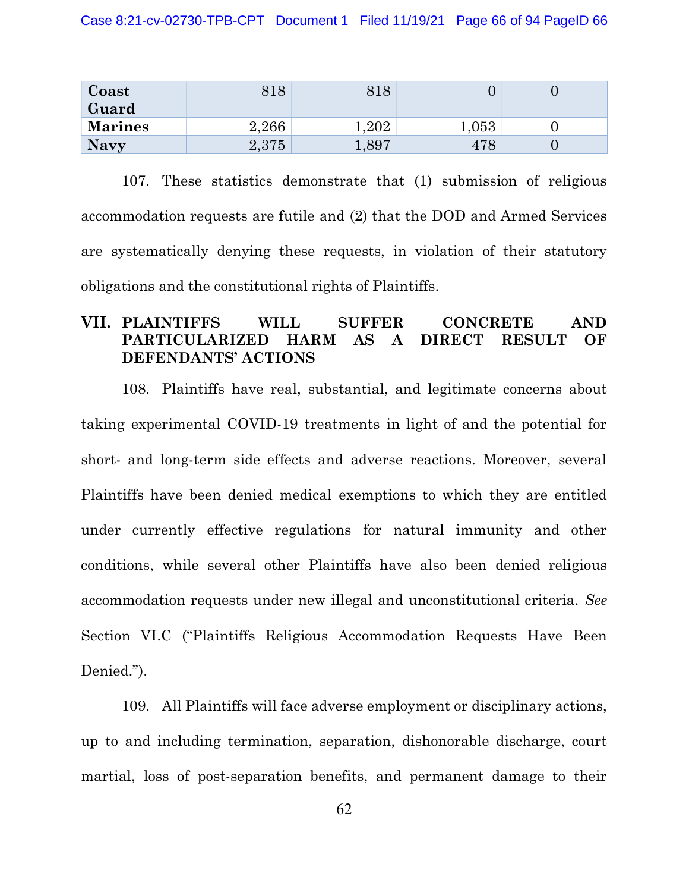| Coast<br>Guard | 818   | 8 I C |       |  |
|----------------|-------|-------|-------|--|
| <b>Marines</b> | 2,266 | 202   | 1,053 |  |
| <b>Navy</b>    | 2,375 | 1,897 |       |  |

107. These statistics demonstrate that (1) submission of religious accommodation requests are futile and (2) that the DOD and Armed Services are systematically denying these requests, in violation of their statutory obligations and the constitutional rights of Plaintiffs.

# VII. PLAINTIFFS WILL SUFFER CONCRETE AND PARTICULARIZED HARM AS A DIRECT RESULT OF DEFENDANTS' ACTIONS

108. Plaintiffs have real, substantial, and legitimate concerns about taking experimental COVID-19 treatments in light of and the potential for short- and long-term side effects and adverse reactions. Moreover, several Plaintiffs have been denied medical exemptions to which they are entitled under currently effective regulations for natural immunity and other conditions, while several other Plaintiffs have also been denied religious accommodation requests under new illegal and unconstitutional criteria. See Section VI.C ("Plaintiffs Religious Accommodation Requests Have Been Denied.").

109. All Plaintiffs will face adverse employment or disciplinary actions, up to and including termination, separation, dishonorable discharge, court martial, loss of post-separation benefits, and permanent damage to their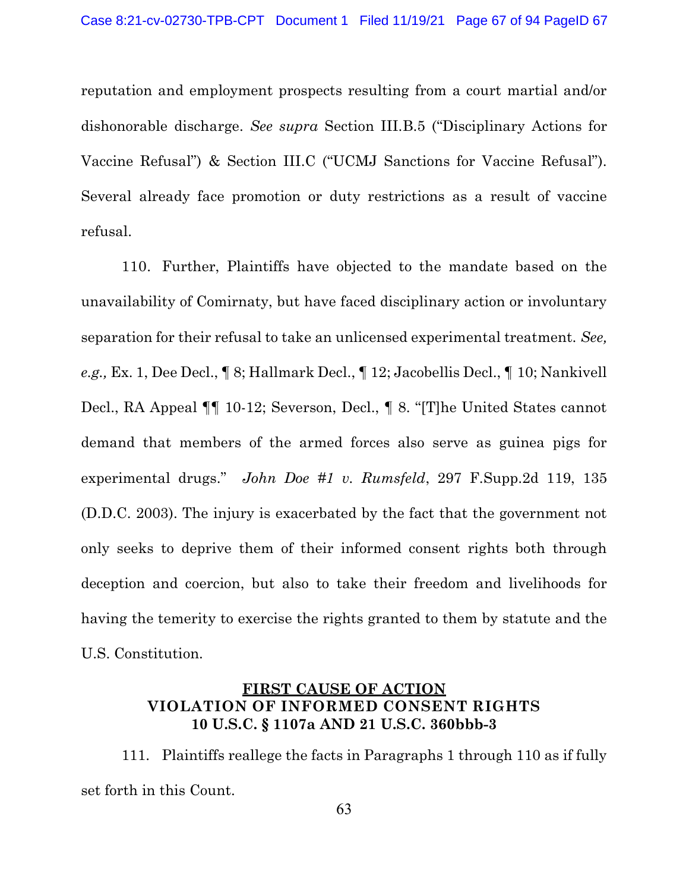reputation and employment prospects resulting from a court martial and/or dishonorable discharge. See supra Section III.B.5 ("Disciplinary Actions for Vaccine Refusal") & Section III.C ("UCMJ Sanctions for Vaccine Refusal"). Several already face promotion or duty restrictions as a result of vaccine refusal.

110. Further, Plaintiffs have objected to the mandate based on the unavailability of Comirnaty, but have faced disciplinary action or involuntary separation for their refusal to take an unlicensed experimental treatment. See, e.g., Ex. 1, Dee Decl., ¶ 8; Hallmark Decl., ¶ 12; Jacobellis Decl., ¶ 10; Nankivell Decl., RA Appeal ¶¶ 10-12; Severson, Decl., ¶ 8. "[T]he United States cannot demand that members of the armed forces also serve as guinea pigs for experimental drugs." John Doe #1 v. Rumsfeld, 297 F.Supp.2d 119, 135 (D.D.C. 2003). The injury is exacerbated by the fact that the government not only seeks to deprive them of their informed consent rights both through deception and coercion, but also to take their freedom and livelihoods for having the temerity to exercise the rights granted to them by statute and the U.S. Constitution.

## FIRST CAUSE OF ACTION VIOLATION OF INFORMED CONSENT RIGHTS 10 U.S.C. § 1107a AND 21 U.S.C. 360bbb-3

111. Plaintiffs reallege the facts in Paragraphs 1 through 110 as if fully set forth in this Count.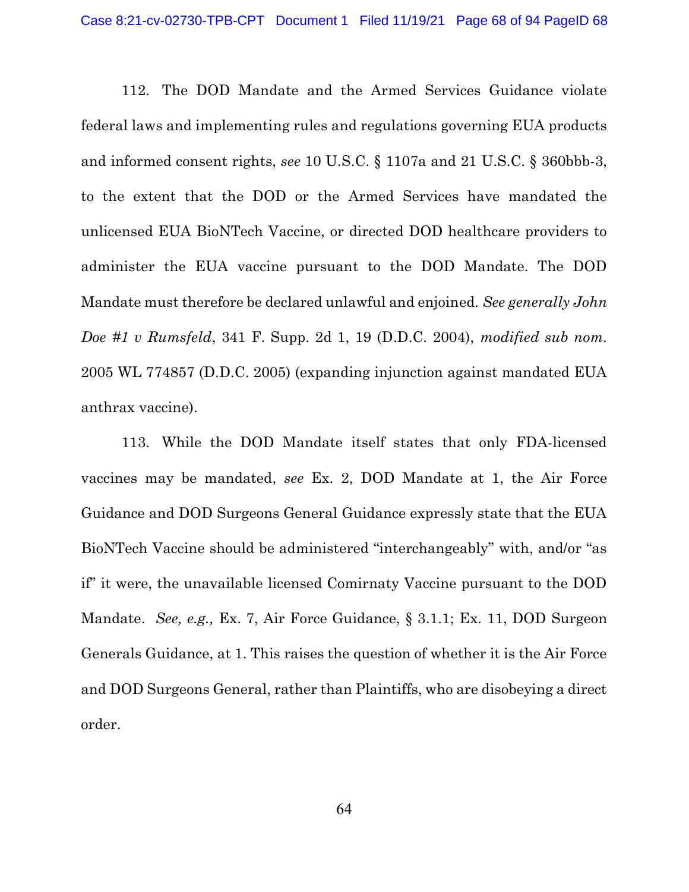112. The DOD Mandate and the Armed Services Guidance violate federal laws and implementing rules and regulations governing EUA products and informed consent rights, see 10 U.S.C. § 1107a and 21 U.S.C. § 360bbb-3, to the extent that the DOD or the Armed Services have mandated the unlicensed EUA BioNTech Vaccine, or directed DOD healthcare providers to administer the EUA vaccine pursuant to the DOD Mandate. The DOD Mandate must therefore be declared unlawful and enjoined. See generally John Doe #1 v Rumsfeld, 341 F. Supp. 2d 1, 19 (D.D.C. 2004), modified sub nom. 2005 WL 774857 (D.D.C. 2005) (expanding injunction against mandated EUA anthrax vaccine).

113. While the DOD Mandate itself states that only FDA-licensed vaccines may be mandated, see Ex. 2, DOD Mandate at 1, the Air Force Guidance and DOD Surgeons General Guidance expressly state that the EUA BioNTech Vaccine should be administered "interchangeably" with, and/or "as if" it were, the unavailable licensed Comirnaty Vaccine pursuant to the DOD Mandate. See, e.g., Ex. 7, Air Force Guidance, § 3.1.1; Ex. 11, DOD Surgeon Generals Guidance, at 1. This raises the question of whether it is the Air Force and DOD Surgeons General, rather than Plaintiffs, who are disobeying a direct order.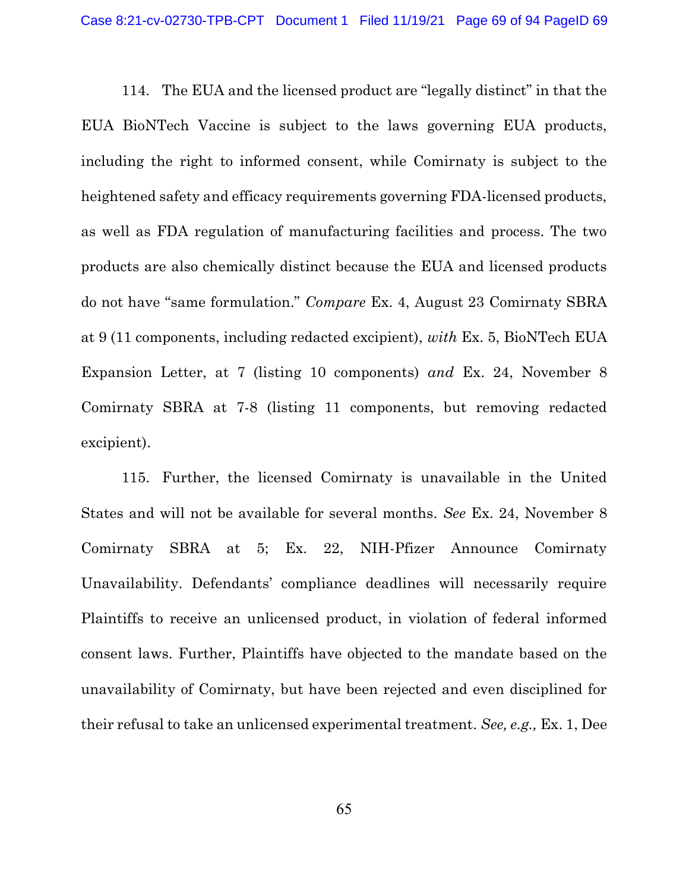114. The EUA and the licensed product are "legally distinct" in that the EUA BioNTech Vaccine is subject to the laws governing EUA products, including the right to informed consent, while Comirnaty is subject to the heightened safety and efficacy requirements governing FDA-licensed products, as well as FDA regulation of manufacturing facilities and process. The two products are also chemically distinct because the EUA and licensed products do not have "same formulation." Compare Ex. 4, August 23 Comirnaty SBRA at 9 (11 components, including redacted excipient), with Ex. 5, BioNTech EUA Expansion Letter, at 7 (listing 10 components) and Ex. 24, November 8 Comirnaty SBRA at 7-8 (listing 11 components, but removing redacted excipient).

115. Further, the licensed Comirnaty is unavailable in the United States and will not be available for several months. See Ex. 24, November 8 Comirnaty SBRA at 5; Ex. 22, NIH-Pfizer Announce Comirnaty Unavailability. Defendants' compliance deadlines will necessarily require Plaintiffs to receive an unlicensed product, in violation of federal informed consent laws. Further, Plaintiffs have objected to the mandate based on the unavailability of Comirnaty, but have been rejected and even disciplined for their refusal to take an unlicensed experimental treatment. See, e.g., Ex. 1, Dee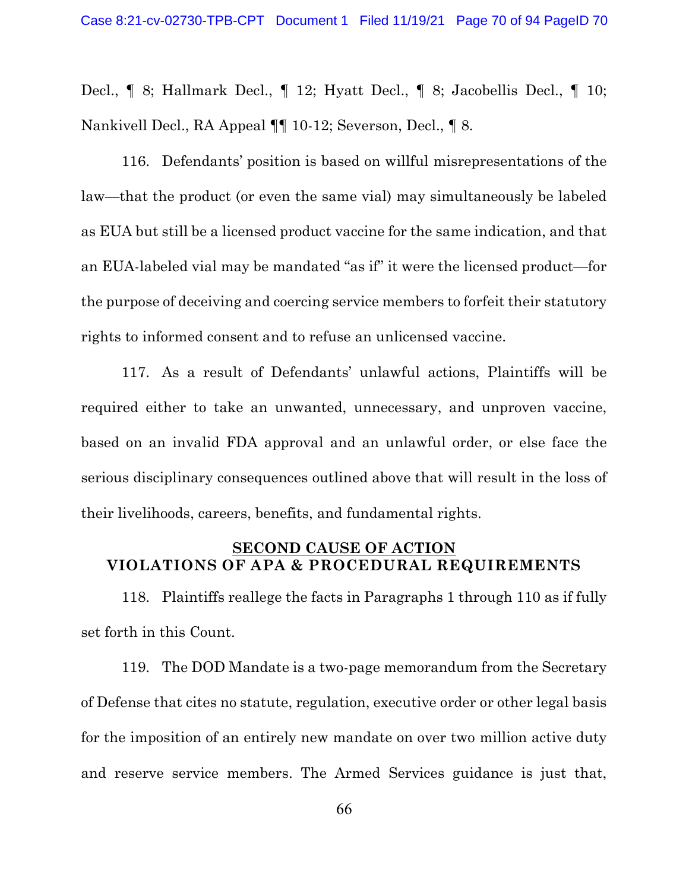Decl., ¶ 8; Hallmark Decl., ¶ 12; Hyatt Decl., ¶ 8; Jacobellis Decl., ¶ 10; Nankivell Decl., RA Appeal ¶¶ 10-12; Severson, Decl., ¶ 8.

116. Defendants' position is based on willful misrepresentations of the law—that the product (or even the same vial) may simultaneously be labeled as EUA but still be a licensed product vaccine for the same indication, and that an EUA-labeled vial may be mandated "as if" it were the licensed product—for the purpose of deceiving and coercing service members to forfeit their statutory rights to informed consent and to refuse an unlicensed vaccine.

117. As a result of Defendants' unlawful actions, Plaintiffs will be required either to take an unwanted, unnecessary, and unproven vaccine, based on an invalid FDA approval and an unlawful order, or else face the serious disciplinary consequences outlined above that will result in the loss of their livelihoods, careers, benefits, and fundamental rights.

# SECOND CAUSE OF ACTION VIOLATIONS OF APA & PROCEDURAL REQUIREMENTS

118. Plaintiffs reallege the facts in Paragraphs 1 through 110 as if fully set forth in this Count.

119. The DOD Mandate is a two-page memorandum from the Secretary of Defense that cites no statute, regulation, executive order or other legal basis for the imposition of an entirely new mandate on over two million active duty and reserve service members. The Armed Services guidance is just that,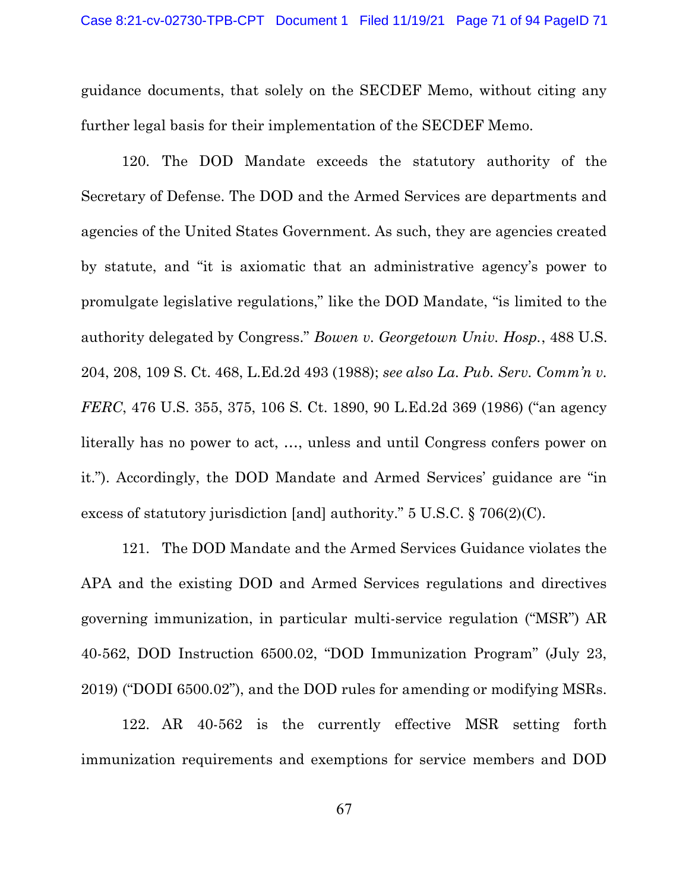guidance documents, that solely on the SECDEF Memo, without citing any further legal basis for their implementation of the SECDEF Memo.

120. The DOD Mandate exceeds the statutory authority of the Secretary of Defense. The DOD and the Armed Services are departments and agencies of the United States Government. As such, they are agencies created by statute, and "it is axiomatic that an administrative agency's power to promulgate legislative regulations," like the DOD Mandate, "is limited to the authority delegated by Congress." Bowen v. Georgetown Univ. Hosp., 488 U.S. 204, 208, 109 S. Ct. 468, L.Ed.2d 493 (1988); see also La. Pub. Serv. Comm'n v. FERC, 476 U.S. 355, 375, 106 S. Ct. 1890, 90 L.Ed.2d 369 (1986) ("an agency literally has no power to act, …, unless and until Congress confers power on it."). Accordingly, the DOD Mandate and Armed Services' guidance are "in excess of statutory jurisdiction [and] authority." 5 U.S.C. § 706(2)(C).

121. The DOD Mandate and the Armed Services Guidance violates the APA and the existing DOD and Armed Services regulations and directives governing immunization, in particular multi-service regulation ("MSR") AR 40-562, DOD Instruction 6500.02, "DOD Immunization Program" (July 23, 2019) ("DODI 6500.02"), and the DOD rules for amending or modifying MSRs.

122. AR 40-562 is the currently effective MSR setting forth immunization requirements and exemptions for service members and DOD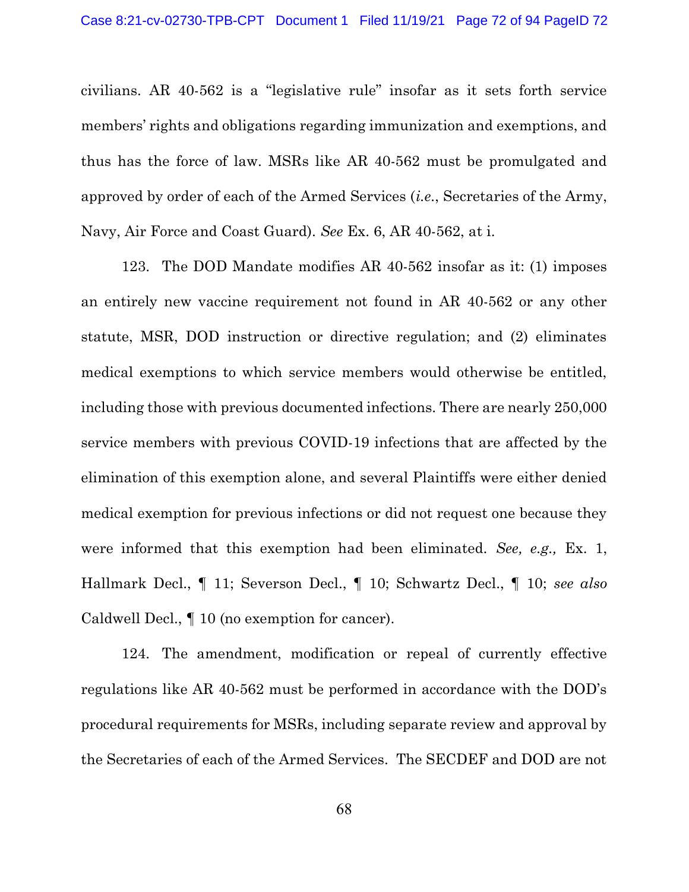civilians. AR 40-562 is a "legislative rule" insofar as it sets forth service members' rights and obligations regarding immunization and exemptions, and thus has the force of law. MSRs like AR 40-562 must be promulgated and approved by order of each of the Armed Services (i.e., Secretaries of the Army, Navy, Air Force and Coast Guard). See Ex. 6, AR 40-562, at i.

123. The DOD Mandate modifies AR 40-562 insofar as it: (1) imposes an entirely new vaccine requirement not found in AR 40-562 or any other statute, MSR, DOD instruction or directive regulation; and (2) eliminates medical exemptions to which service members would otherwise be entitled, including those with previous documented infections. There are nearly 250,000 service members with previous COVID-19 infections that are affected by the elimination of this exemption alone, and several Plaintiffs were either denied medical exemption for previous infections or did not request one because they were informed that this exemption had been eliminated. See, e.g., Ex. 1, Hallmark Decl., ¶ 11; Severson Decl., ¶ 10; Schwartz Decl., ¶ 10; see also Caldwell Decl., ¶ 10 (no exemption for cancer).

124. The amendment, modification or repeal of currently effective regulations like AR 40-562 must be performed in accordance with the DOD's procedural requirements for MSRs, including separate review and approval by the Secretaries of each of the Armed Services. The SECDEF and DOD are not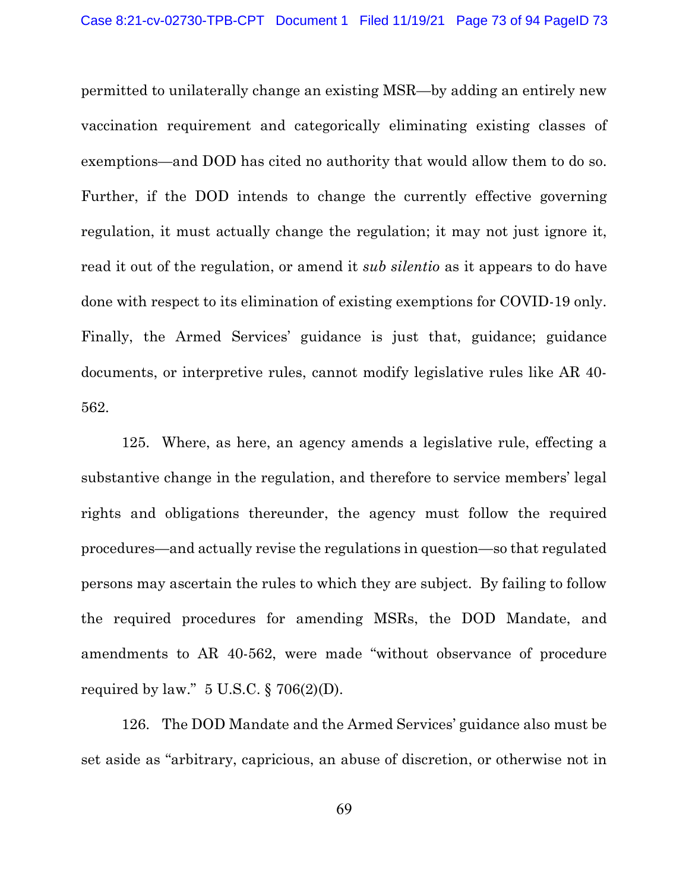permitted to unilaterally change an existing MSR—by adding an entirely new vaccination requirement and categorically eliminating existing classes of exemptions—and DOD has cited no authority that would allow them to do so. Further, if the DOD intends to change the currently effective governing regulation, it must actually change the regulation; it may not just ignore it, read it out of the regulation, or amend it *sub silentio* as it appears to do have done with respect to its elimination of existing exemptions for COVID-19 only. Finally, the Armed Services' guidance is just that, guidance; guidance documents, or interpretive rules, cannot modify legislative rules like AR 40- 562.

125. Where, as here, an agency amends a legislative rule, effecting a substantive change in the regulation, and therefore to service members' legal rights and obligations thereunder, the agency must follow the required procedures—and actually revise the regulations in question—so that regulated persons may ascertain the rules to which they are subject. By failing to follow the required procedures for amending MSRs, the DOD Mandate, and amendments to AR 40-562, were made "without observance of procedure required by law."  $5 \text{ U.S.C.}$   $\S$  706(2)(D).

126. The DOD Mandate and the Armed Services' guidance also must be set aside as "arbitrary, capricious, an abuse of discretion, or otherwise not in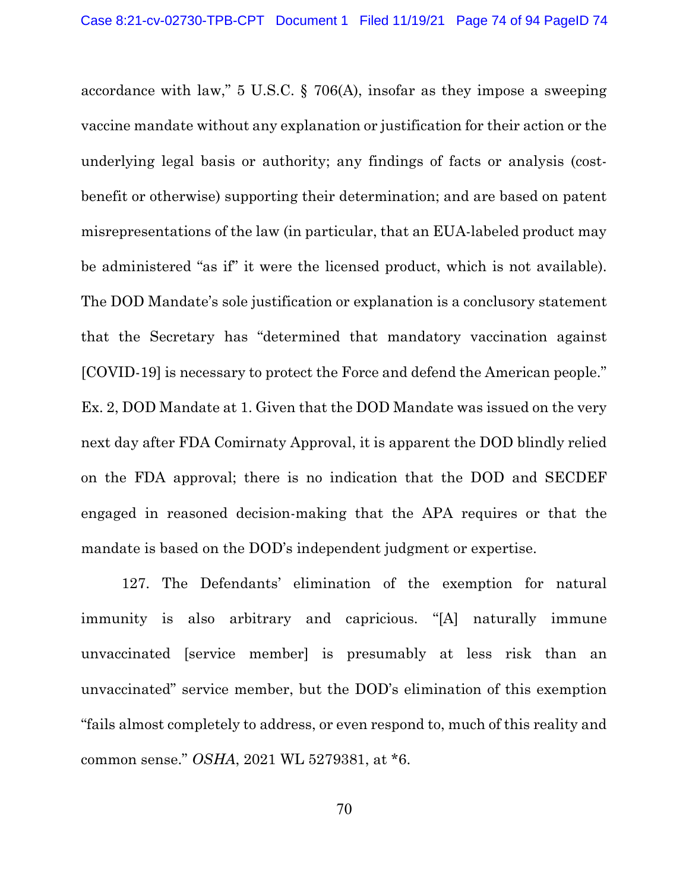accordance with law," 5 U.S.C. § 706(A), insofar as they impose a sweeping vaccine mandate without any explanation or justification for their action or the underlying legal basis or authority; any findings of facts or analysis (costbenefit or otherwise) supporting their determination; and are based on patent misrepresentations of the law (in particular, that an EUA-labeled product may be administered "as if" it were the licensed product, which is not available). The DOD Mandate's sole justification or explanation is a conclusory statement that the Secretary has "determined that mandatory vaccination against [COVID-19] is necessary to protect the Force and defend the American people." Ex. 2, DOD Mandate at 1. Given that the DOD Mandate was issued on the very next day after FDA Comirnaty Approval, it is apparent the DOD blindly relied on the FDA approval; there is no indication that the DOD and SECDEF engaged in reasoned decision-making that the APA requires or that the mandate is based on the DOD's independent judgment or expertise.

127. The Defendants' elimination of the exemption for natural immunity is also arbitrary and capricious. "[A] naturally immune unvaccinated [service member] is presumably at less risk than an unvaccinated" service member, but the DOD's elimination of this exemption "fails almost completely to address, or even respond to, much of this reality and common sense." OSHA, 2021 WL 5279381, at \*6.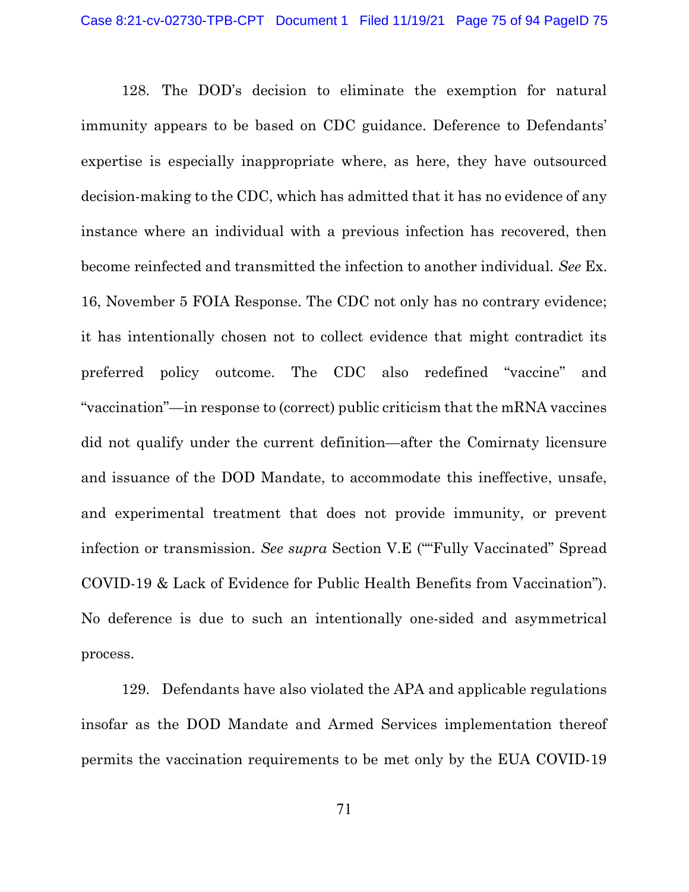128. The DOD's decision to eliminate the exemption for natural immunity appears to be based on CDC guidance. Deference to Defendants' expertise is especially inappropriate where, as here, they have outsourced decision-making to the CDC, which has admitted that it has no evidence of any instance where an individual with a previous infection has recovered, then become reinfected and transmitted the infection to another individual. See Ex. 16, November 5 FOIA Response. The CDC not only has no contrary evidence; it has intentionally chosen not to collect evidence that might contradict its preferred policy outcome. The CDC also redefined "vaccine" and "vaccination"—in response to (correct) public criticism that the mRNA vaccines did not qualify under the current definition—after the Comirnaty licensure and issuance of the DOD Mandate, to accommodate this ineffective, unsafe, and experimental treatment that does not provide immunity, or prevent infection or transmission. See supra Section V.E (""Fully Vaccinated" Spread COVID-19 & Lack of Evidence for Public Health Benefits from Vaccination"). No deference is due to such an intentionally one-sided and asymmetrical process.

129. Defendants have also violated the APA and applicable regulations insofar as the DOD Mandate and Armed Services implementation thereof permits the vaccination requirements to be met only by the EUA COVID-19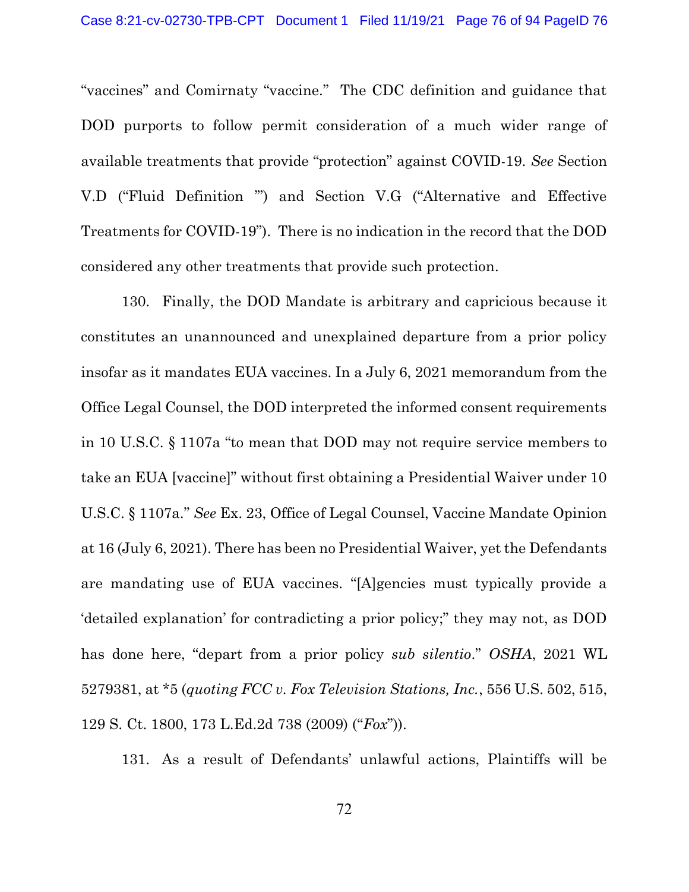"vaccines" and Comirnaty "vaccine." The CDC definition and guidance that DOD purports to follow permit consideration of a much wider range of available treatments that provide "protection" against COVID-19. See Section V.D ("Fluid Definition '") and Section V.G ("Alternative and Effective Treatments for COVID-19"). There is no indication in the record that the DOD considered any other treatments that provide such protection.

130. Finally, the DOD Mandate is arbitrary and capricious because it constitutes an unannounced and unexplained departure from a prior policy insofar as it mandates EUA vaccines. In a July 6, 2021 memorandum from the Office Legal Counsel, the DOD interpreted the informed consent requirements in 10 U.S.C. § 1107a "to mean that DOD may not require service members to take an EUA [vaccine]" without first obtaining a Presidential Waiver under 10 U.S.C. § 1107a." See Ex. 23, Office of Legal Counsel, Vaccine Mandate Opinion at 16 (July 6, 2021). There has been no Presidential Waiver, yet the Defendants are mandating use of EUA vaccines. "[A]gencies must typically provide a 'detailed explanation' for contradicting a prior policy;" they may not, as DOD has done here, "depart from a prior policy sub silentio." OSHA, 2021 WL 5279381, at \*5 (quoting FCC v. Fox Television Stations, Inc., 556 U.S. 502, 515, 129 S. Ct. 1800, 173 L.Ed.2d 738 (2009) ("Fox")).

131. As a result of Defendants' unlawful actions, Plaintiffs will be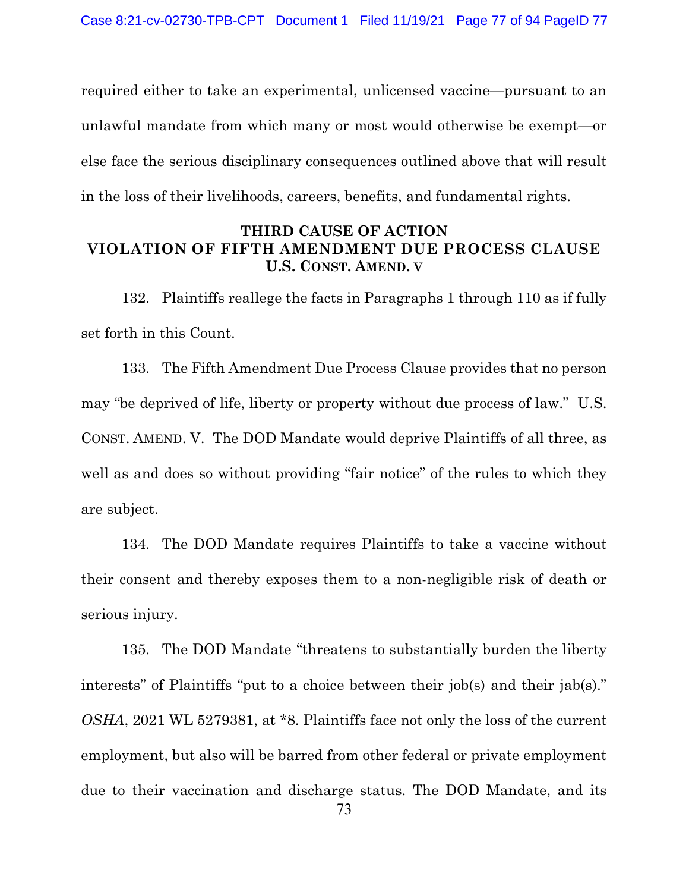required either to take an experimental, unlicensed vaccine—pursuant to an unlawful mandate from which many or most would otherwise be exempt—or else face the serious disciplinary consequences outlined above that will result in the loss of their livelihoods, careers, benefits, and fundamental rights.

## THIRD CAUSE OF ACTION VIOLATION OF FIFTH AMENDMENT DUE PROCESS CLAUSE U.S. CONST. AMEND. V

132. Plaintiffs reallege the facts in Paragraphs 1 through 110 as if fully set forth in this Count.

133. The Fifth Amendment Due Process Clause provides that no person may "be deprived of life, liberty or property without due process of law." U.S. CONST. AMEND. V. The DOD Mandate would deprive Plaintiffs of all three, as well as and does so without providing "fair notice" of the rules to which they are subject.

134. The DOD Mandate requires Plaintiffs to take a vaccine without their consent and thereby exposes them to a non-negligible risk of death or serious injury.

135. The DOD Mandate "threatens to substantially burden the liberty interests" of Plaintiffs "put to a choice between their job(s) and their jab(s)." OSHA, 2021 WL 5279381, at \*8. Plaintiffs face not only the loss of the current employment, but also will be barred from other federal or private employment due to their vaccination and discharge status. The DOD Mandate, and its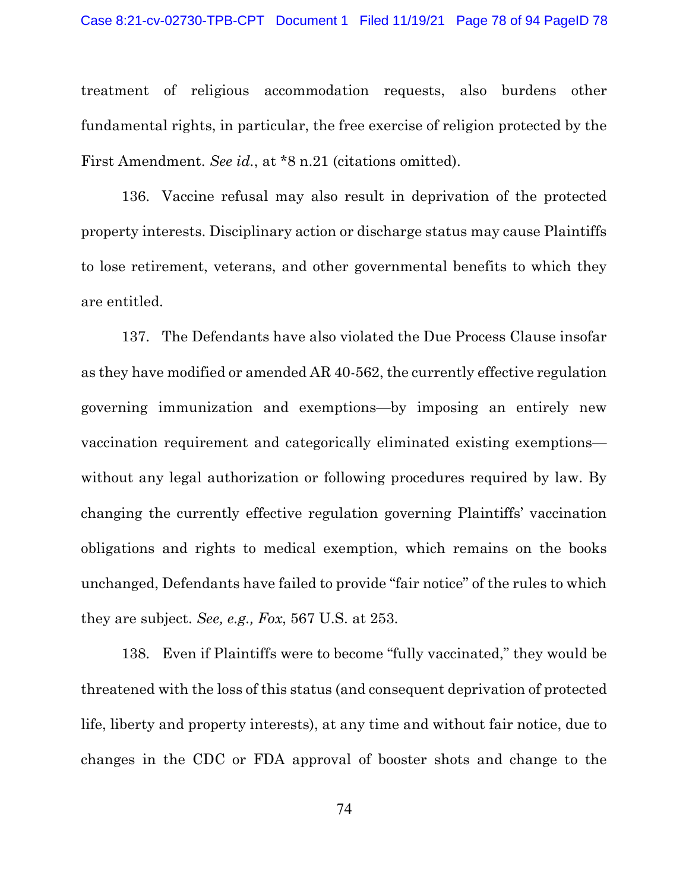#### Case 8:21-cv-02730-TPB-CPT Document 1 Filed 11/19/21 Page 78 of 94 PageID 78

treatment of religious accommodation requests, also burdens other fundamental rights, in particular, the free exercise of religion protected by the First Amendment. See id., at \*8 n.21 (citations omitted).

136. Vaccine refusal may also result in deprivation of the protected property interests. Disciplinary action or discharge status may cause Plaintiffs to lose retirement, veterans, and other governmental benefits to which they are entitled.

137. The Defendants have also violated the Due Process Clause insofar as they have modified or amended AR 40-562, the currently effective regulation governing immunization and exemptions—by imposing an entirely new vaccination requirement and categorically eliminated existing exemptions without any legal authorization or following procedures required by law. By changing the currently effective regulation governing Plaintiffs' vaccination obligations and rights to medical exemption, which remains on the books unchanged, Defendants have failed to provide "fair notice" of the rules to which they are subject. See, e.g., Fox, 567 U.S. at 253.

138. Even if Plaintiffs were to become "fully vaccinated," they would be threatened with the loss of this status (and consequent deprivation of protected life, liberty and property interests), at any time and without fair notice, due to changes in the CDC or FDA approval of booster shots and change to the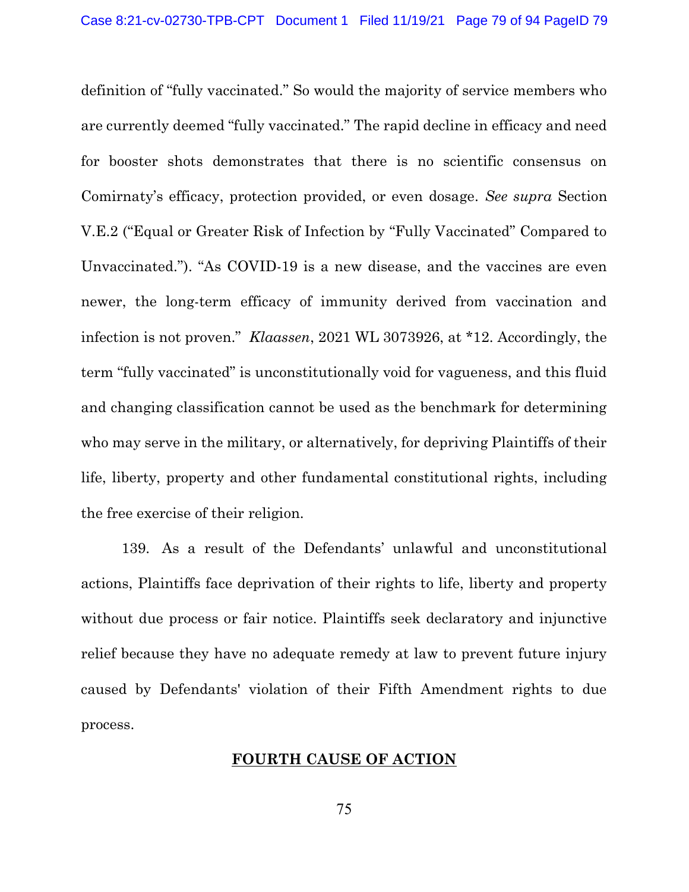definition of "fully vaccinated." So would the majority of service members who are currently deemed "fully vaccinated." The rapid decline in efficacy and need for booster shots demonstrates that there is no scientific consensus on Comirnaty's efficacy, protection provided, or even dosage. See supra Section V.E.2 ("Equal or Greater Risk of Infection by "Fully Vaccinated" Compared to Unvaccinated."). "As COVID-19 is a new disease, and the vaccines are even newer, the long-term efficacy of immunity derived from vaccination and infection is not proven." Klaassen, 2021 WL 3073926, at \*12. Accordingly, the term "fully vaccinated" is unconstitutionally void for vagueness, and this fluid and changing classification cannot be used as the benchmark for determining who may serve in the military, or alternatively, for depriving Plaintiffs of their life, liberty, property and other fundamental constitutional rights, including the free exercise of their religion.

139. As a result of the Defendants' unlawful and unconstitutional actions, Plaintiffs face deprivation of their rights to life, liberty and property without due process or fair notice. Plaintiffs seek declaratory and injunctive relief because they have no adequate remedy at law to prevent future injury caused by Defendants' violation of their Fifth Amendment rights to due process.

### FOURTH CAUSE OF ACTION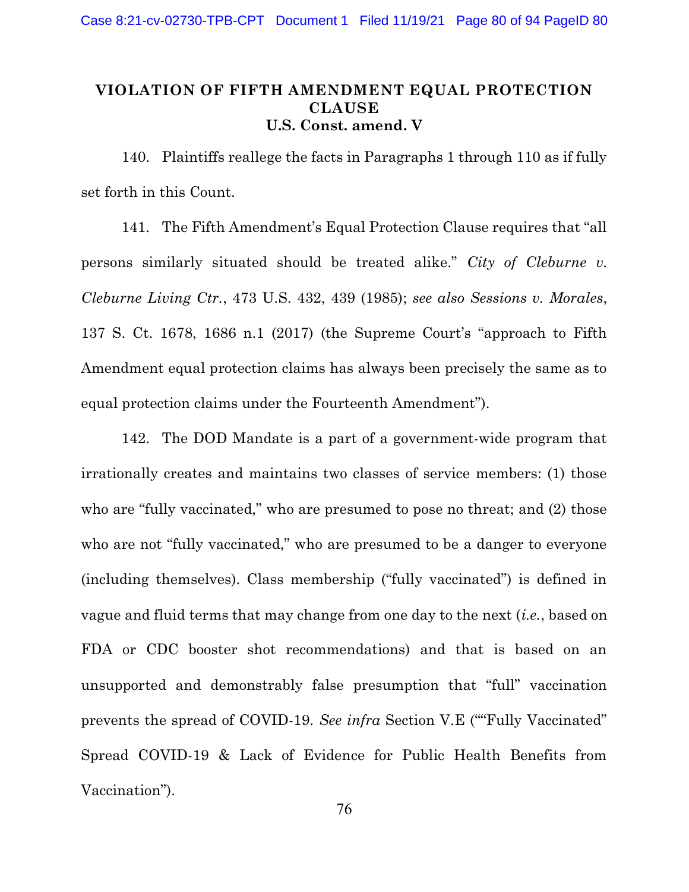# VIOLATION OF FIFTH AMENDMENT EQUAL PROTECTION **CLAUSE** U.S. Const. amend. V

140. Plaintiffs reallege the facts in Paragraphs 1 through 110 as if fully set forth in this Count.

141. The Fifth Amendment's Equal Protection Clause requires that "all persons similarly situated should be treated alike." City of Cleburne v. Cleburne Living Ctr., 473 U.S. 432, 439 (1985); see also Sessions v. Morales, 137 S. Ct. 1678, 1686 n.1 (2017) (the Supreme Court's "approach to Fifth Amendment equal protection claims has always been precisely the same as to equal protection claims under the Fourteenth Amendment").

142. The DOD Mandate is a part of a government-wide program that irrationally creates and maintains two classes of service members: (1) those who are "fully vaccinated," who are presumed to pose no threat; and (2) those who are not "fully vaccinated," who are presumed to be a danger to everyone (including themselves). Class membership ("fully vaccinated") is defined in vague and fluid terms that may change from one day to the next (i.e., based on FDA or CDC booster shot recommendations) and that is based on an unsupported and demonstrably false presumption that "full" vaccination prevents the spread of COVID-19. See infra Section V.E (""Fully Vaccinated" Spread COVID-19 & Lack of Evidence for Public Health Benefits from Vaccination").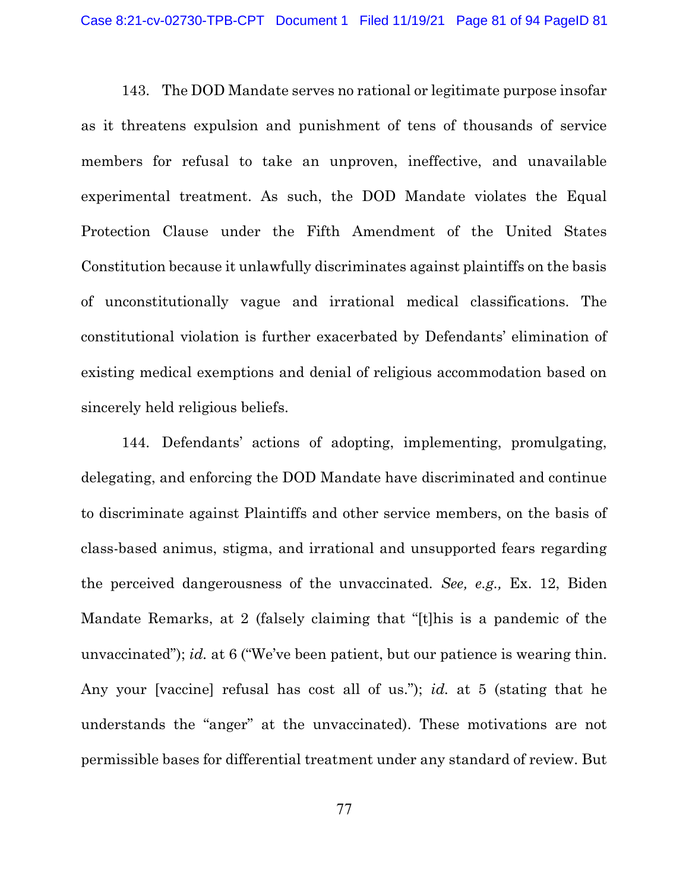143. The DOD Mandate serves no rational or legitimate purpose insofar as it threatens expulsion and punishment of tens of thousands of service members for refusal to take an unproven, ineffective, and unavailable experimental treatment. As such, the DOD Mandate violates the Equal Protection Clause under the Fifth Amendment of the United States Constitution because it unlawfully discriminates against plaintiffs on the basis of unconstitutionally vague and irrational medical classifications. The constitutional violation is further exacerbated by Defendants' elimination of existing medical exemptions and denial of religious accommodation based on sincerely held religious beliefs.

144. Defendants' actions of adopting, implementing, promulgating, delegating, and enforcing the DOD Mandate have discriminated and continue to discriminate against Plaintiffs and other service members, on the basis of class-based animus, stigma, and irrational and unsupported fears regarding the perceived dangerousness of the unvaccinated. See, e.g., Ex. 12, Biden Mandate Remarks, at 2 (falsely claiming that "[t]his is a pandemic of the unvaccinated"); id. at 6 ("We've been patient, but our patience is wearing thin. Any your [vaccine] refusal has cost all of us."); id. at 5 (stating that he understands the "anger" at the unvaccinated). These motivations are not permissible bases for differential treatment under any standard of review. But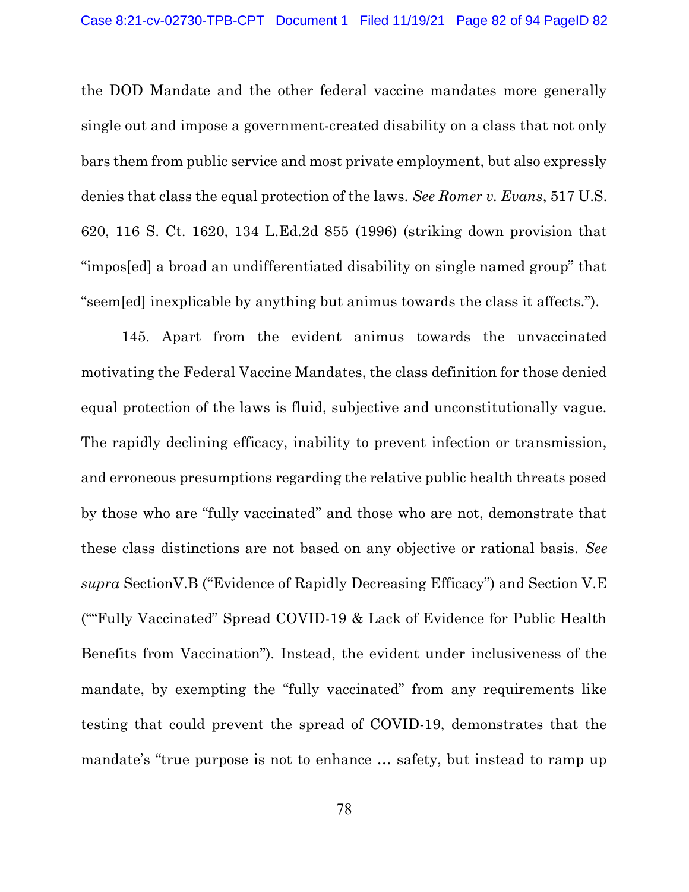the DOD Mandate and the other federal vaccine mandates more generally single out and impose a government-created disability on a class that not only bars them from public service and most private employment, but also expressly denies that class the equal protection of the laws. See Romer v. Evans, 517 U.S. 620, 116 S. Ct. 1620, 134 L.Ed.2d 855 (1996) (striking down provision that "impos[ed] a broad an undifferentiated disability on single named group" that "seem[ed] inexplicable by anything but animus towards the class it affects.").

145. Apart from the evident animus towards the unvaccinated motivating the Federal Vaccine Mandates, the class definition for those denied equal protection of the laws is fluid, subjective and unconstitutionally vague. The rapidly declining efficacy, inability to prevent infection or transmission, and erroneous presumptions regarding the relative public health threats posed by those who are "fully vaccinated" and those who are not, demonstrate that these class distinctions are not based on any objective or rational basis. See supra SectionV.B ("Evidence of Rapidly Decreasing Efficacy") and Section V.E (""Fully Vaccinated" Spread COVID-19 & Lack of Evidence for Public Health Benefits from Vaccination"). Instead, the evident under inclusiveness of the mandate, by exempting the "fully vaccinated" from any requirements like testing that could prevent the spread of COVID-19, demonstrates that the mandate's "true purpose is not to enhance … safety, but instead to ramp up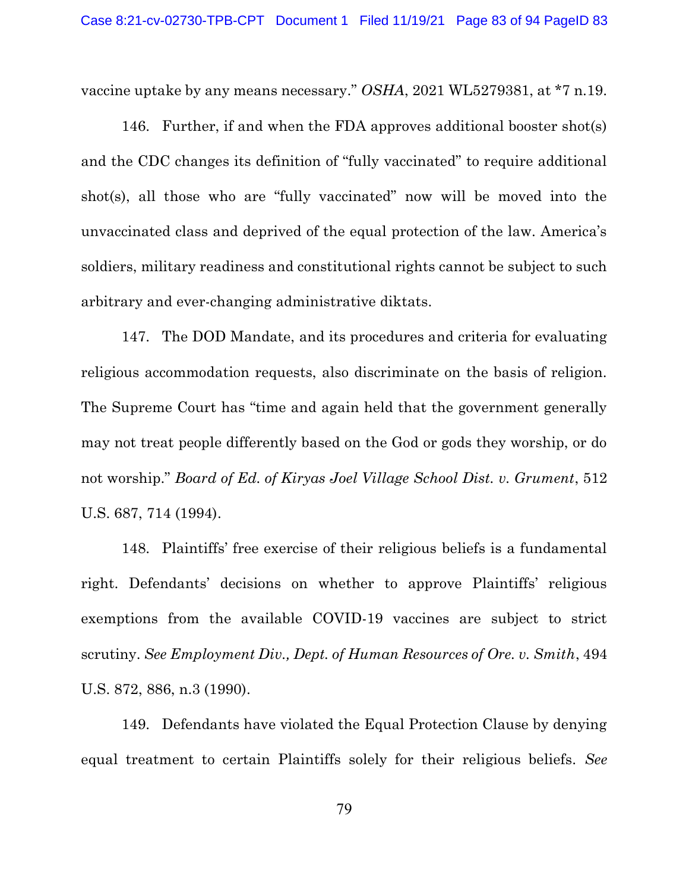vaccine uptake by any means necessary." OSHA, 2021 WL5279381, at \*7 n.19.

146. Further, if and when the FDA approves additional booster shot(s) and the CDC changes its definition of "fully vaccinated" to require additional shot(s), all those who are "fully vaccinated" now will be moved into the unvaccinated class and deprived of the equal protection of the law. America's soldiers, military readiness and constitutional rights cannot be subject to such arbitrary and ever-changing administrative diktats.

147. The DOD Mandate, and its procedures and criteria for evaluating religious accommodation requests, also discriminate on the basis of religion. The Supreme Court has "time and again held that the government generally may not treat people differently based on the God or gods they worship, or do not worship." Board of Ed. of Kiryas Joel Village School Dist. v. Grument, 512 U.S. 687, 714 (1994).

148. Plaintiffs' free exercise of their religious beliefs is a fundamental right. Defendants' decisions on whether to approve Plaintiffs' religious exemptions from the available COVID-19 vaccines are subject to strict scrutiny. See Employment Div., Dept. of Human Resources of Ore. v. Smith, 494 U.S. 872, 886, n.3 (1990).

149. Defendants have violated the Equal Protection Clause by denying equal treatment to certain Plaintiffs solely for their religious beliefs. See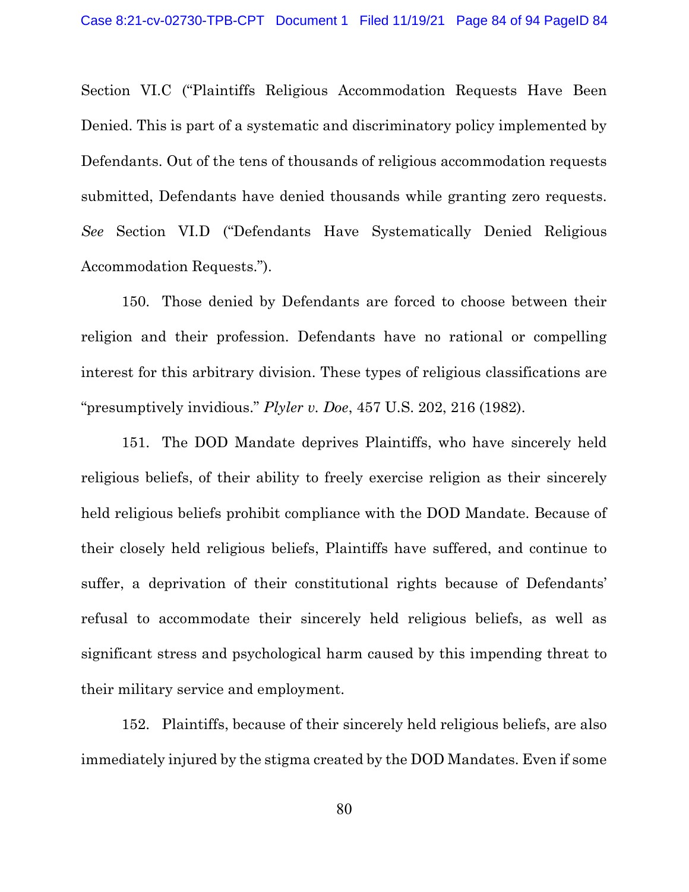Section VI.C ("Plaintiffs Religious Accommodation Requests Have Been Denied. This is part of a systematic and discriminatory policy implemented by Defendants. Out of the tens of thousands of religious accommodation requests submitted, Defendants have denied thousands while granting zero requests. See Section VI.D ("Defendants Have Systematically Denied Religious Accommodation Requests.").

150. Those denied by Defendants are forced to choose between their religion and their profession. Defendants have no rational or compelling interest for this arbitrary division. These types of religious classifications are "presumptively invidious."  $Plyler$  v. Doe, 457 U.S. 202, 216 (1982).

151. The DOD Mandate deprives Plaintiffs, who have sincerely held religious beliefs, of their ability to freely exercise religion as their sincerely held religious beliefs prohibit compliance with the DOD Mandate. Because of their closely held religious beliefs, Plaintiffs have suffered, and continue to suffer, a deprivation of their constitutional rights because of Defendants' refusal to accommodate their sincerely held religious beliefs, as well as significant stress and psychological harm caused by this impending threat to their military service and employment.

152. Plaintiffs, because of their sincerely held religious beliefs, are also immediately injured by the stigma created by the DOD Mandates. Even if some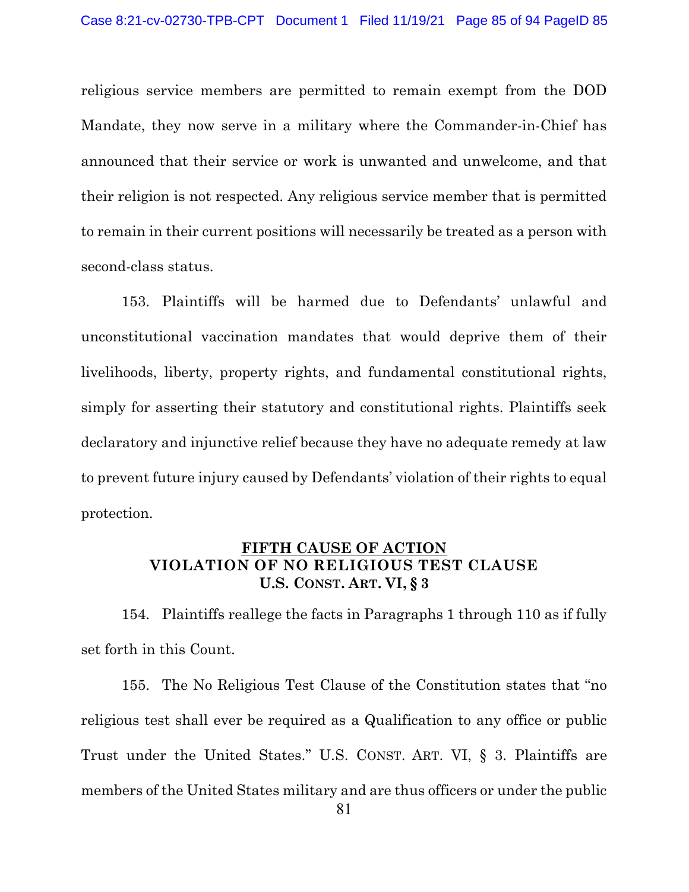religious service members are permitted to remain exempt from the DOD Mandate, they now serve in a military where the Commander-in-Chief has announced that their service or work is unwanted and unwelcome, and that their religion is not respected. Any religious service member that is permitted to remain in their current positions will necessarily be treated as a person with second-class status.

153. Plaintiffs will be harmed due to Defendants' unlawful and unconstitutional vaccination mandates that would deprive them of their livelihoods, liberty, property rights, and fundamental constitutional rights, simply for asserting their statutory and constitutional rights. Plaintiffs seek declaratory and injunctive relief because they have no adequate remedy at law to prevent future injury caused by Defendants' violation of their rights to equal protection.

# FIFTH CAUSE OF ACTION VIOLATION OF NO RELIGIOUS TEST CLAUSE U.S. CONST. ART. VI, § 3

154. Plaintiffs reallege the facts in Paragraphs 1 through 110 as if fully set forth in this Count.

155. The No Religious Test Clause of the Constitution states that "no religious test shall ever be required as a Qualification to any office or public Trust under the United States." U.S. CONST. ART. VI, § 3. Plaintiffs are members of the United States military and are thus officers or under the public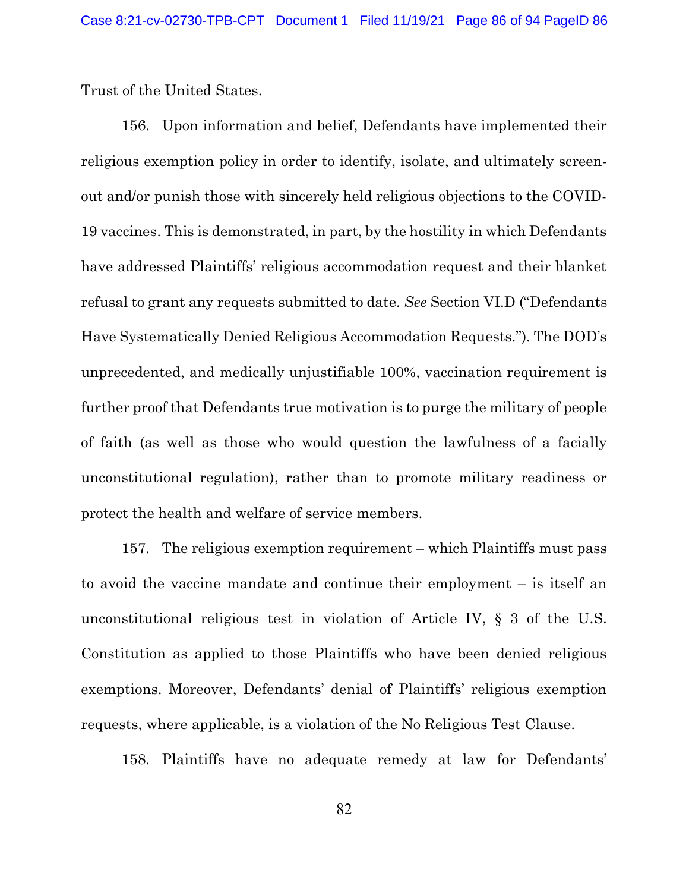Trust of the United States.

156. Upon information and belief, Defendants have implemented their religious exemption policy in order to identify, isolate, and ultimately screenout and/or punish those with sincerely held religious objections to the COVID-19 vaccines. This is demonstrated, in part, by the hostility in which Defendants have addressed Plaintiffs' religious accommodation request and their blanket refusal to grant any requests submitted to date. See Section VI.D ("Defendants Have Systematically Denied Religious Accommodation Requests."). The DOD's unprecedented, and medically unjustifiable 100%, vaccination requirement is further proof that Defendants true motivation is to purge the military of people of faith (as well as those who would question the lawfulness of a facially unconstitutional regulation), rather than to promote military readiness or protect the health and welfare of service members.

157. The religious exemption requirement – which Plaintiffs must pass to avoid the vaccine mandate and continue their employment – is itself an unconstitutional religious test in violation of Article IV, § 3 of the U.S. Constitution as applied to those Plaintiffs who have been denied religious exemptions. Moreover, Defendants' denial of Plaintiffs' religious exemption requests, where applicable, is a violation of the No Religious Test Clause.

158. Plaintiffs have no adequate remedy at law for Defendants'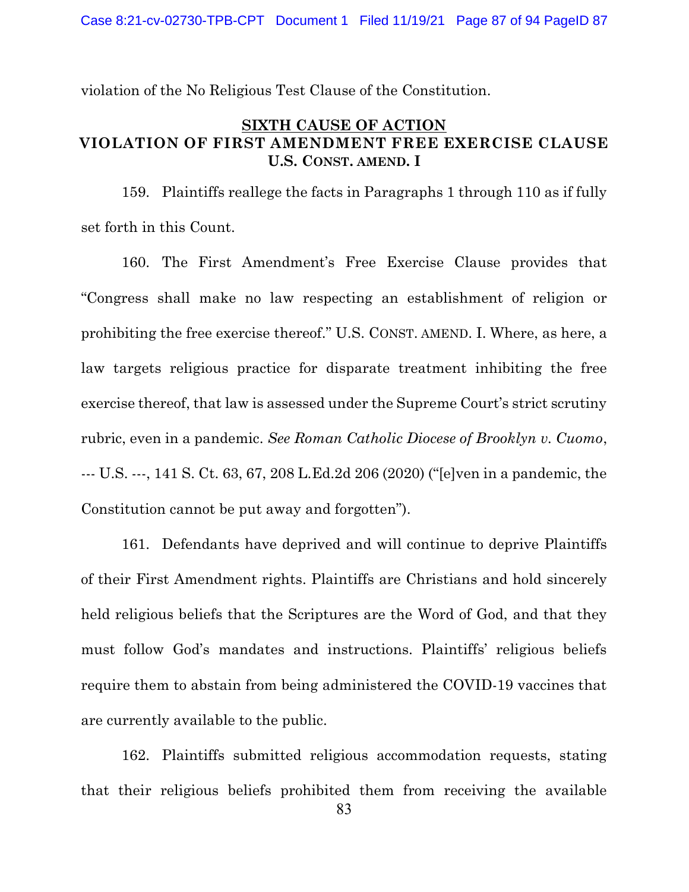violation of the No Religious Test Clause of the Constitution.

## SIXTH CAUSE OF ACTION VIOLATION OF FIRST AMENDMENT FREE EXERCISE CLAUSE U.S. CONST. AMEND. I

159. Plaintiffs reallege the facts in Paragraphs 1 through 110 as if fully set forth in this Count.

160. The First Amendment's Free Exercise Clause provides that "Congress shall make no law respecting an establishment of religion or prohibiting the free exercise thereof." U.S. CONST. AMEND. I. Where, as here, a law targets religious practice for disparate treatment inhibiting the free exercise thereof, that law is assessed under the Supreme Court's strict scrutiny rubric, even in a pandemic. See Roman Catholic Diocese of Brooklyn v. Cuomo, --- U.S. ---, 141 S. Ct. 63, 67, 208 L.Ed.2d 206 (2020) ("[e]ven in a pandemic, the Constitution cannot be put away and forgotten").

161. Defendants have deprived and will continue to deprive Plaintiffs of their First Amendment rights. Plaintiffs are Christians and hold sincerely held religious beliefs that the Scriptures are the Word of God, and that they must follow God's mandates and instructions. Plaintiffs' religious beliefs require them to abstain from being administered the COVID-19 vaccines that are currently available to the public.

162. Plaintiffs submitted religious accommodation requests, stating that their religious beliefs prohibited them from receiving the available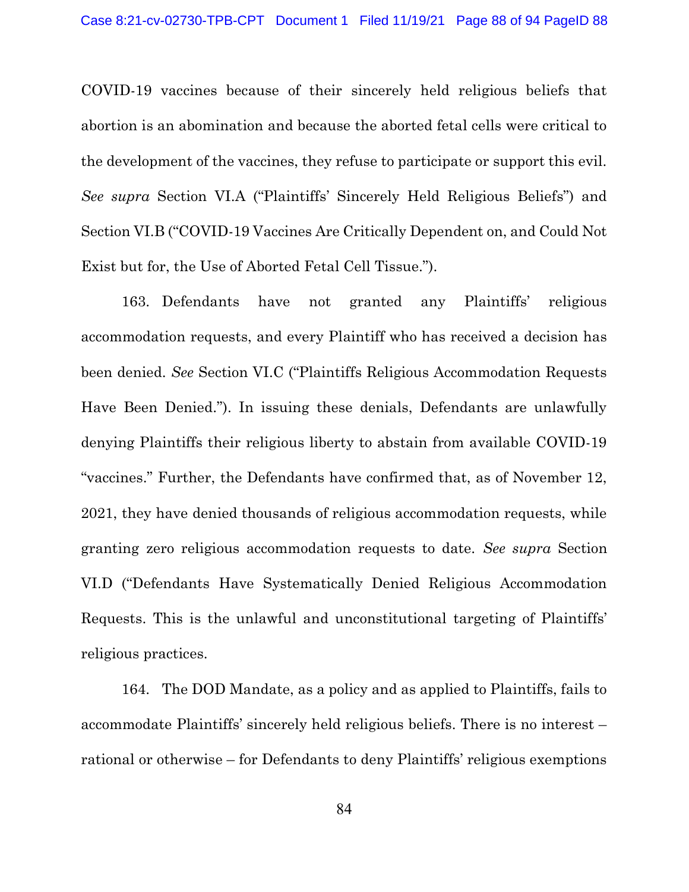COVID-19 vaccines because of their sincerely held religious beliefs that abortion is an abomination and because the aborted fetal cells were critical to the development of the vaccines, they refuse to participate or support this evil. See supra Section VI.A ("Plaintiffs' Sincerely Held Religious Beliefs") and Section VI.B ("COVID-19 Vaccines Are Critically Dependent on, and Could Not Exist but for, the Use of Aborted Fetal Cell Tissue.").

163. Defendants have not granted any Plaintiffs' religious accommodation requests, and every Plaintiff who has received a decision has been denied. See Section VI.C ("Plaintiffs Religious Accommodation Requests Have Been Denied."). In issuing these denials, Defendants are unlawfully denying Plaintiffs their religious liberty to abstain from available COVID-19 "vaccines." Further, the Defendants have confirmed that, as of November 12, 2021, they have denied thousands of religious accommodation requests, while granting zero religious accommodation requests to date. See supra Section VI.D ("Defendants Have Systematically Denied Religious Accommodation Requests. This is the unlawful and unconstitutional targeting of Plaintiffs' religious practices.

164. The DOD Mandate, as a policy and as applied to Plaintiffs, fails to accommodate Plaintiffs' sincerely held religious beliefs. There is no interest – rational or otherwise – for Defendants to deny Plaintiffs' religious exemptions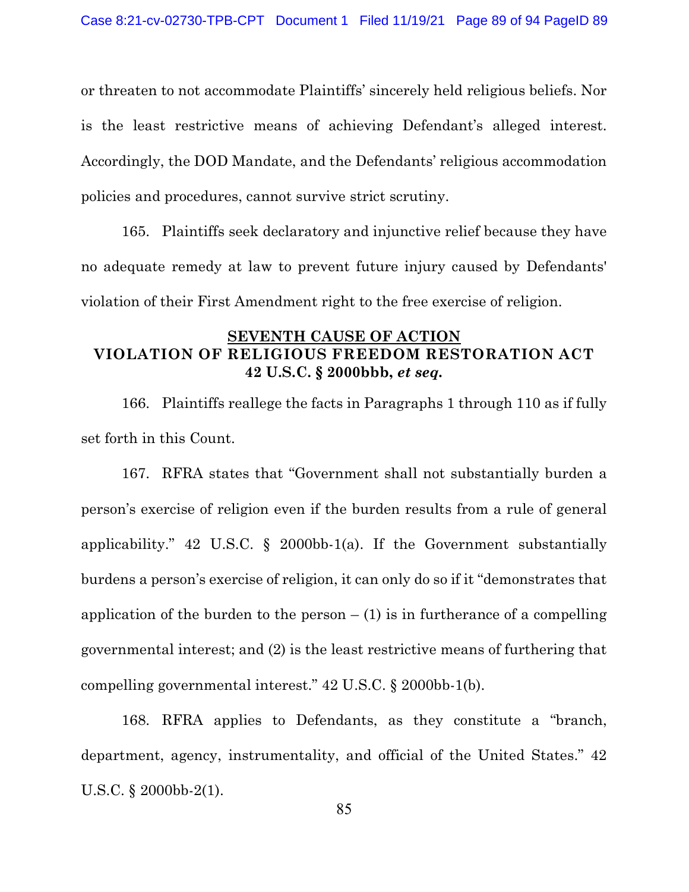or threaten to not accommodate Plaintiffs' sincerely held religious beliefs. Nor is the least restrictive means of achieving Defendant's alleged interest. Accordingly, the DOD Mandate, and the Defendants' religious accommodation policies and procedures, cannot survive strict scrutiny.

165. Plaintiffs seek declaratory and injunctive relief because they have no adequate remedy at law to prevent future injury caused by Defendants' violation of their First Amendment right to the free exercise of religion.

## SEVENTH CAUSE OF ACTION VIOLATION OF RELIGIOUS FREEDOM RESTORATION ACT 42 U.S.C. § 2000bbb, et seq.

166. Plaintiffs reallege the facts in Paragraphs 1 through 110 as if fully set forth in this Count.

167. RFRA states that "Government shall not substantially burden a person's exercise of religion even if the burden results from a rule of general applicability." 42 U.S.C.  $\S$  2000bb-1(a). If the Government substantially burdens a person's exercise of religion, it can only do so if it "demonstrates that application of the burden to the person  $- (1)$  is in furtherance of a compelling governmental interest; and (2) is the least restrictive means of furthering that compelling governmental interest." 42 U.S.C. § 2000bb-1(b).

168. RFRA applies to Defendants, as they constitute a "branch, department, agency, instrumentality, and official of the United States." 42 U.S.C. § 2000bb-2(1).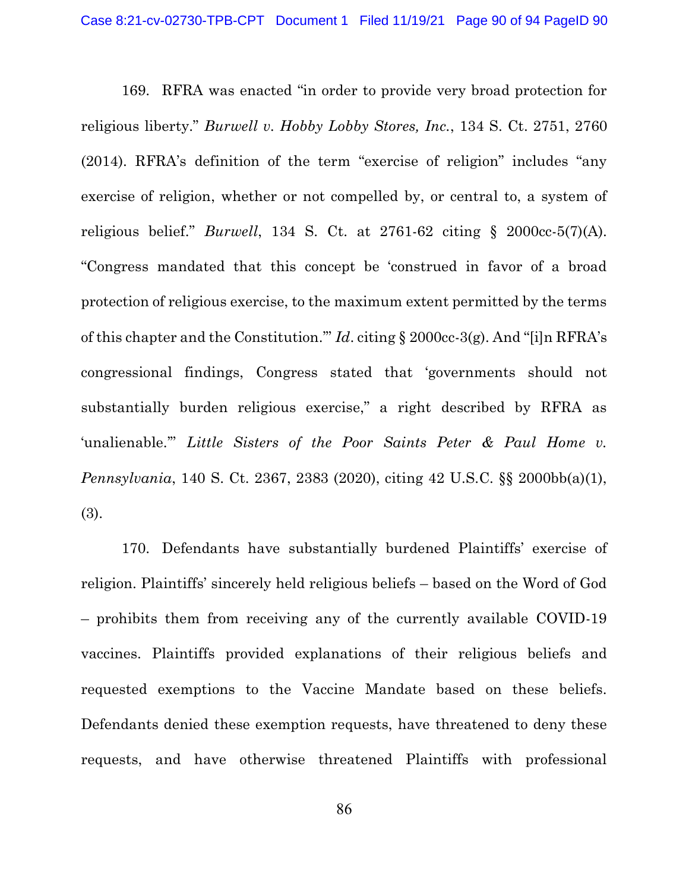169. RFRA was enacted "in order to provide very broad protection for religious liberty." Burwell v. Hobby Lobby Stores, Inc., 134 S. Ct. 2751, 2760 (2014). RFRA's definition of the term "exercise of religion" includes "any exercise of religion, whether or not compelled by, or central to, a system of religious belief." *Burwell*, 134 S. Ct. at  $2761-62$  citing §  $2000cc-5(7)(A)$ . "Congress mandated that this concept be 'construed in favor of a broad protection of religious exercise, to the maximum extent permitted by the terms of this chapter and the Constitution.'" Id. citing § 2000cc-3(g). And "[i]n RFRA's congressional findings, Congress stated that 'governments should not substantially burden religious exercise," a right described by RFRA as 'unalienable.'" Little Sisters of the Poor Saints Peter & Paul Home v. Pennsylvania, 140 S. Ct. 2367, 2383 (2020), citing 42 U.S.C. §§ 2000bb(a)(1), (3).

170. Defendants have substantially burdened Plaintiffs' exercise of religion. Plaintiffs' sincerely held religious beliefs – based on the Word of God – prohibits them from receiving any of the currently available COVID-19 vaccines. Plaintiffs provided explanations of their religious beliefs and requested exemptions to the Vaccine Mandate based on these beliefs. Defendants denied these exemption requests, have threatened to deny these requests, and have otherwise threatened Plaintiffs with professional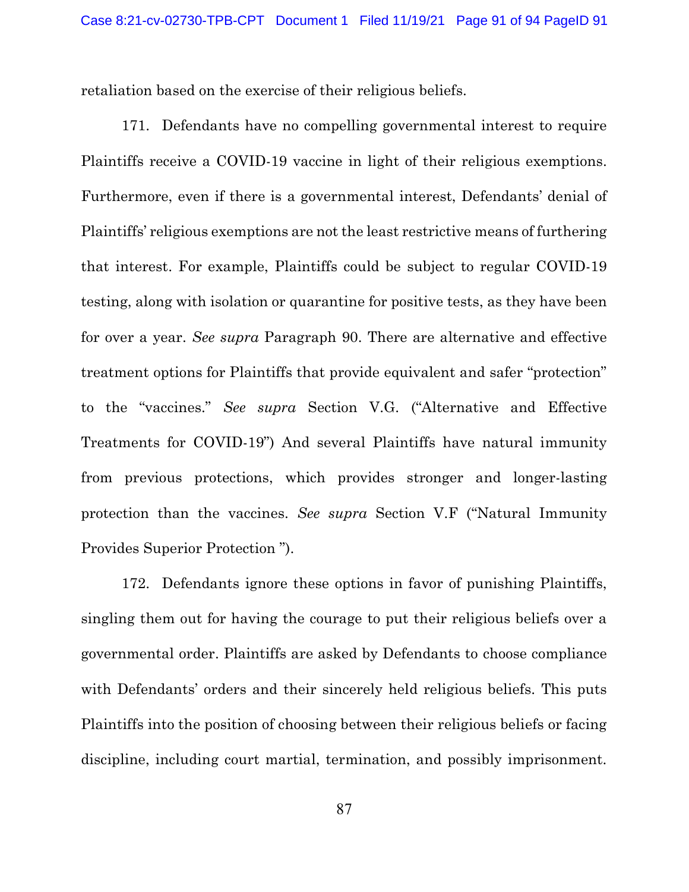retaliation based on the exercise of their religious beliefs.

171. Defendants have no compelling governmental interest to require Plaintiffs receive a COVID-19 vaccine in light of their religious exemptions. Furthermore, even if there is a governmental interest, Defendants' denial of Plaintiffs' religious exemptions are not the least restrictive means of furthering that interest. For example, Plaintiffs could be subject to regular COVID-19 testing, along with isolation or quarantine for positive tests, as they have been for over a year. See supra Paragraph 90. There are alternative and effective treatment options for Plaintiffs that provide equivalent and safer "protection" to the "vaccines." See supra Section V.G. ("Alternative and Effective Treatments for COVID-19") And several Plaintiffs have natural immunity from previous protections, which provides stronger and longer-lasting protection than the vaccines. See supra Section V.F ("Natural Immunity Provides Superior Protection ").

172. Defendants ignore these options in favor of punishing Plaintiffs, singling them out for having the courage to put their religious beliefs over a governmental order. Plaintiffs are asked by Defendants to choose compliance with Defendants' orders and their sincerely held religious beliefs. This puts Plaintiffs into the position of choosing between their religious beliefs or facing discipline, including court martial, termination, and possibly imprisonment.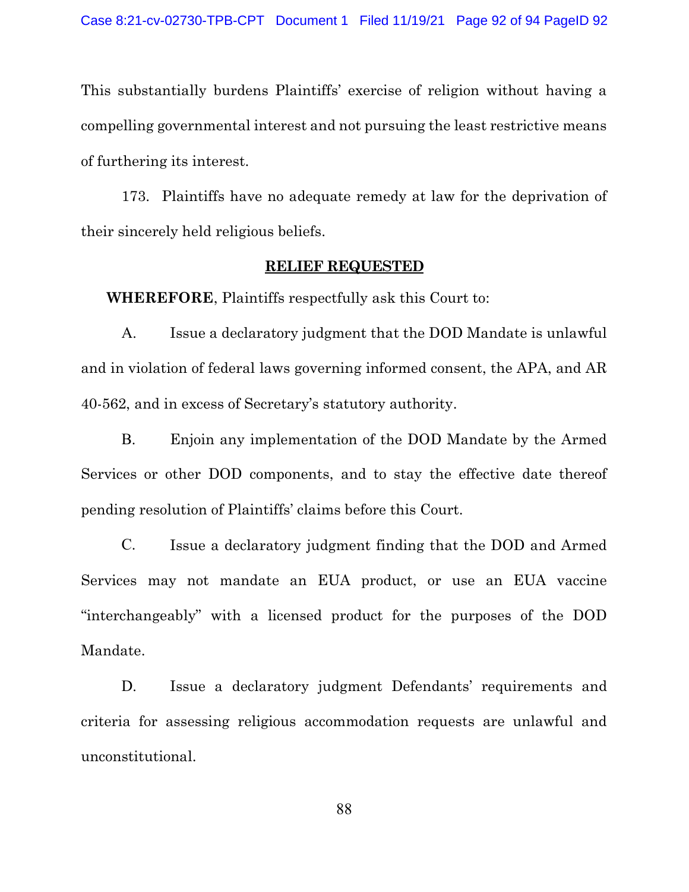This substantially burdens Plaintiffs' exercise of religion without having a compelling governmental interest and not pursuing the least restrictive means of furthering its interest.

173. Plaintiffs have no adequate remedy at law for the deprivation of their sincerely held religious beliefs.

#### RELIEF REQUESTED

WHEREFORE, Plaintiffs respectfully ask this Court to:

A. Issue a declaratory judgment that the DOD Mandate is unlawful and in violation of federal laws governing informed consent, the APA, and AR 40-562, and in excess of Secretary's statutory authority.

B. Enjoin any implementation of the DOD Mandate by the Armed Services or other DOD components, and to stay the effective date thereof pending resolution of Plaintiffs' claims before this Court.

C. Issue a declaratory judgment finding that the DOD and Armed Services may not mandate an EUA product, or use an EUA vaccine "interchangeably" with a licensed product for the purposes of the DOD Mandate.

D. Issue a declaratory judgment Defendants' requirements and criteria for assessing religious accommodation requests are unlawful and unconstitutional.

88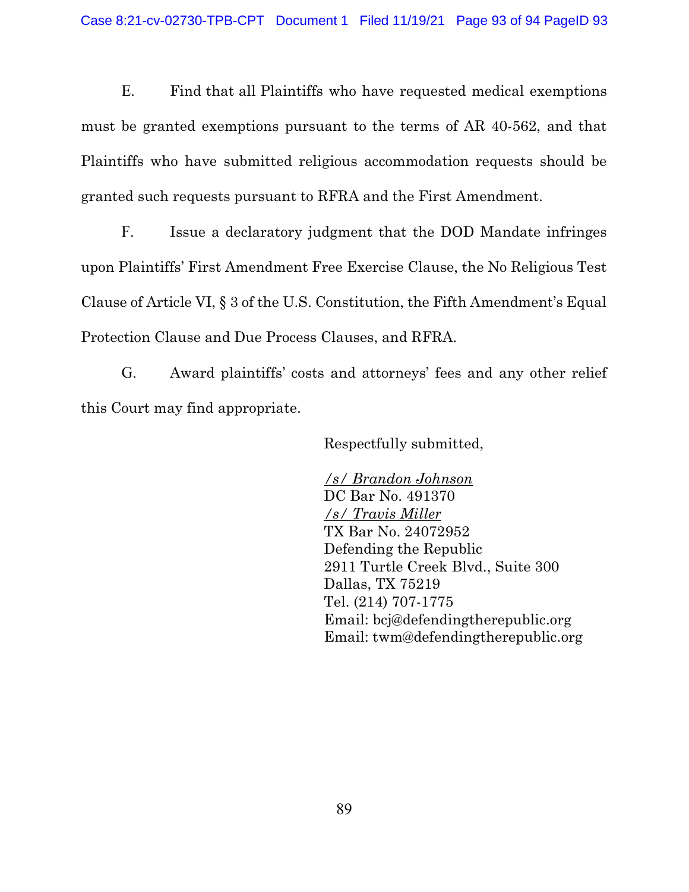E. Find that all Plaintiffs who have requested medical exemptions must be granted exemptions pursuant to the terms of AR 40-562, and that Plaintiffs who have submitted religious accommodation requests should be granted such requests pursuant to RFRA and the First Amendment.

F. Issue a declaratory judgment that the DOD Mandate infringes upon Plaintiffs' First Amendment Free Exercise Clause, the No Religious Test Clause of Article VI, § 3 of the U.S. Constitution, the Fifth Amendment's Equal Protection Clause and Due Process Clauses, and RFRA.

G. Award plaintiffs' costs and attorneys' fees and any other relief this Court may find appropriate.

Respectfully submitted,

/s/ Brandon Johnson DC Bar No. 491370 /s/ Travis Miller TX Bar No. 24072952 Defending the Republic 2911 Turtle Creek Blvd., Suite 300 Dallas, TX 75219 Tel. (214) 707-1775 Email: bcj@defendingtherepublic.org Email: twm@defendingtherepublic.org